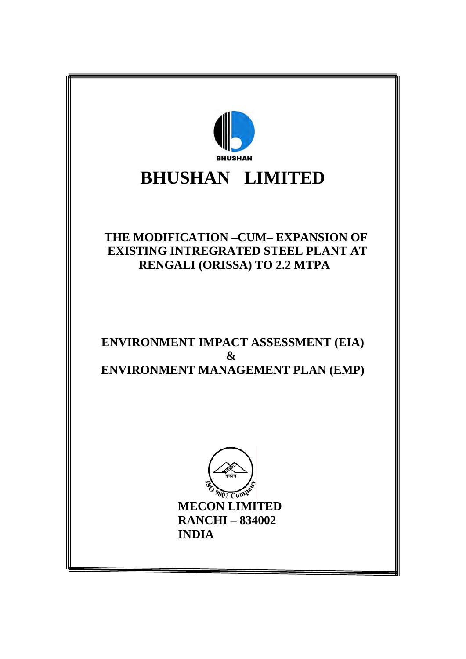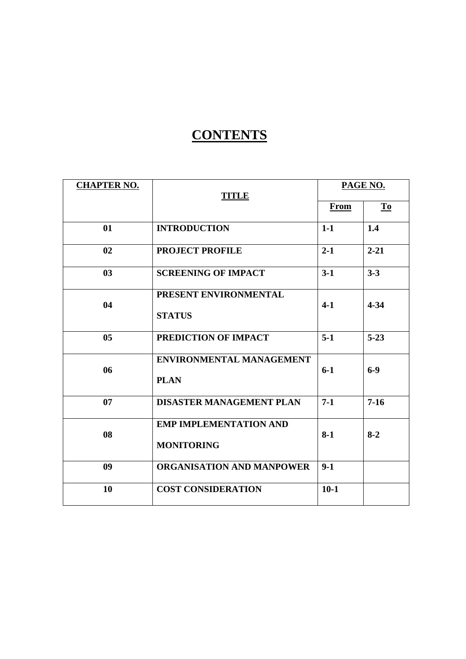## **CONTENTS**

| <b>CHAPTER NO.</b> | <b>TITLE</b>                                       | PAGE NO.    |          |
|--------------------|----------------------------------------------------|-------------|----------|
|                    |                                                    | <b>From</b> | To       |
| 01                 | <b>INTRODUCTION</b>                                | $1-1$       | 1.4      |
| 02                 | <b>PROJECT PROFILE</b>                             | $2 - 1$     | $2 - 21$ |
| 0 <sub>3</sub>     | <b>SCREENING OF IMPACT</b>                         | $3-1$       | $3-3$    |
| 04                 | PRESENT ENVIRONMENTAL<br><b>STATUS</b>             | $4-1$       | $4 - 34$ |
| 0 <sub>5</sub>     | PREDICTION OF IMPACT                               | $5-1$       | $5 - 23$ |
| 06                 | <b>ENVIRONMENTAL MANAGEMENT</b><br><b>PLAN</b>     | $6 - 1$     | $6-9$    |
| 07                 | <b>DISASTER MANAGEMENT PLAN</b>                    | $7-1$       | $7 - 16$ |
| 08                 | <b>EMP IMPLEMENTATION AND</b><br><b>MONITORING</b> | $8-1$       | $8-2$    |
| 09                 | <b>ORGANISATION AND MANPOWER</b>                   | $9-1$       |          |
| 10                 | <b>COST CONSIDERATION</b>                          | $10-1$      |          |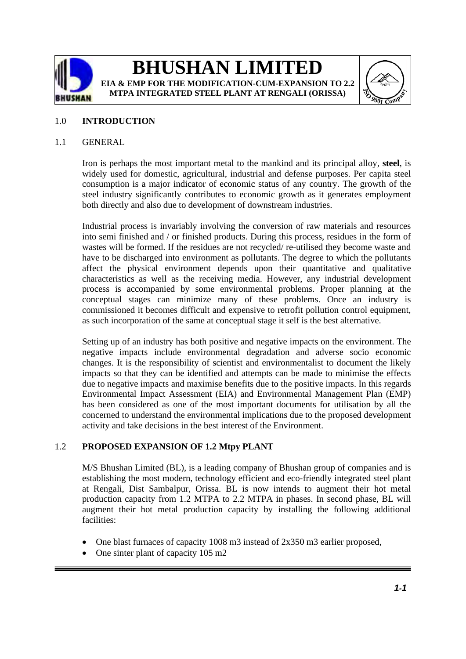

## **BHUSHAN LIMITED EIA & EMP FOR THE MODIFICATION-CUM-EXPANSION TO 2.2**

**MTPA INTEGRATED STEEL PLANT AT RENGALI (ORISSA)**



## 1.0 **INTRODUCTION**

#### 1.1 GENERAL

Iron is perhaps the most important metal to the mankind and its principal alloy, **steel**, is widely used for domestic, agricultural, industrial and defense purposes. Per capita steel consumption is a major indicator of economic status of any country. The growth of the steel industry significantly contributes to economic growth as it generates employment both directly and also due to development of downstream industries.

Industrial process is invariably involving the conversion of raw materials and resources into semi finished and / or finished products. During this process, residues in the form of wastes will be formed. If the residues are not recycled/ re-utilised they become waste and have to be discharged into environment as pollutants. The degree to which the pollutants affect the physical environment depends upon their quantitative and qualitative characteristics as well as the receiving media. However, any industrial development process is accompanied by some environmental problems. Proper planning at the conceptual stages can minimize many of these problems. Once an industry is commissioned it becomes difficult and expensive to retrofit pollution control equipment, as such incorporation of the same at conceptual stage it self is the best alternative.

Setting up of an industry has both positive and negative impacts on the environment. The negative impacts include environmental degradation and adverse socio economic changes. It is the responsibility of scientist and environmentalist to document the likely impacts so that they can be identified and attempts can be made to minimise the effects due to negative impacts and maximise benefits due to the positive impacts. In this regards Environmental Impact Assessment (EIA) and Environmental Management Plan (EMP) has been considered as one of the most important documents for utilisation by all the concerned to understand the environmental implications due to the proposed development activity and take decisions in the best interest of the Environment.

### 1.2 **PROPOSED EXPANSION OF 1.2 Mtpy PLANT**

M/S Bhushan Limited (BL), is a leading company of Bhushan group of companies and is establishing the most modern, technology efficient and eco-friendly integrated steel plant at Rengali, Dist Sambalpur, Orissa. BL is now intends to augment their hot metal production capacity from 1.2 MTPA to 2.2 MTPA in phases. In second phase, BL will augment their hot metal production capacity by installing the following additional facilities:

- One blast furnaces of capacity 1008 m3 instead of 2x350 m3 earlier proposed,
- One sinter plant of capacity 105 m2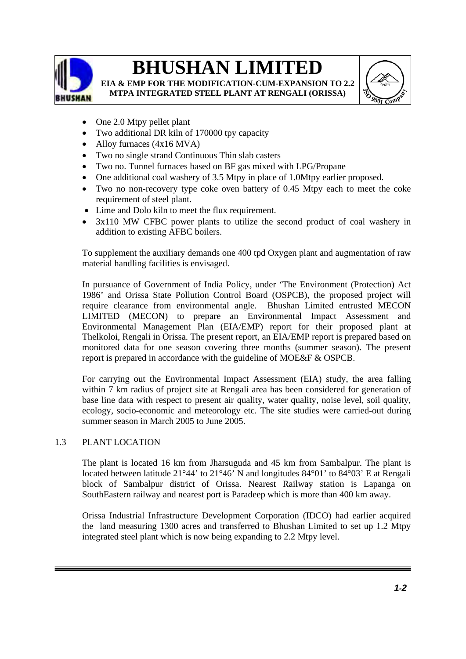

**EIA & EMP FOR THE MODIFICATION-CUM-EXPANSION TO 2.2 MTPA INTEGRATED STEEL PLANT AT RENGALI (ORISSA)**



- One 2.0 Mtpy pellet plant
- Two additional DR kiln of 170000 tpy capacity
- Alloy furnaces (4x16 MVA)
- Two no single strand Continuous Thin slab casters
- Two no. Tunnel furnaces based on BF gas mixed with LPG/Propane
- One additional coal washery of 3.5 Mtpy in place of 1.0Mtpy earlier proposed.
- Two no non-recovery type coke oven battery of 0.45 Mtpy each to meet the coke requirement of steel plant.
- Lime and Dolo kiln to meet the flux requirement.
- 3x110 MW CFBC power plants to utilize the second product of coal washery in addition to existing AFBC boilers.

To supplement the auxiliary demands one 400 tpd Oxygen plant and augmentation of raw material handling facilities is envisaged.

In pursuance of Government of India Policy, under 'The Environment (Protection) Act 1986' and Orissa State Pollution Control Board (OSPCB), the proposed project will require clearance from environmental angle. Bhushan Limited entrusted MECON LIMITED (MECON) to prepare an Environmental Impact Assessment and Environmental Management Plan (EIA/EMP) report for their proposed plant at Thelkoloi, Rengali in Orissa. The present report, an EIA/EMP report is prepared based on monitored data for one season covering three months (summer season). The present report is prepared in accordance with the guideline of MOE&F & OSPCB.

For carrying out the Environmental Impact Assessment (EIA) study, the area falling within 7 km radius of project site at Rengali area has been considered for generation of base line data with respect to present air quality, water quality, noise level, soil quality, ecology, socio-economic and meteorology etc. The site studies were carried-out during summer season in March 2005 to June 2005.

### 1.3 PLANT LOCATION

The plant is located 16 km from Jharsuguda and 45 km from Sambalpur. The plant is located between latitude 21°44' to 21°46' N and longitudes 84°01' to 84°03' E at Rengali block of Sambalpur district of Orissa. Nearest Railway station is Lapanga on SouthEastern railway and nearest port is Paradeep which is more than 400 km away.

Orissa Industrial Infrastructure Development Corporation (IDCO) had earlier acquired the land measuring 1300 acres and transferred to Bhushan Limited to set up 1.2 Mtpy integrated steel plant which is now being expanding to 2.2 Mtpy level.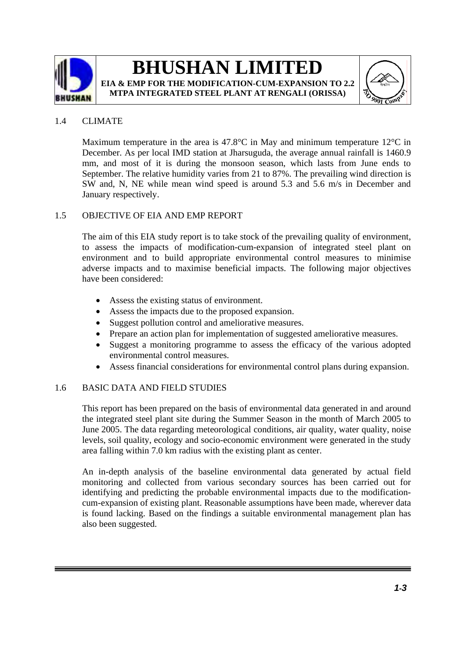



### 1.4 CLIMATE

Maximum temperature in the area is 47.8 $^{\circ}$ C in May and minimum temperature 12 $^{\circ}$ C in December. As per local IMD station at Jharsuguda, the average annual rainfall is 1460.9 mm, and most of it is during the monsoon season, which lasts from June ends to September. The relative humidity varies from 21 to 87%. The prevailing wind direction is SW and, N, NE while mean wind speed is around 5.3 and 5.6 m/s in December and January respectively.

## 1.5 OBJECTIVE OF EIA AND EMP REPORT

The aim of this EIA study report is to take stock of the prevailing quality of environment, to assess the impacts of modification-cum-expansion of integrated steel plant on environment and to build appropriate environmental control measures to minimise adverse impacts and to maximise beneficial impacts. The following major objectives have been considered:

- Assess the existing status of environment.
- Assess the impacts due to the proposed expansion.
- Suggest pollution control and ameliorative measures.
- Prepare an action plan for implementation of suggested ameliorative measures.
- Suggest a monitoring programme to assess the efficacy of the various adopted environmental control measures.
- Assess financial considerations for environmental control plans during expansion.

### 1.6 BASIC DATA AND FIELD STUDIES

This report has been prepared on the basis of environmental data generated in and around the integrated steel plant site during the Summer Season in the month of March 2005 to June 2005. The data regarding meteorological conditions, air quality, water quality, noise levels, soil quality, ecology and socio-economic environment were generated in the study area falling within 7.0 km radius with the existing plant as center.

An in-depth analysis of the baseline environmental data generated by actual field monitoring and collected from various secondary sources has been carried out for identifying and predicting the probable environmental impacts due to the modificationcum-expansion of existing plant. Reasonable assumptions have been made, wherever data is found lacking. Based on the findings a suitable environmental management plan has also been suggested.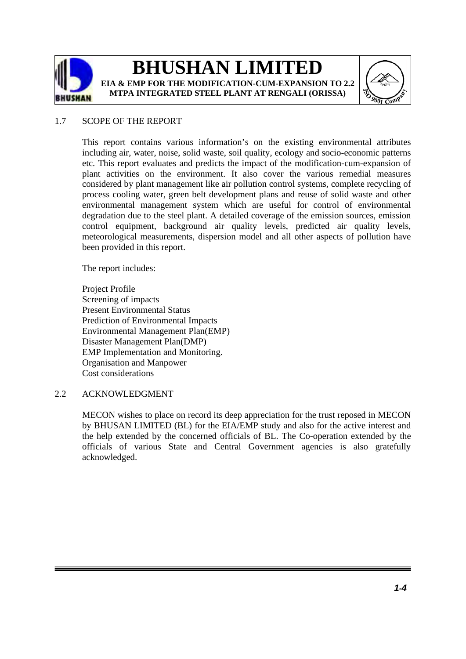



### 1.7 SCOPE OF THE REPORT

This report contains various information's on the existing environmental attributes including air, water, noise, solid waste, soil quality, ecology and socio-economic patterns etc. This report evaluates and predicts the impact of the modification-cum-expansion of plant activities on the environment. It also cover the various remedial measures considered by plant management like air pollution control systems, complete recycling of process cooling water, green belt development plans and reuse of solid waste and other environmental management system which are useful for control of environmental degradation due to the steel plant. A detailed coverage of the emission sources, emission control equipment, background air quality levels, predicted air quality levels, meteorological measurements, dispersion model and all other aspects of pollution have been provided in this report.

The report includes:

Project Profile Screening of impacts Present Environmental Status Prediction of Environmental Impacts Environmental Management Plan(EMP) Disaster Management Plan(DMP) EMP Implementation and Monitoring. Organisation and Manpower Cost considerations

#### 2.2 ACKNOWLEDGMENT

MECON wishes to place on record its deep appreciation for the trust reposed in MECON by BHUSAN LIMITED (BL) for the EIA/EMP study and also for the active interest and the help extended by the concerned officials of BL. The Co-operation extended by the officials of various State and Central Government agencies is also gratefully acknowledged.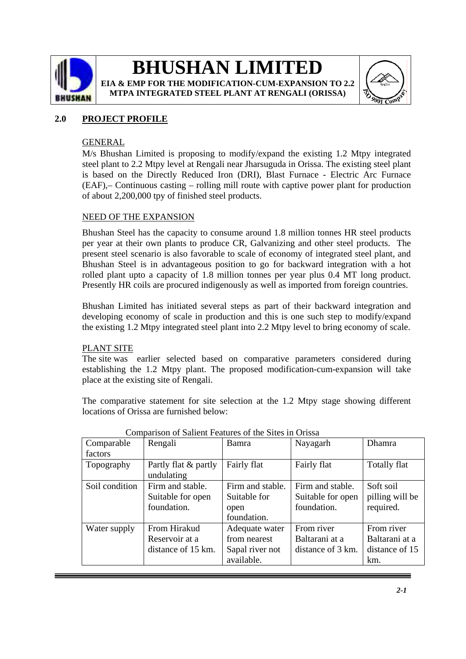

**EIA & EMP FOR THE MODIFICATION-CUM-EXPANSION TO 2.2 MTPA INTEGRATED STEEL PLANT AT RENGALI (ORISSA)**



## **2.0 PROJECT PROFILE**

### GENERAL

M/s Bhushan Limited is proposing to modify/expand the existing 1.2 Mtpy integrated steel plant to 2.2 Mtpy level at Rengali near Jharsuguda in Orissa. The existing steel plant is based on the Directly Reduced Iron (DRI), Blast Furnace - Electric Arc Furnace (EAF),– Continuous casting – rolling mill route with captive power plant for production of about 2,200,000 tpy of finished steel products.

### NEED OF THE EXPANSION

Bhushan Steel has the capacity to consume around 1.8 million tonnes HR steel products per year at their own plants to produce CR, Galvanizing and other steel products. The present steel scenario is also favorable to scale of economy of integrated steel plant, and Bhushan Steel is in advantageous position to go for backward integration with a hot rolled plant upto a capacity of 1.8 million tonnes per year plus 0.4 MT long product. Presently HR coils are procured indigenously as well as imported from foreign countries.

Bhushan Limited has initiated several steps as part of their backward integration and developing economy of scale in production and this is one such step to modify/expand the existing 1.2 Mtpy integrated steel plant into 2.2 Mtpy level to bring economy of scale.

#### PLANT SITE

The site was earlier selected based on comparative parameters considered during establishing the 1.2 Mtpy plant. The proposed modification-cum-expansion will take place at the existing site of Rengali.

The comparative statement for site selection at the 1.2 Mtpy stage showing different locations of Orissa are furnished below:

| Comparable     | Rengali                            | Bamra            | Nayagarh          | Dhamra          |
|----------------|------------------------------------|------------------|-------------------|-----------------|
| factors        |                                    |                  |                   |                 |
| Topography     | Partly flat & partly<br>undulating | Fairly flat      | Fairly flat       | Totally flat    |
| Soil condition | Firm and stable.                   | Firm and stable. | Firm and stable.  | Soft soil       |
|                | Suitable for open                  | Suitable for     | Suitable for open | pilling will be |
|                | foundation.                        | open             | foundation.       | required.       |
|                |                                    | foundation.      |                   |                 |
| Water supply   | From Hirakud                       | Adequate water   | From river        | From river      |
|                | Reservoir at a                     | from nearest     | Baltarani at a    | Baltarani at a  |
|                | distance of 15 km.                 | Sapal river not  | distance of 3 km. | distance of 15  |
|                |                                    | available.       |                   | km.             |

#### Comparison of Salient Features of the Sites in Orissa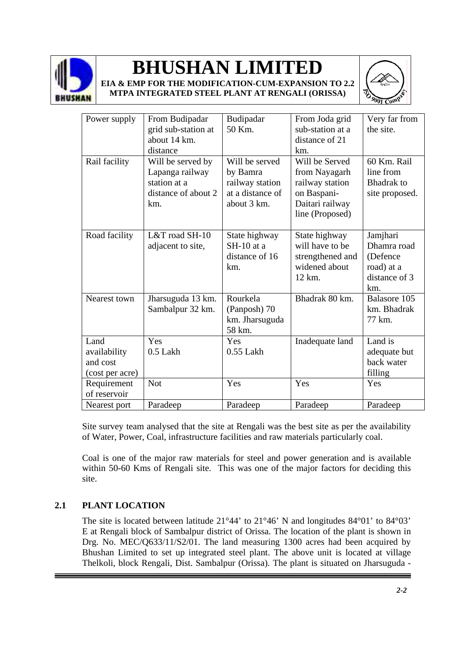

**EIA & EMP FOR THE MODIFICATION-CUM-EXPANSION TO 2.2 MTPA INTEGRATED STEEL PLANT AT RENGALI (ORISSA)**



| Power supply                                        | From Budipadar<br>grid sub-station at<br>about 14 km.<br>distance                  | Budipadar<br>50 Km.                                                              | From Joda grid<br>sub-station at a<br>distance of 21<br>km.                                             | Very far from<br>the site.                                                |
|-----------------------------------------------------|------------------------------------------------------------------------------------|----------------------------------------------------------------------------------|---------------------------------------------------------------------------------------------------------|---------------------------------------------------------------------------|
| Rail facility                                       | Will be served by<br>Lapanga railway<br>station at a<br>distance of about 2<br>km. | Will be served<br>by Bamra<br>railway station<br>at a distance of<br>about 3 km. | Will be Served<br>from Nayagarh<br>railway station<br>on Baspani-<br>Daitari railway<br>line (Proposed) | 60 Km. Rail<br>line from<br><b>Bhadrak</b> to<br>site proposed.           |
| Road facility                                       | L&T road SH-10<br>adjacent to site,                                                | State highway<br>$SH-10$ at a<br>distance of 16<br>km.                           | State highway<br>will have to be<br>strengthened and<br>widened about<br>12 km.                         | Jamjhari<br>Dhamra road<br>(Defence<br>road) at a<br>distance of 3<br>km. |
| Nearest town                                        | Jharsuguda 13 km.<br>Sambalpur 32 km.                                              | Rourkela<br>(Panposh) 70<br>km. Jharsuguda<br>58 km.                             | Bhadrak 80 km.                                                                                          | Balasore 105<br>km. Bhadrak<br>77 km.                                     |
| Land<br>availability<br>and cost<br>(cost per acre) | Yes<br>0.5 Lakh                                                                    | Yes<br>$0.55$ Lakh                                                               | Inadequate land                                                                                         | Land is<br>adequate but<br>back water<br>filling                          |
| Requirement<br>of reservoir                         | <b>Not</b>                                                                         | Yes                                                                              | Yes                                                                                                     | Yes                                                                       |
| Nearest port                                        | Paradeep                                                                           | Paradeep                                                                         | Paradeep                                                                                                | Paradeep                                                                  |

Site survey team analysed that the site at Rengali was the best site as per the availability of Water, Power, Coal, infrastructure facilities and raw materials particularly coal.

Coal is one of the major raw materials for steel and power generation and is available within 50-60 Kms of Rengali site. This was one of the major factors for deciding this site.

## **2.1 PLANT LOCATION**

The site is located between latitude 21°44' to 21°46' N and longitudes 84°01' to 84°03' E at Rengali block of Sambalpur district of Orissa. The location of the plant is shown in Drg. No. MEC/Q633/11/S2/01. The land measuring 1300 acres had been acquired by Bhushan Limited to set up integrated steel plant. The above unit is located at village Thelkoli, block Rengali, Dist. Sambalpur (Orissa). The plant is situated on Jharsuguda -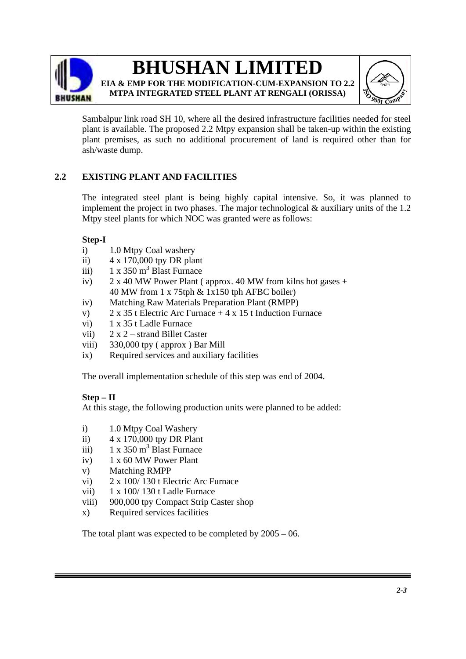

## **BHUSHAN LIMITED EIA & EMP FOR THE MODIFICATION-CUM-EXPANSION TO 2.2**



**MTPA INTEGRATED STEEL PLANT AT RENGALI (ORISSA)**

Sambalpur link road SH 10, where all the desired infrastructure facilities needed for steel plant is available. The proposed 2.2 Mtpy expansion shall be taken-up within the existing plant premises, as such no additional procurement of land is required other than for ash/waste dump.

## **2.2 EXISTING PLANT AND FACILITIES**

The integrated steel plant is being highly capital intensive. So, it was planned to implement the project in two phases. The major technological  $\&$  auxiliary units of the 1.2 Mtpy steel plants for which NOC was granted were as follows:

## **Step-I**

- i) 1.0 Mtpy Coal washery
- ii) 4 x 170,000 tpy DR plant
- iii)  $1 \times 350$  m<sup>3</sup> Blast Furnace
- iv)  $2 \times 40$  MW Power Plant ( approx. 40 MW from kilns hot gases + 40 MW from 1 x 75tph & 1x150 tph AFBC boiler)
- iv) Matching Raw Materials Preparation Plant (RMPP)
- v)  $2 \times 35$  t Electric Arc Furnace + 4 x 15 t Induction Furnace
- vi) 1 x 35 t Ladle Furnace
- vii)  $2 \times 2$  strand Billet Caster
- viii) 330,000 tpy ( approx ) Bar Mill
- ix) Required services and auxiliary facilities

The overall implementation schedule of this step was end of 2004.

## **Step – II**

At this stage, the following production units were planned to be added:

- i) 1.0 Mtpy Coal Washery
- ii) 4 x 170,000 tpy DR Plant
- iii)  $1 \times 350 \text{ m}^3$  Blast Furnace
- iv) 1 x 60 MW Power Plant
- v) Matching RMPP
- vi) 2 x 100/ 130 t Electric Arc Furnace
- vii) 1 x 100/ 130 t Ladle Furnace
- viii) 900,000 tpy Compact Strip Caster shop
- x) Required services facilities

The total plant was expected to be completed by 2005 – 06.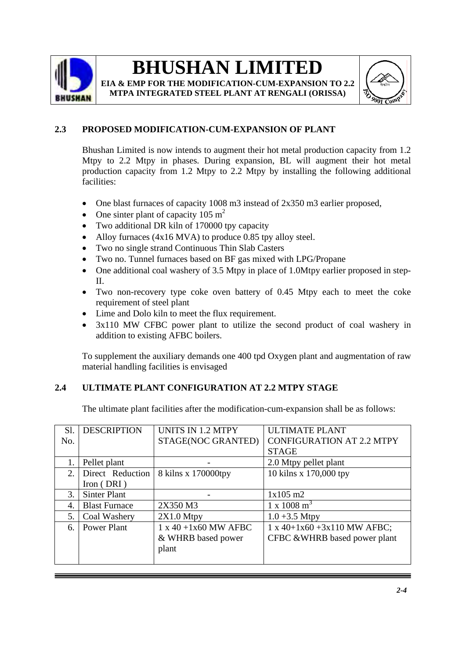

**EIA & EMP FOR THE MODIFICATION-CUM-EXPANSION TO 2.2 MTPA INTEGRATED STEEL PLANT AT RENGALI (ORISSA)**



## **2.3 PROPOSED MODIFICATION-CUM-EXPANSION OF PLANT**

Bhushan Limited is now intends to augment their hot metal production capacity from 1.2 Mtpy to 2.2 Mtpy in phases. During expansion, BL will augment their hot metal production capacity from 1.2 Mtpy to 2.2 Mtpy by installing the following additional facilities:

- One blast furnaces of capacity 1008 m3 instead of 2x350 m3 earlier proposed,
- One sinter plant of capacity  $105 \text{ m}^2$
- Two additional DR kiln of 170000 tpy capacity
- Alloy furnaces (4x16 MVA) to produce 0.85 tpy alloy steel.
- Two no single strand Continuous Thin Slab Casters
- Two no. Tunnel furnaces based on BF gas mixed with LPG/Propane
- One additional coal washery of 3.5 Mtpy in place of 1.0Mtpy earlier proposed in step-II.
- Two non-recovery type coke oven battery of 0.45 Mtpy each to meet the coke requirement of steel plant
- Lime and Dolo kiln to meet the flux requirement.
- 3x110 MW CFBC power plant to utilize the second product of coal washery in addition to existing AFBC boilers.

To supplement the auxiliary demands one 400 tpd Oxygen plant and augmentation of raw material handling facilities is envisaged

## **2.4 ULTIMATE PLANT CONFIGURATION AT 2.2 MTPY STAGE**

The ultimate plant facilities after the modification-cum-expansion shall be as follows:

| Sl.              | <b>DESCRIPTION</b>   | <b>UNITS IN 1.2 MTPY</b> | <b>ULTIMATE PLANT</b>            |
|------------------|----------------------|--------------------------|----------------------------------|
|                  |                      |                          |                                  |
| No.              |                      | STAGE(NOC GRANTED)       | <b>CONFIGURATION AT 2.2 MTPY</b> |
|                  |                      |                          | <b>STAGE</b>                     |
| 1.               | Pellet plant         |                          | 2.0 Mtpy pellet plant            |
| 2.               | Direct Reduction     | 8 kilns x 170000tpy      | 10 kilns x 170,000 tpy           |
|                  | Iron $(DRI)$         |                          |                                  |
| 3.               | <b>Sinter Plant</b>  |                          | $1x105$ m2                       |
| $\overline{4}$ . | <b>Blast Furnace</b> | 2X350 M3                 | $1 \times 1008$ m <sup>3</sup>   |
| 5.               | Coal Washery         | $2X1.0$ Mtpy             | $1.0 + 3.5$ Mtpy                 |
| 6.               | <b>Power Plant</b>   | $1 x 40 + 1x60 MW$ AFBC  | $1 x 40+1x60 +3x110 MW AFBC;$    |
|                  |                      | & WHRB based power       | CFBC &WHRB based power plant     |
|                  |                      | plant                    |                                  |
|                  |                      |                          |                                  |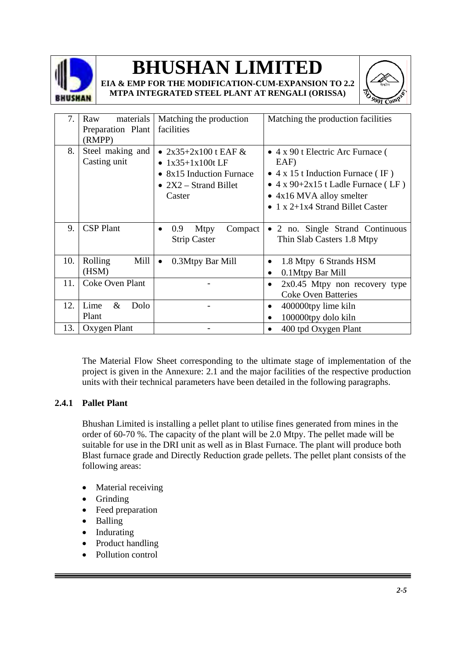





**MTPA INTEGRATED STEEL PLANT AT RENGALI (ORISSA)**

| 7.  | materials<br>Raw<br>Preparation Plant | Matching the production<br>facilities                                                                         | Matching the production facilities                                                                                                                                                                                                |
|-----|---------------------------------------|---------------------------------------------------------------------------------------------------------------|-----------------------------------------------------------------------------------------------------------------------------------------------------------------------------------------------------------------------------------|
|     | (RMPP)                                |                                                                                                               |                                                                                                                                                                                                                                   |
| 8.  | Steel making and<br>Casting unit      | • $2x35+2x100$ t EAF &<br>• $1x35+1x100t$ LF<br>• 8x15 Induction Furnace<br>• $2X2$ – Strand Billet<br>Caster | $\bullet$ 4 x 90 t Electric Arc Furnace (<br>EAF)<br>• $4 \times 15$ t Induction Furnace (IF)<br>• $4 \times 90 + 2 \times 15$ t Ladle Furnace (LF)<br>• 4x16 MVA alloy smelter<br>• $1 \times 2+1 \times 4$ Strand Billet Caster |
| 9.  | <b>CSP</b> Plant                      | 0.9<br><b>Mtpy</b><br>Compact<br><b>Strip Caster</b>                                                          | • 2 no. Single Strand Continuous<br>Thin Slab Casters 1.8 Mtpy                                                                                                                                                                    |
| 10. | Rolling<br>Mill<br>(HSM)              | 0.3Mtpy Bar Mill<br>$\bullet$                                                                                 | 1.8 Mtpy 6 Strands HSM<br>0.1Mtpy Bar Mill<br>٠                                                                                                                                                                                   |
| 11. | <b>Coke Oven Plant</b>                |                                                                                                               | $2x0.45$ Mtpy non recovery type<br>٠<br><b>Coke Oven Batteries</b>                                                                                                                                                                |
| 12. | Lime<br>$\&$<br>Dolo<br>Plant         |                                                                                                               | 400000tpy lime kiln<br>٠<br>100000tpy dolo kiln                                                                                                                                                                                   |
| 13. | Oxygen Plant                          |                                                                                                               | 400 tpd Oxygen Plant                                                                                                                                                                                                              |

The Material Flow Sheet corresponding to the ultimate stage of implementation of the project is given in the Annexure: 2.1 and the major facilities of the respective production units with their technical parameters have been detailed in the following paragraphs.

## **2.4.1 Pallet Plant**

Bhushan Limited is installing a pellet plant to utilise fines generated from mines in the order of 60-70 %. The capacity of the plant will be 2.0 Mtpy. The pellet made will be suitable for use in the DRI unit as well as in Blast Furnace. The plant will produce both Blast furnace grade and Directly Reduction grade pellets. The pellet plant consists of the following areas:

- Material receiving
- Grinding
- Feed preparation
- Balling
- Indurating
- Product handling
- Pollution control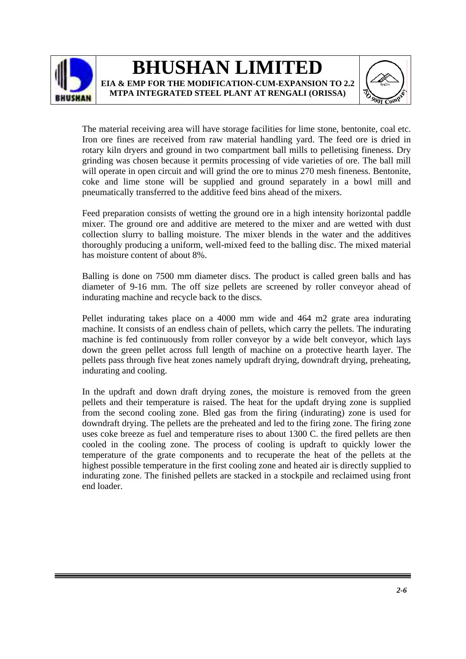



The material receiving area will have storage facilities for lime stone, bentonite, coal etc. Iron ore fines are received from raw material handling yard. The feed ore is dried in rotary kiln dryers and ground in two compartment ball mills to pelletising fineness. Dry grinding was chosen because it permits processing of vide varieties of ore. The ball mill will operate in open circuit and will grind the ore to minus 270 mesh fineness. Bentonite, coke and lime stone will be supplied and ground separately in a bowl mill and pneumatically transferred to the additive feed bins ahead of the mixers.

Feed preparation consists of wetting the ground ore in a high intensity horizontal paddle mixer. The ground ore and additive are metered to the mixer and are wetted with dust collection slurry to balling moisture. The mixer blends in the water and the additives thoroughly producing a uniform, well-mixed feed to the balling disc. The mixed material has moisture content of about 8%.

Balling is done on 7500 mm diameter discs. The product is called green balls and has diameter of 9-16 mm. The off size pellets are screened by roller conveyor ahead of indurating machine and recycle back to the discs.

Pellet indurating takes place on a 4000 mm wide and 464 m2 grate area indurating machine. It consists of an endless chain of pellets, which carry the pellets. The indurating machine is fed continuously from roller conveyor by a wide belt conveyor, which lays down the green pellet across full length of machine on a protective hearth layer. The pellets pass through five heat zones namely updraft drying, downdraft drying, preheating, indurating and cooling.

In the updraft and down draft drying zones, the moisture is removed from the green pellets and their temperature is raised. The heat for the updaft drying zone is supplied from the second cooling zone. Bled gas from the firing (indurating) zone is used for downdraft drying. The pellets are the preheated and led to the firing zone. The firing zone uses coke breeze as fuel and temperature rises to about 1300 C. the fired pellets are then cooled in the cooling zone. The process of cooling is updraft to quickly lower the temperature of the grate components and to recuperate the heat of the pellets at the highest possible temperature in the first cooling zone and heated air is directly supplied to indurating zone. The finished pellets are stacked in a stockpile and reclaimed using front end loader.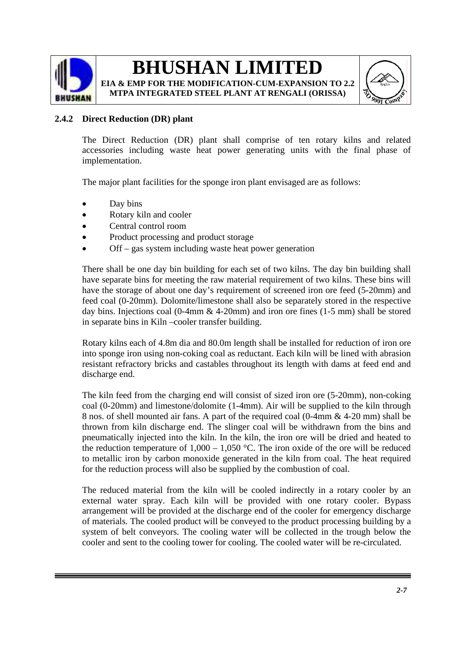

**EIA & EMP FOR THE MODIFICATION-CUM-EXPANSION TO 2.2 MTPA INTEGRATED STEEL PLANT AT RENGALI (ORISSA)**



## **2.4.2 Direct Reduction (DR) plant**

The Direct Reduction (DR) plant shall comprise of ten rotary kilns and related accessories including waste heat power generating units with the final phase of implementation.

The major plant facilities for the sponge iron plant envisaged are as follows:

- Day bins
- Rotary kiln and cooler
- Central control room
- Product processing and product storage
- Off gas system including waste heat power generation

There shall be one day bin building for each set of two kilns. The day bin building shall have separate bins for meeting the raw material requirement of two kilns. These bins will have the storage of about one day's requirement of screened iron ore feed (5-20mm) and feed coal (0-20mm). Dolomite/limestone shall also be separately stored in the respective day bins. Injections coal (0-4mm  $\&$  4-20mm) and iron ore fines (1-5 mm) shall be stored in separate bins in Kiln –cooler transfer building.

Rotary kilns each of 4.8m dia and 80.0m length shall be installed for reduction of iron ore into sponge iron using non-coking coal as reductant. Each kiln will be lined with abrasion resistant refractory bricks and castables throughout its length with dams at feed end and discharge end.

The kiln feed from the charging end will consist of sized iron ore (5-20mm), non-coking coal (0-20mm) and limestone/dolomite (1-4mm). Air will be supplied to the kiln through 8 nos. of shell mounted air fans. A part of the required coal (0-4mm & 4-20 mm) shall be thrown from kiln discharge end. The slinger coal will be withdrawn from the bins and pneumatically injected into the kiln. In the kiln, the iron ore will be dried and heated to the reduction temperature of  $1,000 - 1,050$  °C. The iron oxide of the ore will be reduced to metallic iron by carbon monoxide generated in the kiln from coal. The heat required for the reduction process will also be supplied by the combustion of coal.

The reduced material from the kiln will be cooled indirectly in a rotary cooler by an external water spray. Each kiln will be provided with one rotary cooler. Bypass arrangement will be provided at the discharge end of the cooler for emergency discharge of materials. The cooled product will be conveyed to the product processing building by a system of belt conveyors. The cooling water will be collected in the trough below the cooler and sent to the cooling tower for cooling. The cooled water will be re-circulated.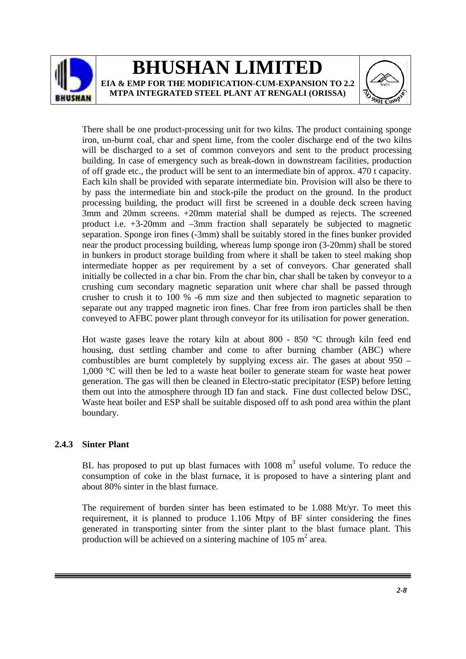



There shall be one product-processing unit for two kilns. The product containing sponge iron, un-burnt coal, char and spent lime, from the cooler discharge end of the two kilns will be discharged to a set of common conveyors and sent to the product processing building. In case of emergency such as break-down in downstream facilities, production of off grade etc., the product will be sent to an intermediate bin of approx. 470 t capacity. Each kiln shall be provided with separate intermediate bin. Provision will also be there to by pass the intermediate bin and stock-pile the product on the ground. In the product processing building, the product will first be screened in a double deck screen having 3mm and 20mm screens. +20mm material shall be dumped as rejects. The screened product i.e. +3-20mm and –3mm fraction shall separately be subjected to magnetic separation. Sponge iron fines (-3mm) shall be suitably stored in the fines bunker provided near the product processing building, whereas lump sponge iron (3-20mm) shall be stored in bunkers in product storage building from where it shall be taken to steel making shop intermediate hopper as per requirement by a set of conveyors. Char generated shall initially be collected in a char bin. From the char bin, char shall be taken by conveyor to a crushing cum secondary magnetic separation unit where char shall be passed through crusher to crush it to 100 % -6 mm size and then subjected to magnetic separation to separate out any trapped magnetic iron fines. Char free from iron particles shall be then conveyed to AFBC power plant through conveyor for its utilisation for power generation.

Hot waste gases leave the rotary kiln at about 800 - 850 °C through kiln feed end housing, dust settling chamber and come to after burning chamber (ABC) where combustibles are burnt completely by supplying excess air. The gases at about 950 – 1,000 °C will then be led to a waste heat boiler to generate steam for waste heat power generation. The gas will then be cleaned in Electro-static precipitator (ESP) before letting them out into the atmosphere through ID fan and stack. Fine dust collected below DSC, Waste heat boiler and ESP shall be suitable disposed off to ash pond area within the plant boundary.

### **2.4.3 Sinter Plant**

BL has proposed to put up blast furnaces with  $1008 \text{ m}^3$  useful volume. To reduce the consumption of coke in the blast furnace, it is proposed to have a sintering plant and about 80% sinter in the blast furnace.

The requirement of burden sinter has been estimated to be 1.088 Mt/yr. To meet this requirement, it is planned to produce 1.106 Mtpy of BF sinter considering the fines generated in transporting sinter from the sinter plant to the blast furnace plant. This production will be achieved on a sintering machine of  $105 \text{ m}^2$  area.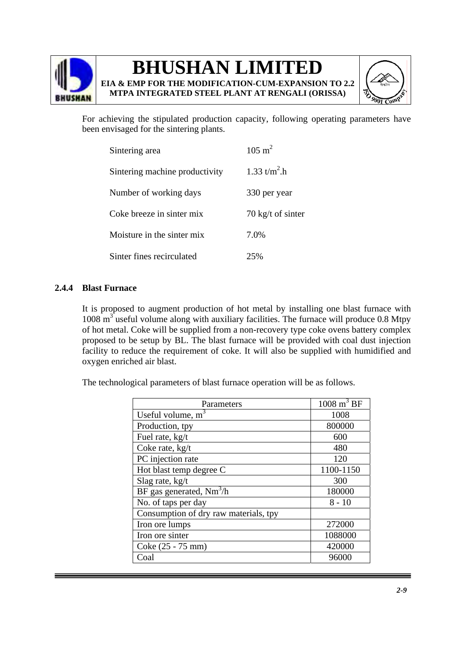

**EIA & EMP FOR THE MODIFICATION-CUM-EXPANSION TO 2.2 MTPA INTEGRATED STEEL PLANT AT RENGALI (ORISSA)**



For achieving the stipulated production capacity, following operating parameters have been envisaged for the sintering plants.

| Sintering area                 | $105 \text{ m}^2$           |
|--------------------------------|-----------------------------|
| Sintering machine productivity | 1.33 $t/m^2$ .h             |
| Number of working days         | 330 per year                |
| Coke breeze in sinter mix      | $70 \text{ kg/t}$ of sinter |
| Moisture in the sinter mix     | 7.0%                        |
| Sinter fines recirculated      | 25%                         |

### **2.4.4 Blast Furnace**

It is proposed to augment production of hot metal by installing one blast furnace with 1008 m<sup>3</sup> useful volume along with auxiliary facilities. The furnace will produce 0.8 Mtpy of hot metal. Coke will be supplied from a non-recovery type coke ovens battery complex proposed to be setup by BL. The blast furnace will be provided with coal dust injection facility to reduce the requirement of coke. It will also be supplied with humidified and oxygen enriched air blast.

The technological parameters of blast furnace operation will be as follows.

| Parameters                            | $\overline{1008 \text{ m}^3}$ BF |
|---------------------------------------|----------------------------------|
| Useful volume, $m3$                   | 1008                             |
| Production, tpy                       | 800000                           |
| Fuel rate, kg/t                       | 600                              |
| Coke rate, kg/t                       | 480                              |
| PC injection rate                     | 120                              |
| Hot blast temp degree C               | 1100-1150                        |
| Slag rate, $kg/t$                     | 300                              |
| BF gas generated, $Nm^3/h$            | 180000                           |
| No. of taps per day                   | $8 - 10$                         |
| Consumption of dry raw materials, tpy |                                  |
| Iron ore lumps                        | 272000                           |
| Iron ore sinter                       | 1088000                          |
| Coke (25 - 75 mm)                     | 420000                           |
| Coal                                  | 96000                            |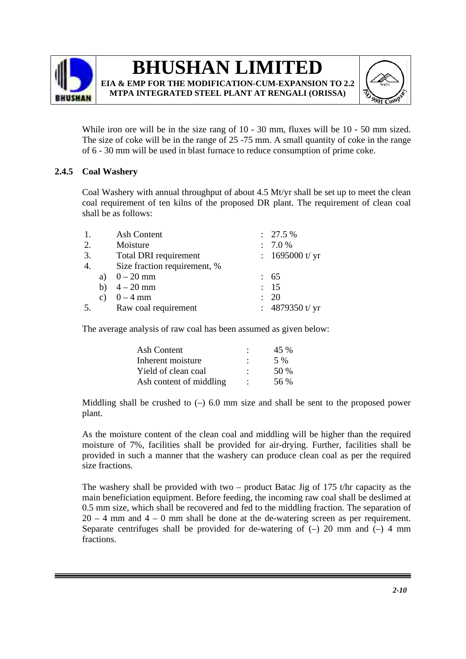



While iron ore will be in the size rang of 10 - 30 mm, fluxes will be 10 - 50 mm sized. The size of coke will be in the range of 25 -75 mm. A small quantity of coke in the range of 6 - 30 mm will be used in blast furnace to reduce consumption of prime coke.

### **2.4.5 Coal Washery**

Coal Washery with annual throughput of about 4.5 Mt/yr shall be set up to meet the clean coal requirement of ten kilns of the proposed DR plant. The requirement of clean coal shall be as follows:

| 1. | Ash Content                  | $: 27.5 \%$       |
|----|------------------------------|-------------------|
| 2. | Moisture                     | : 7.0 %           |
| 3. | Total DRI requirement        | : $1695000$ t/ yr |
| 4. | Size fraction requirement, % |                   |
|    | a) $0 - 20$ mm               | : 65              |
|    | b) $4 - 20$ mm               | : 15              |
|    | c) $0 - 4 mm$                | $\therefore$ 20   |
| 5. | Raw coal requirement         | : $4879350$ t/ yr |

The average analysis of raw coal has been assumed as given below:

| Ash Content             | 45 %  |
|-------------------------|-------|
| Inherent moisture       | 5 %   |
| Yield of clean coal     | .50 % |
| Ash content of middling | 56 %  |

Middling shall be crushed to  $(-)$  6.0 mm size and shall be sent to the proposed power plant.

As the moisture content of the clean coal and middling will be higher than the required moisture of 7%, facilities shall be provided for air-drying. Further, facilities shall be provided in such a manner that the washery can produce clean coal as per the required size fractions.

The washery shall be provided with two – product Batac Jig of 175 t/hr capacity as the main beneficiation equipment. Before feeding, the incoming raw coal shall be deslimed at 0.5 mm size, which shall be recovered and fed to the middling fraction. The separation of  $20 - 4$  mm and  $4 - 0$  mm shall be done at the de-watering screen as per requirement. Separate centrifuges shall be provided for de-watering of  $(-)$  20 mm and  $(-)$  4 mm fractions.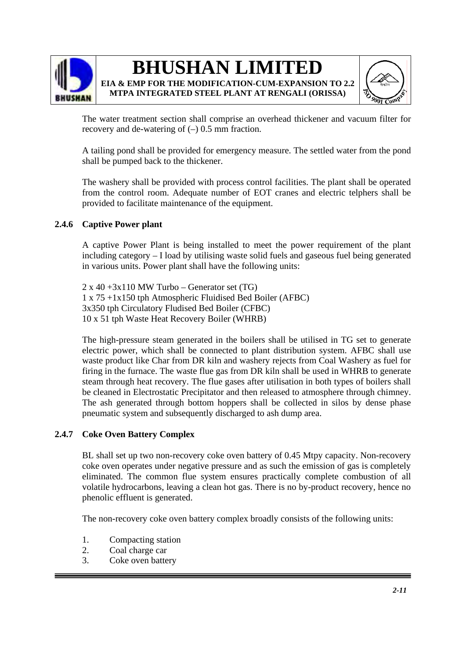



The water treatment section shall comprise an overhead thickener and vacuum filter for recovery and de-watering of  $(-)$  0.5 mm fraction.

A tailing pond shall be provided for emergency measure. The settled water from the pond shall be pumped back to the thickener.

The washery shall be provided with process control facilities. The plant shall be operated from the control room. Adequate number of EOT cranes and electric telphers shall be provided to facilitate maintenance of the equipment.

#### **2.4.6 Captive Power plant**

A captive Power Plant is being installed to meet the power requirement of the plant including category – I load by utilising waste solid fuels and gaseous fuel being generated in various units. Power plant shall have the following units:

 $2 \times 40 + 3 \times 110$  MW Turbo – Generator set (TG) 1 x 75 +1x150 tph Atmospheric Fluidised Bed Boiler (AFBC) 3x350 tph Circulatory Fludised Bed Boiler (CFBC) 10 x 51 tph Waste Heat Recovery Boiler (WHRB)

The high-pressure steam generated in the boilers shall be utilised in TG set to generate electric power, which shall be connected to plant distribution system. AFBC shall use waste product like Char from DR kiln and washery rejects from Coal Washery as fuel for firing in the furnace. The waste flue gas from DR kiln shall be used in WHRB to generate steam through heat recovery. The flue gases after utilisation in both types of boilers shall be cleaned in Electrostatic Precipitator and then released to atmosphere through chimney. The ash generated through bottom hoppers shall be collected in silos by dense phase pneumatic system and subsequently discharged to ash dump area.

#### **2.4.7 Coke Oven Battery Complex**

BL shall set up two non-recovery coke oven battery of 0.45 Mtpy capacity. Non-recovery coke oven operates under negative pressure and as such the emission of gas is completely eliminated. The common flue system ensures practically complete combustion of all volatile hydrocarbons, leaving a clean hot gas. There is no by-product recovery, hence no phenolic effluent is generated.

The non-recovery coke oven battery complex broadly consists of the following units:

- 1. Compacting station
- 2. Coal charge car
- 3. Coke oven battery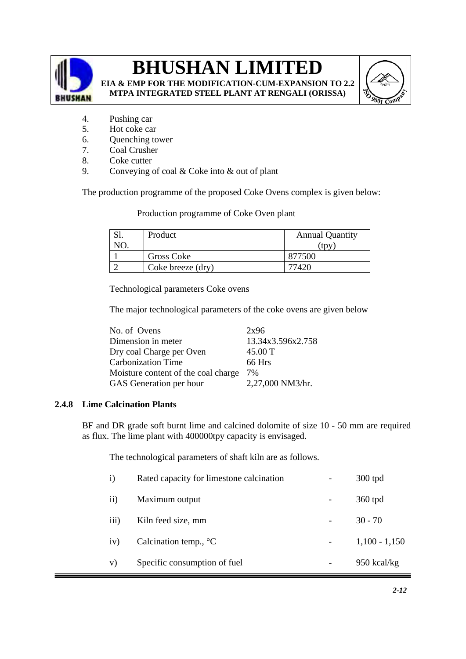

**EIA & EMP FOR THE MODIFICATION-CUM-EXPANSION TO 2.2 MTPA INTEGRATED STEEL PLANT AT RENGALI (ORISSA)**



- 4. Pushing car
- 5. Hot coke car
- 6. Quenching tower
- 7. Coal Crusher
- 8. Coke cutter
- 9. Conveying of coal & Coke into & out of plant

The production programme of the proposed Coke Ovens complex is given below:

Production programme of Coke Oven plant

| Product           | <b>Annual Quantity</b> |
|-------------------|------------------------|
|                   | tpy                    |
| Gross Coke        | 877500                 |
| Coke breeze (dry) |                        |

Technological parameters Coke ovens

The major technological parameters of the coke ovens are given below

| 2x96              |
|-------------------|
| 13.34x3.596x2.758 |
| 45.00 T           |
| 66 Hrs            |
| 7%                |
| 2,27,000 NM3/hr.  |
|                   |

## **2.4.8 Lime Calcination Plants**

BF and DR grade soft burnt lime and calcined dolomite of size 10 - 50 mm are required as flux. The lime plant with 400000tpy capacity is envisaged.

The technological parameters of shaft kiln are as follows.

| $\mathbf{i}$ | Rated capacity for limestone calcination | 300 tpd         |
|--------------|------------------------------------------|-----------------|
| $\rm ii)$    | Maximum output                           | 360 tpd         |
| iii)         | Kiln feed size, mm                       | $30 - 70$       |
| iv)          | Calcination temp., $^{\circ}C$           | $1,100 - 1,150$ |
| V)           | Specific consumption of fuel             | $950$ kcal/kg   |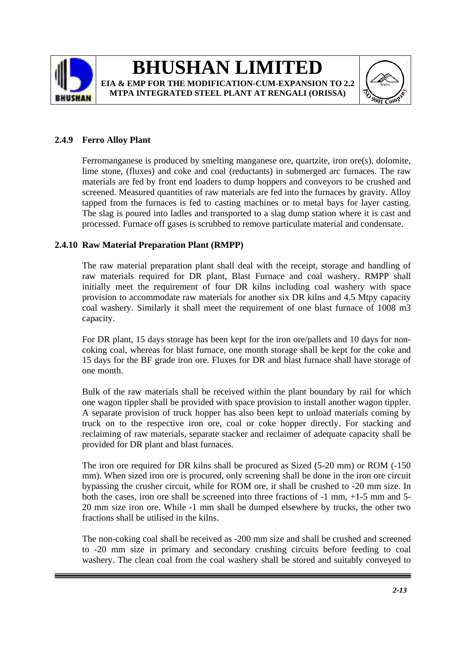



## **2.4.9 Ferro Alloy Plant**

Ferromanganese is produced by smelting manganese ore, quartzite, iron ore(s), dolomite, lime stone, (fluxes) and coke and coal (reductants) in submerged arc furnaces. The raw materials are fed by front end loaders to dump hoppers and conveyors to be crushed and screened. Measured quantities of raw materials are fed into the furnaces by gravity. Alloy tapped from the furnaces is fed to casting machines or to metal bays for layer casting. The slag is poured into ladles and transported to a slag dump station where it is cast and processed. Furnace off gases is scrubbed to remove particulate material and condensate.

### **2.4.10 Raw Material Preparation Plant (RMPP)**

The raw material preparation plant shall deal with the receipt, storage and handling of raw materials required for DR plant, Blast Furnace and coal washery. RMPP shall initially meet the requirement of four DR kilns including coal washery with space provision to accommodate raw materials for another six DR kilns and 4.5 Mtpy capacity coal washery. Similarly it shall meet the requirement of one blast furnace of 1008 m3 capacity.

For DR plant, 15 days storage has been kept for the iron ore/pallets and 10 days for noncoking coal, whereas for blast furnace, one month storage shall be kept for the coke and 15 days for the BF grade iron ore. Fluxes for DR and blast furnace shall have storage of one month.

Bulk of the raw materials shall be received within the plant boundary by rail for which one wagon tippler shall be provided with space provision to install another wagon tippler. A separate provision of truck hopper has also been kept to unload materials coming by truck on to the respective iron ore, coal or coke hopper directly. For stacking and reclaiming of raw materials, separate stacker and reclaimer of adequate capacity shall be provided for DR plant and blast furnaces.

The iron ore required for DR kilns shall be procured as Sized (5-20 mm) or ROM (-150 mm). When sized iron ore is procured, only screening shall be done in the iron ore circuit bypassing the crusher circuit, while for ROM ore, it shall be crushed to -20 mm size. In both the cases, iron ore shall be screened into three fractions of -1 mm, +1-5 mm and 5- 20 mm size iron ore. While -1 mm shall be dumped elsewhere by trucks, the other two fractions shall be utilised in the kilns.

The non-coking coal shall be received as -200 mm size and shall be crushed and screened to -20 mm size in primary and secondary crushing circuits before feeding to coal washery. The clean coal from the coal washery shall be stored and suitably conveyed to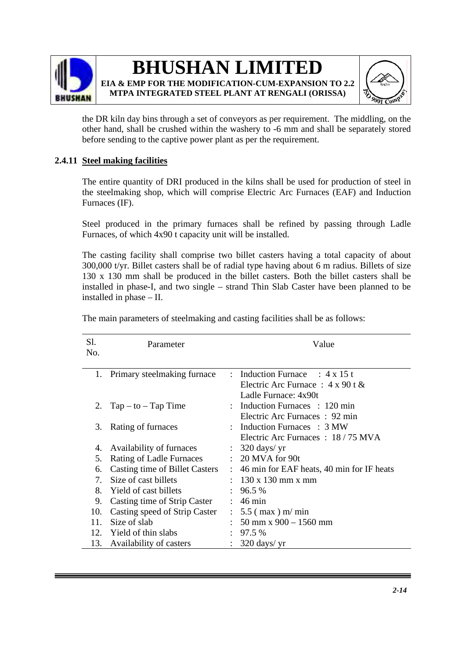



the DR kiln day bins through a set of conveyors as per requirement. The middling, on the other hand, shall be crushed within the washery to -6 mm and shall be separately stored before sending to the captive power plant as per the requirement.

## **2.4.11 Steel making facilities**

The entire quantity of DRI produced in the kilns shall be used for production of steel in the steelmaking shop, which will comprise Electric Arc Furnaces (EAF) and Induction Furnaces (IF).

Steel produced in the primary furnaces shall be refined by passing through Ladle Furnaces, of which 4x90 t capacity unit will be installed.

The casting facility shall comprise two billet casters having a total capacity of about 300,000 t/yr. Billet casters shall be of radial type having about 6 m radius. Billets of size 130 x 130 mm shall be produced in the billet casters. Both the billet casters shall be installed in phase-I, and two single – strand Thin Slab Caster have been planned to be installed in phase – II.

| Sl.<br>No.                       | Parameter                             |                           | Value                                                                                                    |
|----------------------------------|---------------------------------------|---------------------------|----------------------------------------------------------------------------------------------------------|
|                                  | 1. Primary steelmaking furnace        |                           | : Induction Furnace : $4 \times 15$ t<br>Electric Arc Furnace: $4 \times 90$ t &<br>Ladle Furnace: 4x90t |
|                                  | 2. $Tap - to - Tap Time$              |                           | : Induction Furnaces : 120 min<br>Electric Arc Furnaces: 92 min                                          |
| 3.                               | Rating of furnaces                    |                           | : Induction Furnaces : 3 MW<br>Electric Arc Furnaces : 18/75 MVA                                         |
| 4.                               | Availability of furnaces              |                           | $\therefore$ 320 days/ yr                                                                                |
| 5.                               | <b>Rating of Ladle Furnaces</b>       |                           | $\therefore$ 20 MVA for 90t                                                                              |
| 6.                               | <b>Casting time of Billet Casters</b> | $\mathbb{R}^{\mathbb{Z}}$ | 46 min for EAF heats, 40 min for IF heats                                                                |
| $7_{\scriptscriptstyle{\ddots}}$ | Size of cast billets                  |                           | : $130 \times 130$ mm x mm                                                                               |
| 8.                               | Yield of cast billets                 |                           | : 96.5%                                                                                                  |
| 9.                               | Casting time of Strip Caster          |                           | $: 46 \text{ min}$                                                                                       |
| 10.                              | Casting speed of Strip Caster         |                           | $\therefore$ 5.5 (max) m/min                                                                             |
| 11.                              | Size of slab                          |                           | $\therefore$ 50 mm x 900 – 1560 mm                                                                       |
| 12.                              | Yield of thin slabs                   |                           | 97.5 %                                                                                                   |
| 13.                              | Availability of casters               | $\ddot{\phantom{a}}$      | $320 \text{ days/ yr}$                                                                                   |

The main parameters of steelmaking and casting facilities shall be as follows: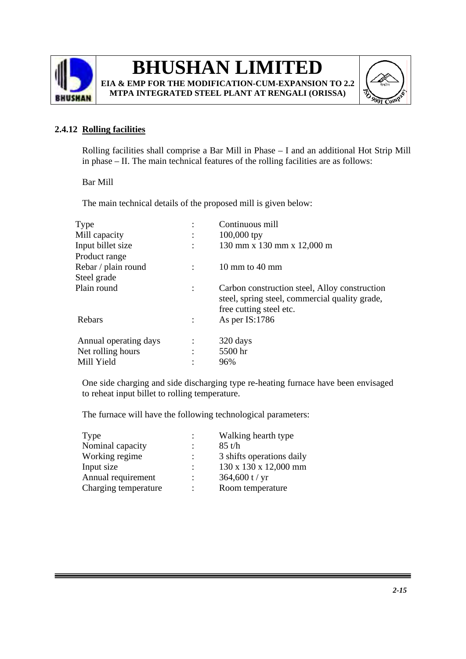

## **BHUSHAN LIMITED EIA & EMP FOR THE MODIFICATION-CUM-EXPANSION TO 2.2**

**MTPA INTEGRATED STEEL PLANT AT RENGALI (ORISSA)**



## **2.4.12 Rolling facilities**

Rolling facilities shall comprise a Bar Mill in Phase – I and an additional Hot Strip Mill in phase – II. The main technical features of the rolling facilities are as follows:

Bar Mill

The main technical details of the proposed mill is given below:

| $\bullet$      | Continuous mill                                                                                                            |
|----------------|----------------------------------------------------------------------------------------------------------------------------|
| $\ddot{\cdot}$ | $100,000$ tpy                                                                                                              |
|                | 130 mm x 130 mm x 12,000 m                                                                                                 |
|                |                                                                                                                            |
|                | 10 mm to 40 mm                                                                                                             |
|                |                                                                                                                            |
| $\ddot{\cdot}$ | Carbon construction steel, Alloy construction<br>steel, spring steel, commercial quality grade,<br>free cutting steel etc. |
|                | As per $IS:1786$                                                                                                           |
|                |                                                                                                                            |
| $\ddot{\cdot}$ | 320 days                                                                                                                   |
| $\ddot{\cdot}$ | 5500 hr                                                                                                                    |
| $\bullet$      | 96%                                                                                                                        |
|                |                                                                                                                            |

One side charging and side discharging type re-heating furnace have been envisaged to reheat input billet to rolling temperature.

The furnace will have the following technological parameters:

| Type                 | $\mathbb{Z}^{\mathbb{Z}}$ | Walking hearth type       |
|----------------------|---------------------------|---------------------------|
| Nominal capacity     |                           | $85$ t/h                  |
| Working regime       |                           | 3 shifts operations daily |
| Input size           | $\ddot{\phantom{a}}$      | 130 x 130 x 12,000 mm     |
| Annual requirement   | $\ddot{\phantom{a}}$      | $364,600$ t / yr          |
| Charging temperature | ٠                         | Room temperature          |
|                      |                           |                           |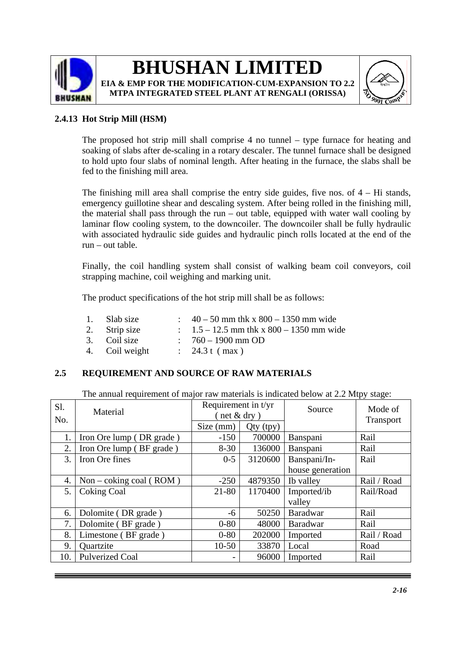



## **2.4.13 Hot Strip Mill (HSM)**

The proposed hot strip mill shall comprise 4 no tunnel – type furnace for heating and soaking of slabs after de-scaling in a rotary descaler. The tunnel furnace shall be designed to hold upto four slabs of nominal length. After heating in the furnace, the slabs shall be fed to the finishing mill area.

The finishing mill area shall comprise the entry side guides, five nos. of  $4 - Hi$  stands, emergency guillotine shear and descaling system. After being rolled in the finishing mill, the material shall pass through the run – out table, equipped with water wall cooling by laminar flow cooling system, to the downcoiler. The downcoiler shall be fully hydraulic with associated hydraulic side guides and hydraulic pinch rolls located at the end of the run – out table.

Finally, the coil handling system shall consist of walking beam coil conveyors, coil strapping machine, coil weighing and marking unit.

The product specifications of the hot strip mill shall be as follows:

- 1. Slab size :  $40 50$  mm thk x  $800 1350$  mm wide
- 2. Strip size :  $1.5 12.5$  mm thk x  $800 1350$  mm wide
- 3. Coil size : 760 1900 mm OD
- 4. Coil weight : 24.3 t ( max )

### **2.5 REQUIREMENT AND SOURCE OF RAW MATERIALS**

The annual requirement of major raw materials is indicated below at 2.2 Mtpy stage:

| S1. | Material                  | Requirement in $t/yr$ |             | Source           | Mode of     |
|-----|---------------------------|-----------------------|-------------|------------------|-------------|
| No. |                           | $($ net $&$ dry)      |             |                  | Transport   |
|     |                           | Size (mm)             | $Qty$ (tpy) |                  |             |
| 1.  | Iron Ore lump (DR grade)  | $-150$                | 700000      | Banspani         | Rail        |
| 2.  | Iron Ore lump (BF grade)  | $8 - 30$              | 136000      | Banspani         | Rail        |
| 3.  | Iron Ore fines            | $0 - 5$               | 3120600     | Banspani/In-     | Rail        |
|     |                           |                       |             | house generation |             |
| 4.  | Non – coking coal $(ROM)$ | $-250$                | 4879350     | Ib valley        | Rail / Road |
| 5.  | <b>Coking Coal</b>        | $21 - 80$             | 1170400     | Imported/ib      | Rail/Road   |
|     |                           |                       |             | valley           |             |
| 6.  | Dolomite (DR grade)       | -6                    | 50250       | Baradwar         | Rail        |
| 7.  | Dolomite (BF grade)       | $0 - 80$              | 48000       | Baradwar         | Rail        |
| 8.  | Limestone (BF grade)      | $0 - 80$              | 202000      | Imported         | Rail / Road |
| 9.  | Quartzite                 | $10-50$               | 33870       | Local            | Road        |
| 10. | <b>Pulverized Coal</b>    |                       | 96000       | Imported         | Rail        |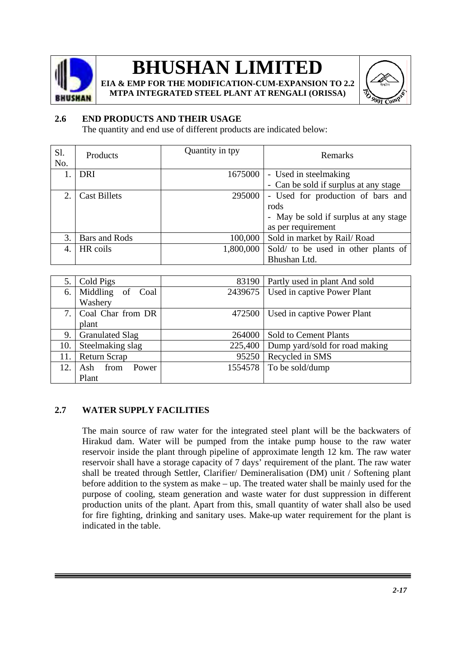

**EIA & EMP FOR THE MODIFICATION-CUM-EXPANSION TO 2.2 MTPA INTEGRATED STEEL PLANT AT RENGALI (ORISSA)**



## **2.6 END PRODUCTS AND THEIR USAGE**

The quantity and end use of different products are indicated below:

| S1.<br>No. | Products            | Quantity in tpy | Remarks                               |
|------------|---------------------|-----------------|---------------------------------------|
|            | DRI                 | 1675000         | - Used in steelmaking                 |
|            |                     |                 | - Can be sold if surplus at any stage |
| $2_{-}$    | <b>Cast Billets</b> | 295000          | - Used for production of bars and     |
|            |                     |                 | rods                                  |
|            |                     |                 | - May be sold if surplus at any stage |
|            |                     |                 | as per requirement                    |
| 3.         | Bars and Rods       | 100,000         | Sold in market by Rail/Road           |
|            | HR coils            | 1,800,000       | Sold/ to be used in other plants of   |
|            |                     |                 | Bhushan Ltd.                          |

| 5.  | Cold Pigs              | 83190   | Partly used in plant And sold  |
|-----|------------------------|---------|--------------------------------|
| 6.  | Middling of Coal       | 2439675 | Used in captive Power Plant    |
|     | Washery                |         |                                |
| 7.  | Coal Char from DR      | 472500  | Used in captive Power Plant    |
|     | plant                  |         |                                |
| 9.  | <b>Granulated Slag</b> | 264000  | <b>Sold to Cement Plants</b>   |
| 10. | Steelmaking slag       | 225,400 | Dump yard/sold for road making |
| 11. | <b>Return Scrap</b>    | 95250   | Recycled in SMS                |
| 12. | from<br>Power<br>Ash.  | 1554578 | To be sold/dump                |
|     | Plant                  |         |                                |

### **2.7 WATER SUPPLY FACILITIES**

The main source of raw water for the integrated steel plant will be the backwaters of Hirakud dam. Water will be pumped from the intake pump house to the raw water reservoir inside the plant through pipeline of approximate length 12 km. The raw water reservoir shall have a storage capacity of 7 days' requirement of the plant. The raw water shall be treated through Settler, Clarifier/ Demineralisation (DM) unit / Softening plant before addition to the system as make – up. The treated water shall be mainly used for the purpose of cooling, steam generation and waste water for dust suppression in different production units of the plant. Apart from this, small quantity of water shall also be used for fire fighting, drinking and sanitary uses. Make-up water requirement for the plant is indicated in the table.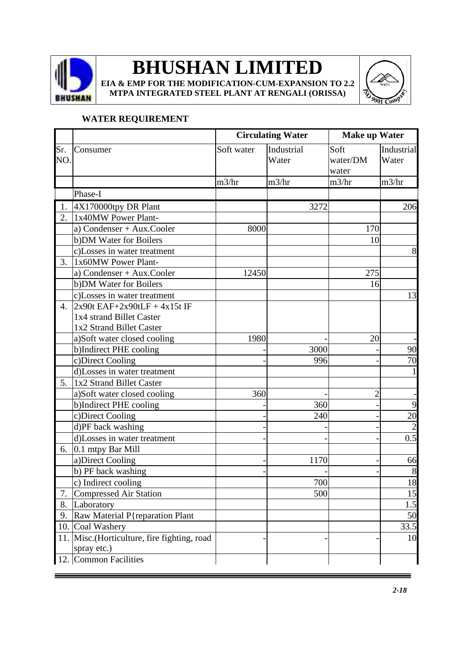

**EIA & EMP FOR THE MODIFICATION-CUM-EXPANSION TO 2.2 MTPA INTEGRATED STEEL PLANT AT RENGALI (ORISSA)**



## **WATER REQUIREMENT**

|                  |                                                                                          |            | <b>Circulating Water</b> | <b>Make up Water</b>      |                     |  |
|------------------|------------------------------------------------------------------------------------------|------------|--------------------------|---------------------------|---------------------|--|
| Sr.<br>NO.       | Consumer                                                                                 | Soft water | Industrial<br>Water      | Soft<br>water/DM<br>water | Industrial<br>Water |  |
|                  |                                                                                          | m3/hr      | m3/hr                    | m3/hr                     | m3/hr               |  |
|                  | Phase-I                                                                                  |            |                          |                           |                     |  |
| 1.               | 4X170000tpy DR Plant                                                                     |            | 3272                     |                           | 206                 |  |
| 2.               | 1x40MW Power Plant-                                                                      |            |                          |                           |                     |  |
|                  | a) Condenser + Aux.Cooler                                                                | 8000       |                          | 170                       |                     |  |
|                  | b) DM Water for Boilers                                                                  |            |                          | 10                        |                     |  |
|                  | c)Losses in water treatment                                                              |            |                          |                           | 8                   |  |
| 3.               | 1x60MW Power Plant-                                                                      |            |                          |                           |                     |  |
|                  | a) Condenser + Aux.Cooler                                                                | 12450      |                          | 275                       |                     |  |
|                  | b) DM Water for Boilers                                                                  |            |                          | 16                        |                     |  |
|                  | c)Losses in water treatment                                                              |            |                          |                           | 13                  |  |
| $\overline{4}$ . | $2x90t$ EAF+2x90tLF + $4x15t$ IF<br>1x4 strand Billet Caster<br>1x2 Strand Billet Caster |            |                          |                           |                     |  |
|                  | a)Soft water closed cooling                                                              | 1980       |                          | 20                        |                     |  |
|                  | b)Indirect PHE cooling                                                                   |            | 3000                     |                           | 90                  |  |
|                  | c)Direct Cooling                                                                         |            | 996                      |                           | 70                  |  |
|                  | d)Losses in water treatment                                                              |            |                          |                           |                     |  |
| 5.               | 1x2 Strand Billet Caster                                                                 |            |                          |                           |                     |  |
|                  | a)Soft water closed cooling                                                              | 360        |                          | $\overline{2}$            |                     |  |
|                  | b)Indirect PHE cooling                                                                   |            | 360                      |                           | 9                   |  |
|                  | c)Direct Cooling                                                                         |            | 240                      |                           | 20                  |  |
|                  | d)PF back washing                                                                        |            |                          |                           |                     |  |
|                  | d)Losses in water treatment                                                              |            |                          |                           | 0.5                 |  |
| 6.               | 0.1 mtpy Bar Mill                                                                        |            |                          |                           |                     |  |
|                  | a)Direct Cooling                                                                         |            | 1170                     |                           | 66                  |  |
|                  | b) PF back washing                                                                       |            |                          |                           | 8                   |  |
|                  | c) Indirect cooling                                                                      |            | 700                      |                           | 18                  |  |
| 7.               | <b>Compressed Air Station</b>                                                            |            | 500                      |                           | 15                  |  |
| 8.               | Laboratory                                                                               |            |                          |                           | 1.5                 |  |
| 9.               | Raw Material P{reparation Plant                                                          |            |                          |                           | 50                  |  |
|                  | 10. Coal Washery                                                                         |            |                          |                           | 33.5                |  |
| 11.              | Misc.(Horticulture, fire fighting, road<br>spray etc.)                                   |            |                          |                           | 10                  |  |
|                  | 12. Common Facilities                                                                    |            |                          |                           |                     |  |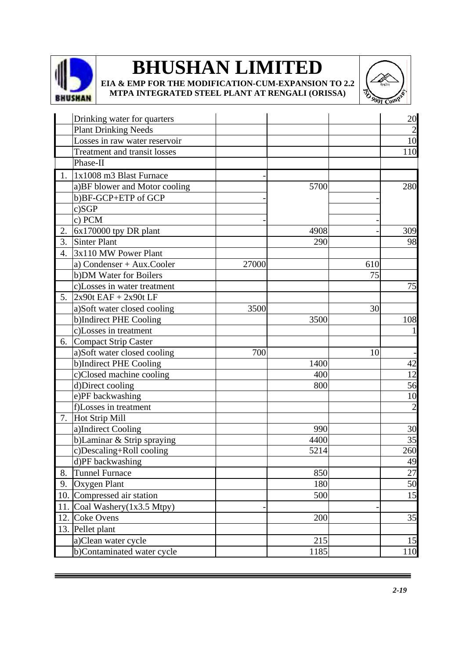

**EIA & EMP FOR THE MODIFICATION-CUM-EXPANSION TO 2.2 MTPA INTEGRATED STEEL PLANT AT RENGALI (ORISSA)**



|                  | Drinking water for quarters         |       |      |     | 20             |
|------------------|-------------------------------------|-------|------|-----|----------------|
|                  | <b>Plant Drinking Needs</b>         |       |      |     |                |
|                  | Losses in raw water reservoir       |       |      |     | 10             |
|                  | <b>Treatment and transit losses</b> |       |      |     | 110            |
|                  | Phase-II                            |       |      |     |                |
| 1.               | $1x1008$ m3 Blast Furnace           |       |      |     |                |
|                  | a)BF blower and Motor cooling       |       | 5700 |     | 280            |
|                  | b)BF-GCP+ETP of GCP                 |       |      |     |                |
|                  | c)SGP                               |       |      |     |                |
|                  | c) PCM                              |       |      |     |                |
| 2.               | 6x170000 tpy DR plant               |       | 4908 |     | 309            |
| 3.               | Sinter Plant                        |       | 290  |     | 98             |
| $\overline{4}$ . | 3x110 MW Power Plant                |       |      |     |                |
|                  | a) Condenser + Aux.Cooler           | 27000 |      | 610 |                |
|                  | b) DM Water for Boilers             |       |      | 75  |                |
|                  | c)Losses in water treatment         |       |      |     | 75             |
| 5.               | $2x90t$ EAF + 2x90t LF              |       |      |     |                |
|                  | a)Soft water closed cooling         | 3500  |      | 30  |                |
|                  | b)Indirect PHE Cooling              |       | 3500 |     | 108            |
|                  | c)Losses in treatment               |       |      |     |                |
| 6.               | Compact Strip Caster                |       |      |     |                |
|                  | a)Soft water closed cooling         | 700   |      | 10  |                |
|                  | b)Indirect PHE Cooling              |       | 1400 |     | 42             |
|                  | c)Closed machine cooling            |       | 400  |     | 12             |
|                  | d)Direct cooling                    |       | 800  |     | 56             |
|                  | e)PF backwashing                    |       |      |     | 10             |
|                  | f)Losses in treatment               |       |      |     | $\overline{2}$ |
| 7.               | Hot Strip Mill                      |       |      |     |                |
|                  | a)Indirect Cooling                  |       | 990  |     | 30             |
|                  | b)Laminar & Strip spraying          |       | 4400 |     | 35             |
|                  | c)Descaling+Roll cooling            |       | 5214 |     | 260            |
|                  | d)PF backwashing                    |       |      |     | 49             |
| 8.               | <b>Tunnel Furnace</b>               |       | 850  |     | 27             |
| 9.               | Oxygen Plant                        |       | 180  |     | 50             |
| 10.              | Compressed air station              |       | 500  |     | 15             |
| 11.              | Coal Washery(1x3.5 Mtpy)            |       |      |     |                |
| 12.              | <b>Coke Ovens</b>                   |       | 200  |     | 35             |
| 13.              | Pellet plant                        |       |      |     |                |
|                  | a)Clean water cycle                 |       | 215  |     | 15             |
|                  | b)Contaminated water cycle          |       | 1185 |     | 110            |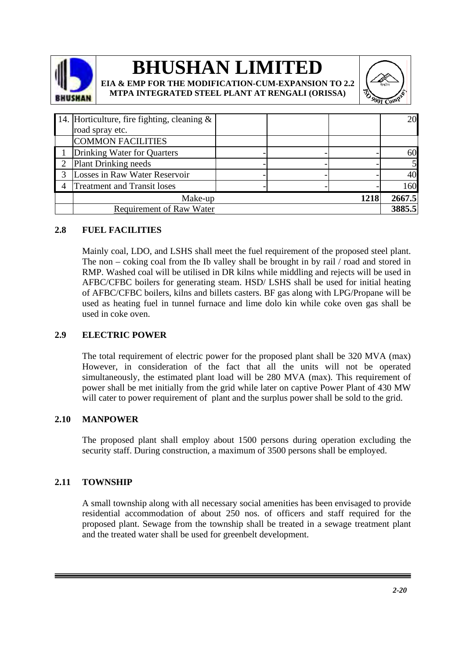

## **BHUSHAN LIMITED EIA & EMP FOR THE MODIFICATION-CUM-EXPANSION TO 2.2**

**MTPA INTEGRATED STEEL PLANT AT RENGALI (ORISSA)**



|   | 14. Horticulture, fire fighting, cleaning $\&$ |  |  |  | <b>20</b> |
|---|------------------------------------------------|--|--|--|-----------|
|   | road spray etc.                                |  |  |  |           |
|   | <b>COMMON FACILITIES</b>                       |  |  |  |           |
|   | Drinking Water for Quarters                    |  |  |  | 60        |
| 2 | <b>Plant Drinking needs</b>                    |  |  |  |           |
|   | Losses in Raw Water Reservoir                  |  |  |  | 40        |
|   | <b>Treatment and Transit loses</b>             |  |  |  | 160       |
|   | 1218<br>Make-up                                |  |  |  |           |
|   | <b>Requirement of Raw Water</b>                |  |  |  | 3885.5    |

## **2.8 FUEL FACILITIES**

Mainly coal, LDO, and LSHS shall meet the fuel requirement of the proposed steel plant. The non – coking coal from the Ib valley shall be brought in by rail  $/$  road and stored in RMP. Washed coal will be utilised in DR kilns while middling and rejects will be used in AFBC/CFBC boilers for generating steam. HSD/ LSHS shall be used for initial heating of AFBC/CFBC boilers, kilns and billets casters. BF gas along with LPG/Propane will be used as heating fuel in tunnel furnace and lime dolo kin while coke oven gas shall be used in coke oven.

## **2.9 ELECTRIC POWER**

The total requirement of electric power for the proposed plant shall be 320 MVA (max) However, in consideration of the fact that all the units will not be operated simultaneously, the estimated plant load will be 280 MVA (max). This requirement of power shall be met initially from the grid while later on captive Power Plant of 430 MW will cater to power requirement of plant and the surplus power shall be sold to the grid.

## **2.10 MANPOWER**

The proposed plant shall employ about 1500 persons during operation excluding the security staff. During construction, a maximum of 3500 persons shall be employed.

## **2.11 TOWNSHIP**

A small township along with all necessary social amenities has been envisaged to provide residential accommodation of about 250 nos. of officers and staff required for the proposed plant. Sewage from the township shall be treated in a sewage treatment plant and the treated water shall be used for greenbelt development.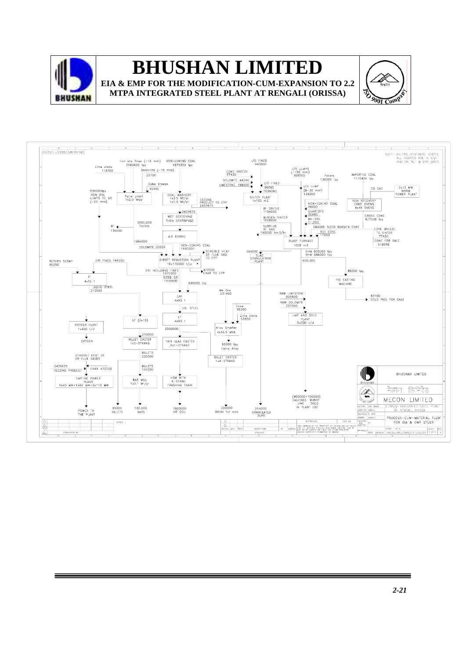

## **BHUSHAN LIMITED EIA & EMP FOR THE MODIFICATION-CUM-EXPANSION TO 2.2**

**MTPA INTEGRATED STEEL PLANT AT RENGALI (ORISSA)**



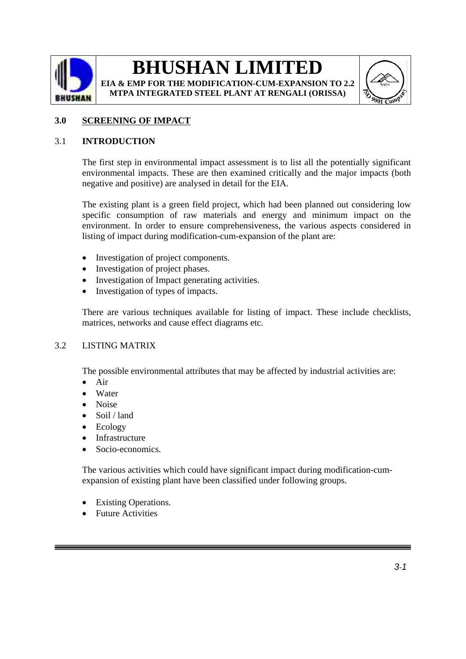

**EIA & EMP FOR THE MODIFICATION-CUM-EXPANSION TO 2.2 MTPA INTEGRATED STEEL PLANT AT RENGALI (ORISSA)**



## **3.0 SCREENING OF IMPACT**

#### 3.1 **INTRODUCTION**

The first step in environmental impact assessment is to list all the potentially significant environmental impacts. These are then examined critically and the major impacts (both negative and positive) are analysed in detail for the EIA.

The existing plant is a green field project, which had been planned out considering low specific consumption of raw materials and energy and minimum impact on the environment. In order to ensure comprehensiveness, the various aspects considered in listing of impact during modification-cum-expansion of the plant are:

- Investigation of project components.
- Investigation of project phases.
- Investigation of Impact generating activities.
- Investigation of types of impacts.

There are various techniques available for listing of impact. These include checklists, matrices, networks and cause effect diagrams etc.

#### 3.2 LISTING MATRIX

The possible environmental attributes that may be affected by industrial activities are:

- Air
- Water
- Noise
- Soil / land
- Ecology
- **Infrastructure**
- Socio-economics.

The various activities which could have significant impact during modification-cumexpansion of existing plant have been classified under following groups.

- Existing Operations.
- Future Activities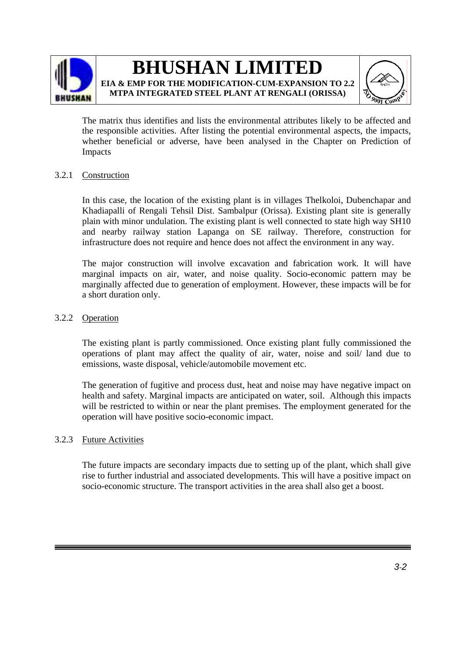

## **BHUSHAN LIMITED EIA & EMP FOR THE MODIFICATION-CUM-EXPANSION TO 2.2**

**MTPA INTEGRATED STEEL PLANT AT RENGALI (ORISSA)**



The matrix thus identifies and lists the environmental attributes likely to be affected and the responsible activities. After listing the potential environmental aspects, the impacts, whether beneficial or adverse, have been analysed in the Chapter on Prediction of Impacts

### 3.2.1 Construction

In this case, the location of the existing plant is in villages Thelkoloi, Dubenchapar and Khadiapalli of Rengali Tehsil Dist. Sambalpur (Orissa). Existing plant site is generally plain with minor undulation. The existing plant is well connected to state high way SH10 and nearby railway station Lapanga on SE railway. Therefore, construction for infrastructure does not require and hence does not affect the environment in any way.

The major construction will involve excavation and fabrication work. It will have marginal impacts on air, water, and noise quality. Socio-economic pattern may be marginally affected due to generation of employment. However, these impacts will be for a short duration only.

### 3.2.2 Operation

The existing plant is partly commissioned. Once existing plant fully commissioned the operations of plant may affect the quality of air, water, noise and soil/ land due to emissions, waste disposal, vehicle/automobile movement etc.

The generation of fugitive and process dust, heat and noise may have negative impact on health and safety. Marginal impacts are anticipated on water, soil. Although this impacts will be restricted to within or near the plant premises. The employment generated for the operation will have positive socio-economic impact.

### 3.2.3 Future Activities

The future impacts are secondary impacts due to setting up of the plant, which shall give rise to further industrial and associated developments. This will have a positive impact on socio-economic structure. The transport activities in the area shall also get a boost.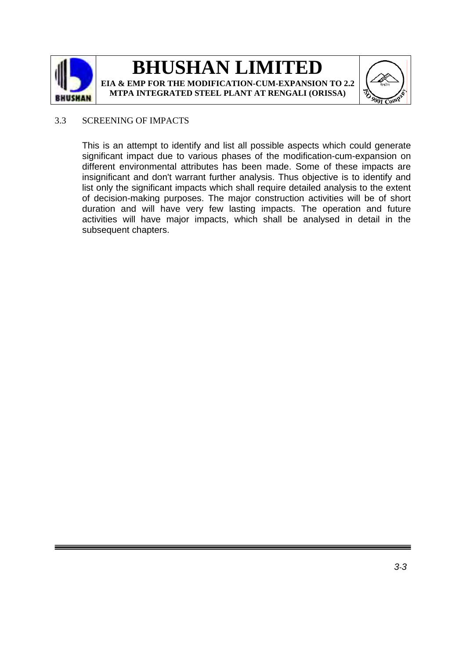



### 3.3 SCREENING OF IMPACTS

This is an attempt to identify and list all possible aspects which could generate significant impact due to various phases of the modification-cum-expansion on different environmental attributes has been made. Some of these impacts are insignificant and don't warrant further analysis. Thus objective is to identify and list only the significant impacts which shall require detailed analysis to the extent of decision-making purposes. The major construction activities will be of short duration and will have very few lasting impacts. The operation and future activities will have major impacts, which shall be analysed in detail in the subsequent chapters.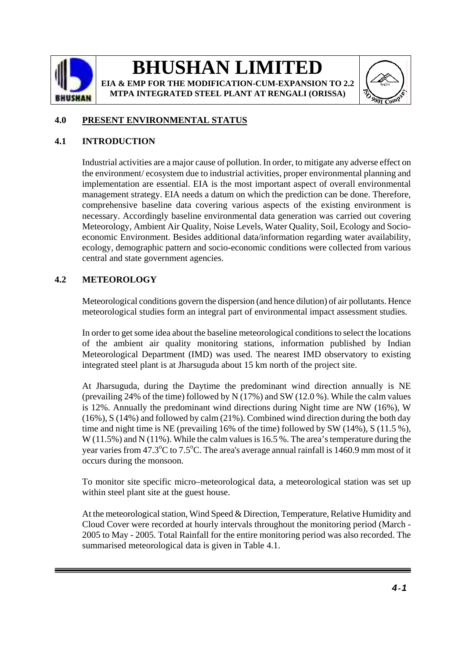

**EIA & EMP FOR THE MODIFICATION-CUM-EXPANSION TO 2.2 MTPA INTEGRATED STEEL PLANT AT RENGALI (ORISSA)**



## **4.0 PRESENT ENVIRONMENTAL STATUS**

## **4.1 INTRODUCTION**

Industrial activities are a major cause of pollution. In order, to mitigate any adverse effect on the environment/ ecosystem due to industrial activities, proper environmental planning and implementation are essential. EIA is the most important aspect of overall environmental management strategy. EIA needs a datum on which the prediction can be done. Therefore, comprehensive baseline data covering various aspects of the existing environment is necessary. Accordingly baseline environmental data generation was carried out covering Meteorology, Ambient Air Quality, Noise Levels, Water Quality, Soil, Ecology and Socioeconomic Environment. Besides additional data/information regarding water availability, ecology, demographic pattern and socio-economic conditions were collected from various central and state government agencies.

## **4.2 METEOROLOGY**

Meteorological conditions govern the dispersion (and hence dilution) of air pollutants. Hence meteorological studies form an integral part of environmental impact assessment studies.

In order to get some idea about the baseline meteorological conditions to select the locations of the ambient air quality monitoring stations, information published by Indian Meteorological Department (IMD) was used. The nearest IMD observatory to existing integrated steel plant is at Jharsuguda about 15 km north of the project site.

At Jharsuguda, during the Daytime the predominant wind direction annually is NE (prevailing 24% of the time) followed by N (17%) and SW (12.0 %). While the calm values is 12%. Annually the predominant wind directions during Night time are NW (16%), W (16%), S (14%) and followed by calm (21%). Combined wind direction during the both day time and night time is NE (prevailing 16% of the time) followed by SW (14%), S (11.5 %), W (11.5%) and N (11%). While the calm values is 16.5 %. The area's temperature during the year varies from 47.3°C to 7.5°C. The area's average annual rainfall is 1460.9 mm most of it occurs during the monsoon.

To monitor site specific micro–meteorological data, a meteorological station was set up within steel plant site at the guest house.

At the meteorological station, Wind Speed & Direction, Temperature, Relative Humidity and Cloud Cover were recorded at hourly intervals throughout the monitoring period (March - 2005 to May - 2005. Total Rainfall for the entire monitoring period was also recorded. The summarised meteorological data is given in Table 4.1.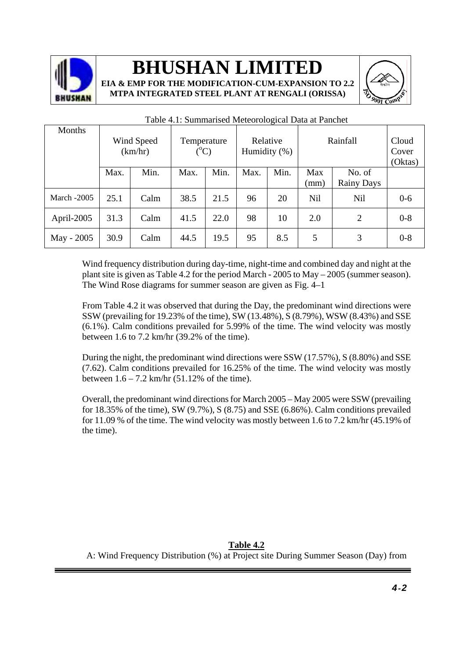

**EIA & EMP FOR THE MODIFICATION-CUM-EXPANSION TO 2.2 MTPA INTEGRATED STEEL PLANT AT RENGALI (ORISSA)**



| Months             |      | Wind Speed<br>(km/hr) |      | Relative<br>Temperature<br>$({}^{\circ}C)$<br>Humidity $(\%)$ |      |      | Rainfall    |                      | Cloud<br>Cover<br>(Oktas) |
|--------------------|------|-----------------------|------|---------------------------------------------------------------|------|------|-------------|----------------------|---------------------------|
|                    | Max. | Min.                  | Max. | Min.                                                          | Max. | Min. | Max<br>(mm) | No. of<br>Rainy Days |                           |
| <b>March -2005</b> | 25.1 | Calm                  | 38.5 | 21.5                                                          | 96   | 20   | Nil         | <b>Nil</b>           | $0-6$                     |
| April-2005         | 31.3 | Calm                  | 41.5 | 22.0                                                          | 98   | 10   | 2.0         | 2                    | $0 - 8$                   |
| May - 2005         | 30.9 | Calm                  | 44.5 | 19.5                                                          | 95   | 8.5  | 5           | 3                    | $0 - 8$                   |

#### Table 4.1: Summarised Meteorological Data at Panchet

Wind frequency distribution during day-time, night-time and combined day and night at the plant site is given as Table 4.2 for the period March - 2005 to May – 2005 (summer season). The Wind Rose diagrams for summer season are given as Fig. 4–1

From Table 4.2 it was observed that during the Day, the predominant wind directions were SSW (prevailing for 19.23% of the time), SW (13.48%), S (8.79%), WSW (8.43%) and SSE (6.1%). Calm conditions prevailed for 5.99% of the time. The wind velocity was mostly between 1.6 to 7.2 km/hr (39.2% of the time).

During the night, the predominant wind directions were SSW (17.57%), S (8.80%) and SSE (7.62). Calm conditions prevailed for 16.25% of the time. The wind velocity was mostly between  $1.6 - 7.2$  km/hr  $(51.12\% \text{ of the time}).$ 

Overall, the predominant wind directions for March 2005 – May 2005 were SSW (prevailing for 18.35% of the time), SW (9.7%), S (8.75) and SSE (6.86%). Calm conditions prevailed for 11.09 % of the time. The wind velocity was mostly between 1.6 to 7.2 km/hr (45.19% of the time).

**Table 4.2** A: Wind Frequency Distribution (%) at Project site During Summer Season (Day) from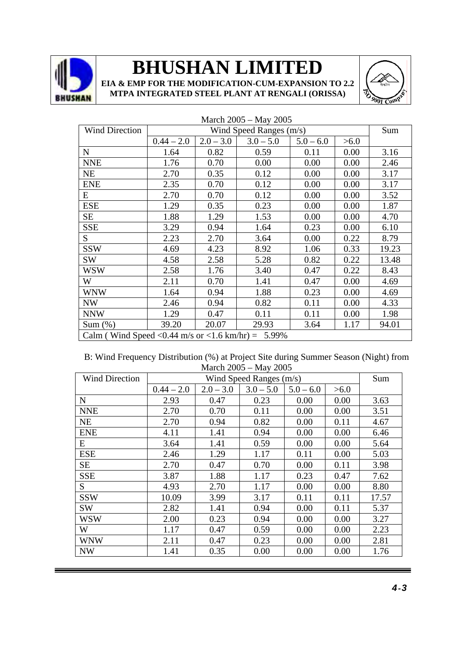

**EIA & EMP FOR THE MODIFICATION-CUM-EXPANSION TO 2.2 MTPA INTEGRATED STEEL PLANT AT RENGALI (ORISSA)**



| <b>Wind Direction</b>                               |              |             | Wind Speed Ranges (m/s) |             |      | Sum   |
|-----------------------------------------------------|--------------|-------------|-------------------------|-------------|------|-------|
|                                                     | $0.44 - 2.0$ | $2.0 - 3.0$ | $3.0 - 5.0$             | $5.0 - 6.0$ | >6.0 |       |
| $\mathbf N$                                         | 1.64         | 0.82        | 0.59                    | 0.11        | 0.00 | 3.16  |
| <b>NNE</b>                                          | 1.76         | 0.70        | 0.00                    | 0.00        | 0.00 | 2.46  |
| <b>NE</b>                                           | 2.70         | 0.35        | 0.12                    | 0.00        | 0.00 | 3.17  |
| <b>ENE</b>                                          | 2.35         | 0.70        | 0.12                    | 0.00        | 0.00 | 3.17  |
| E                                                   | 2.70         | 0.70        | 0.12                    | 0.00        | 0.00 | 3.52  |
| <b>ESE</b>                                          | 1.29         | 0.35        | 0.23                    | 0.00        | 0.00 | 1.87  |
| <b>SE</b>                                           | 1.88         | 1.29        | 1.53                    | 0.00        | 0.00 | 4.70  |
| <b>SSE</b>                                          | 3.29         | 0.94        | 1.64                    | 0.23        | 0.00 | 6.10  |
| S.                                                  | 2.23         | 2.70        | 3.64                    | 0.00        | 0.22 | 8.79  |
| <b>SSW</b>                                          | 4.69         | 4.23        | 8.92                    | 1.06        | 0.33 | 19.23 |
| SW                                                  | 4.58         | 2.58        | 5.28                    | 0.82        | 0.22 | 13.48 |
| WSW                                                 | 2.58         | 1.76        | 3.40                    | 0.47        | 0.22 | 8.43  |
| W                                                   | 2.11         | 0.70        | 1.41                    | 0.47        | 0.00 | 4.69  |
| <b>WNW</b>                                          | 1.64         | 0.94        | 1.88                    | 0.23        | 0.00 | 4.69  |
| <b>NW</b>                                           | 2.46         | 0.94        | 0.82                    | 0.11        | 0.00 | 4.33  |
| <b>NNW</b>                                          | 1.29         | 0.47        | 0.11                    | 0.11        | 0.00 | 1.98  |
| Sum(%)                                              | 39.20        | 20.07       | 29.93                   | 3.64        | 1.17 | 94.01 |
| Calm (Wind Speed < 0.44 m/s or < 1.6 km/hr) = 5.99% |              |             |                         |             |      |       |

#### March 2005 – May 2005

B: Wind Frequency Distribution (%) at Project Site during Summer Season (Night) from March 2005 – May 2005

| <b>Wind Direction</b> |              |             | Wind Speed Ranges (m/s) |             |      | Sum   |
|-----------------------|--------------|-------------|-------------------------|-------------|------|-------|
|                       | $0.44 - 2.0$ | $2.0 - 3.0$ | $3.0 - 5.0$             | $5.0 - 6.0$ | >6.0 |       |
| N                     | 2.93         | 0.47        | 0.23                    | 0.00        | 0.00 | 3.63  |
| <b>NNE</b>            | 2.70         | 0.70        | 0.11                    | 0.00        | 0.00 | 3.51  |
| <b>NE</b>             | 2.70         | 0.94        | 0.82                    | 0.00        | 0.11 | 4.67  |
| <b>ENE</b>            | 4.11         | 1.41        | 0.94                    | 0.00        | 0.00 | 6.46  |
| Ε                     | 3.64         | 1.41        | 0.59                    | 0.00        | 0.00 | 5.64  |
| <b>ESE</b>            | 2.46         | 1.29        | 1.17                    | 0.11        | 0.00 | 5.03  |
| <b>SE</b>             | 2.70         | 0.47        | 0.70                    | 0.00        | 0.11 | 3.98  |
| <b>SSE</b>            | 3.87         | 1.88        | 1.17                    | 0.23        | 0.47 | 7.62  |
| S                     | 4.93         | 2.70        | 1.17                    | 0.00        | 0.00 | 8.80  |
| <b>SSW</b>            | 10.09        | 3.99        | 3.17                    | 0.11        | 0.11 | 17.57 |
| <b>SW</b>             | 2.82         | 1.41        | 0.94                    | 0.00        | 0.11 | 5.37  |
| <b>WSW</b>            | 2.00         | 0.23        | 0.94                    | 0.00        | 0.00 | 3.27  |
| W                     | 1.17         | 0.47        | 0.59                    | 0.00        | 0.00 | 2.23  |
| <b>WNW</b>            | 2.11         | 0.47        | 0.23                    | 0.00        | 0.00 | 2.81  |
| <b>NW</b>             | 1.41         | 0.35        | 0.00                    | 0.00        | 0.00 | 1.76  |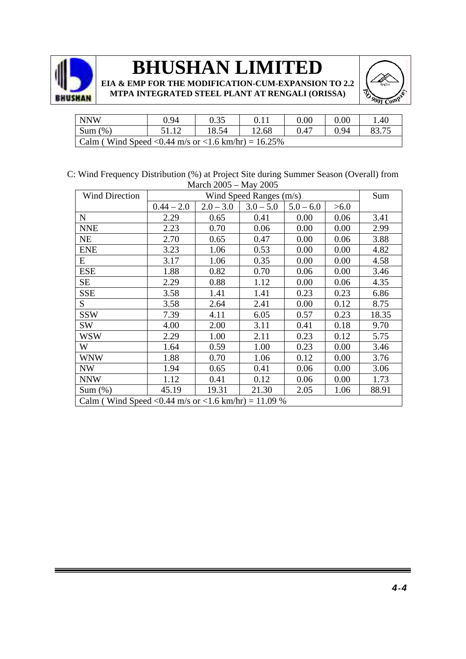



| NNW                                                  | 0.94  | 0.35  |       | $0.00\,$ | $0.00\,$ | .40 |  |  |  |
|------------------------------------------------------|-------|-------|-------|----------|----------|-----|--|--|--|
| $\sin(\%)$                                           | 51.12 | 18.54 | 12.68 | 0.47     | 0.94     |     |  |  |  |
| Calm (Wind Speed < 0.44 m/s or < 1.6 km/hr) = 16.25% |       |       |       |          |          |     |  |  |  |

C: Wind Frequency Distribution (%) at Project Site during Summer Season (Overall) from March 2005 – May 2005

| <b>Wind Direction</b>                                 |              | Sum         |             |             |      |       |  |  |
|-------------------------------------------------------|--------------|-------------|-------------|-------------|------|-------|--|--|
|                                                       | $0.44 - 2.0$ | $2.0 - 3.0$ | $3.0 - 5.0$ | $5.0 - 6.0$ | >6.0 |       |  |  |
| $\mathbf N$                                           | 2.29         | 0.65        | 0.41        | 0.00        | 0.06 | 3.41  |  |  |
| <b>NNE</b>                                            | 2.23         | 0.70        | 0.06        | 0.00        | 0.00 | 2.99  |  |  |
| <b>NE</b>                                             | 2.70         | 0.65        | 0.47        | 0.00        | 0.06 | 3.88  |  |  |
| <b>ENE</b>                                            | 3.23         | 1.06        | 0.53        | 0.00        | 0.00 | 4.82  |  |  |
| E                                                     | 3.17         | 1.06        | 0.35        | 0.00        | 0.00 | 4.58  |  |  |
| <b>ESE</b>                                            | 1.88         | 0.82        | 0.70        | 0.06        | 0.00 | 3.46  |  |  |
| <b>SE</b>                                             | 2.29         | 0.88        | 1.12        | 0.00        | 0.06 | 4.35  |  |  |
| <b>SSE</b>                                            | 3.58         | 1.41        | 1.41        | 0.23        | 0.23 | 6.86  |  |  |
| S                                                     | 3.58         | 2.64        | 2.41        | 0.00        | 0.12 | 8.75  |  |  |
| <b>SSW</b>                                            | 7.39         | 4.11        | 6.05        | 0.57        | 0.23 | 18.35 |  |  |
| SW                                                    | 4.00         | 2.00        | 3.11        | 0.41        | 0.18 | 9.70  |  |  |
| WSW                                                   | 2.29         | 1.00        | 2.11        | 0.23        | 0.12 | 5.75  |  |  |
| W                                                     | 1.64         | 0.59        | 1.00        | 0.23        | 0.00 | 3.46  |  |  |
| <b>WNW</b>                                            | 1.88         | 0.70        | 1.06        | 0.12        | 0.00 | 3.76  |  |  |
| <b>NW</b>                                             | 1.94         | 0.65        | 0.41        | 0.06        | 0.00 | 3.06  |  |  |
| <b>NNW</b>                                            | 1.12         | 0.41        | 0.12        | 0.06        | 0.00 | 1.73  |  |  |
| Sum( %)                                               | 45.19        | 19.31       | 21.30       | 2.05        | 1.06 | 88.91 |  |  |
| Calm (Wind Speed < 0.44 m/s or < 1.6 km/hr) = 11.09 % |              |             |             |             |      |       |  |  |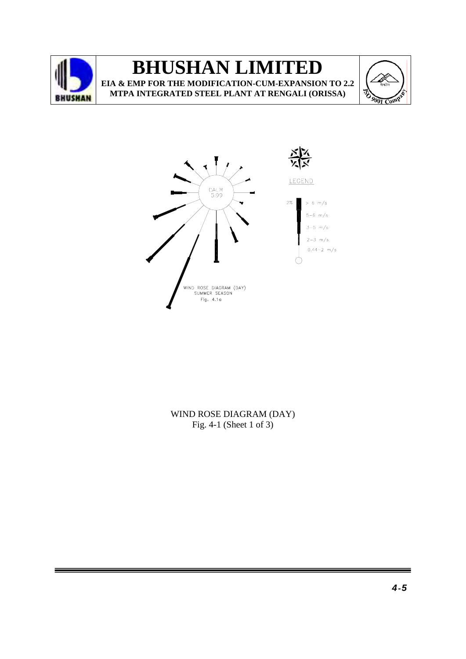





### WIND ROSE DIAGRAM (DAY) Fig. 4-1 (Sheet 1 of 3)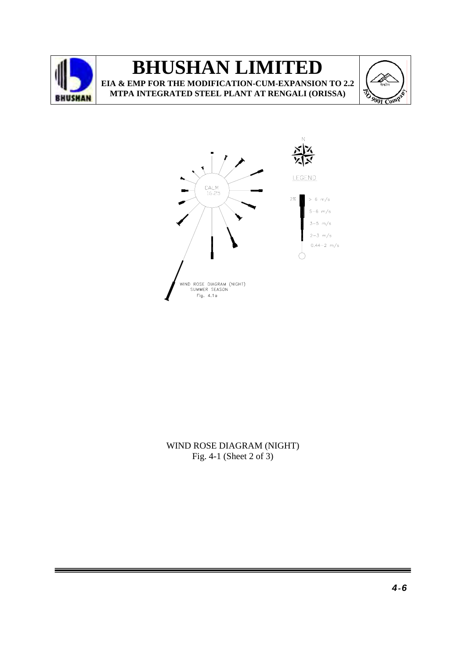





WIND ROSE DIAGRAM (NIGHT) Fig. 4-1 (Sheet 2 of 3)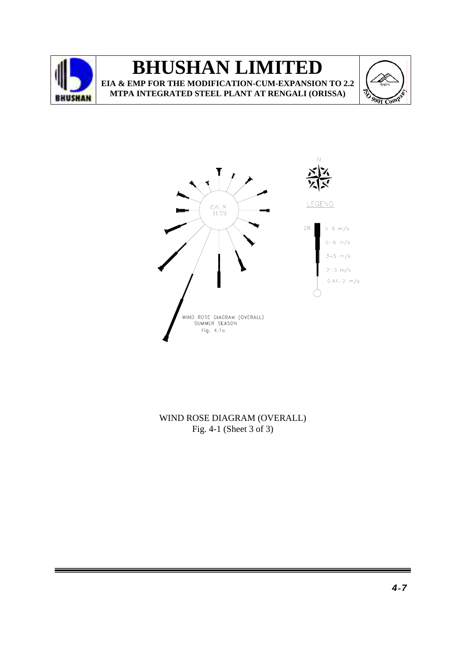





WIND ROSE DIAGRAM (OVERALL) Fig. 4-1 (Sheet 3 of 3)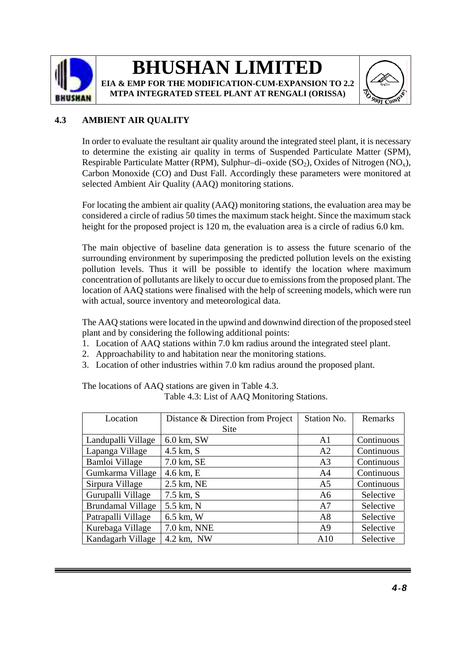

### **4.3 AMBIENT AIR QUALITY**

In order to evaluate the resultant air quality around the integrated steel plant, it is necessary to determine the existing air quality in terms of Suspended Particulate Matter (SPM), Respirable Particulate Matter (RPM), Sulphur–di–oxide  $(SO<sub>2</sub>)$ , Oxides of Nitrogen (NO<sub>x</sub>), Carbon Monoxide (CO) and Dust Fall. Accordingly these parameters were monitored at selected Ambient Air Quality (AAQ) monitoring stations.

For locating the ambient air quality (AAQ) monitoring stations, the evaluation area may be considered a circle of radius 50 times the maximum stack height. Since the maximum stack height for the proposed project is 120 m, the evaluation area is a circle of radius 6.0 km.

The main objective of baseline data generation is to assess the future scenario of the surrounding environment by superimposing the predicted pollution levels on the existing pollution levels. Thus it will be possible to identify the location where maximum concentration of pollutants are likely to occur due to emissions from the proposed plant. The location of AAQ stations were finalised with the help of screening models, which were run with actual, source inventory and meteorological data.

The AAQ stations were located in the upwind and downwind direction of the proposed steel plant and by considering the following additional points:

- 1. Location of AAQ stations within 7.0 km radius around the integrated steel plant.
- 2. Approachability to and habitation near the monitoring stations.
- 3. Location of other industries within 7.0 km radius around the proposed plant.

The locations of AAQ stations are given in Table 4.3. Table 4.3: List of AAQ Monitoring Stations.

| Location                 | Distance & Direction from Project | Station No.    | Remarks    |  |
|--------------------------|-----------------------------------|----------------|------------|--|
|                          | Site                              |                |            |  |
| Landupalli Village       | 6.0 km, SW                        | A <sub>1</sub> | Continuous |  |
| Lapanga Village          | 4.5 km, S                         | A <sub>2</sub> | Continuous |  |
| Bamloi Village           | 7.0 km, SE                        | A <sub>3</sub> | Continuous |  |
| Gumkarma Village         | 4.6 km, E                         | A4             | Continuous |  |
| Sirpura Village          | 2.5 km, NE                        | A <sub>5</sub> | Continuous |  |
| Gurupalli Village        | 7.5 km, S                         | A <sub>6</sub> | Selective  |  |
| <b>Brundamal Village</b> | 5.5 km, N                         | A7             | Selective  |  |
| Patrapalli Village       | 6.5 km, W                         | A8             | Selective  |  |
| Kurebaga Village         | 7.0 km, NNE                       | A <sub>9</sub> | Selective  |  |
| Kandagarh Village        | $4.2$ km, NW                      | A10            | Selective  |  |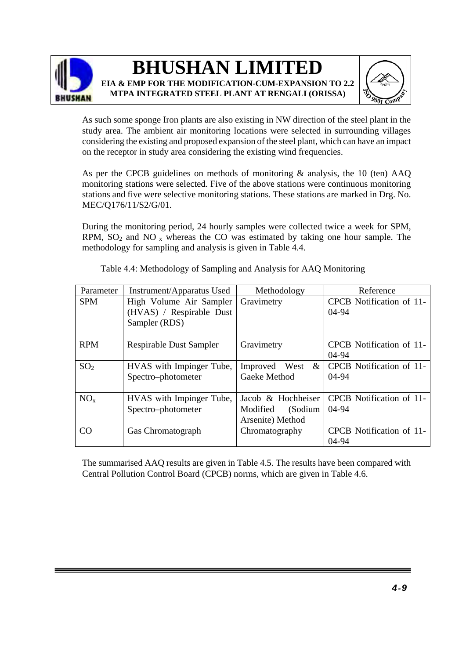



As such some sponge Iron plants are also existing in NW direction of the steel plant in the study area. The ambient air monitoring locations were selected in surrounding villages considering the existing and proposed expansion of the steel plant, which can have an impact on the receptor in study area considering the existing wind frequencies.

As per the CPCB guidelines on methods of monitoring  $\&$  analysis, the 10 (ten) AAQ monitoring stations were selected. Five of the above stations were continuous monitoring stations and five were selective monitoring stations. These stations are marked in Drg. No. MEC/Q176/11/S2/G/01.

During the monitoring period, 24 hourly samples were collected twice a week for SPM, RPM,  $SO_2$  and NO  $<sub>x</sub>$  whereas the CO was estimated by taking one hour sample. The</sub> methodology for sampling and analysis is given in Table 4.4.

| Parameter       | Instrument/Apparatus Used      | Methodology           | Reference                |
|-----------------|--------------------------------|-----------------------|--------------------------|
| <b>SPM</b>      | High Volume Air Sampler        | Gravimetry            | CPCB Notification of 11- |
|                 | (HVAS) / Respirable Dust       |                       | 04-94                    |
|                 | Sampler (RDS)                  |                       |                          |
|                 |                                |                       |                          |
| <b>RPM</b>      | <b>Respirable Dust Sampler</b> | Gravimetry            | CPCB Notification of 11- |
|                 |                                |                       | 04-94                    |
| SO <sub>2</sub> | HVAS with Impinger Tube,       | Improved<br>&<br>West | CPCB Notification of 11- |
|                 | Spectro-photometer             | Gaeke Method          | 04-94                    |
|                 |                                |                       |                          |
| $NO_{x}$        | HVAS with Impinger Tube,       | Jacob & Hochheiser    | CPCB Notification of 11- |
|                 | Spectro-photometer             | Modified<br>(Sodium   | $04-94$                  |
|                 |                                | Arsenite) Method      |                          |
| CO              | Gas Chromatograph              | Chromatography        | CPCB Notification of 11- |
|                 |                                |                       | $04-94$                  |

Table 4.4: Methodology of Sampling and Analysis for AAQ Monitoring

The summarised AAQ results are given in Table 4.5. The results have been compared with Central Pollution Control Board (CPCB) norms, which are given in Table 4.6.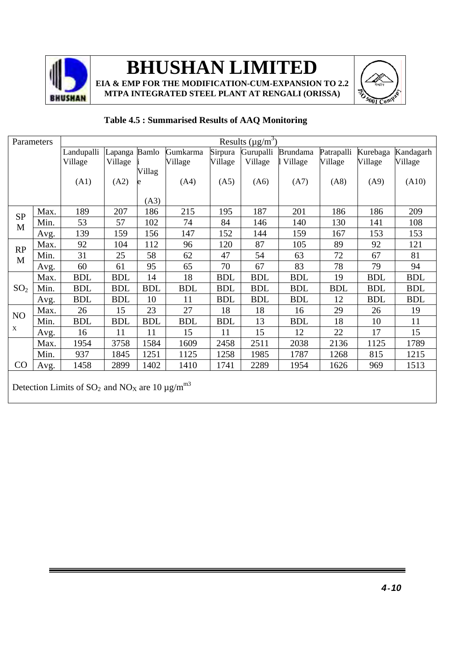

**EIA & EMP FOR THE MODIFICATION-CUM-EXPANSION TO 2.2 MTPA INTEGRATED STEEL PLANT AT RENGALI (ORISSA)**



#### Parameters  $\vert$  Results ( $\mu$ g/m<sup>3</sup>) Landupalli Village (A1) Lapanga Village (A2) Bamlo i Villag e (A3) Gumkarma Village (A4) Sirpura Village (A5) **Gurupalli** Village (A6) Brundama Village (A7) Patrapalli Village (A8) Kurebaga Village (A9) Kandagarh Village (A10) Max. 189 207 186 215 195 187 201 186 186 209 Min. 53 57 102 74 84 146 140 130 141 108 SP M Avg. 139 159 156 147 152 144 159 167 153 153 Max. 92 104 112 96 120 87 105 89 92 121 Min. 31 25 58 62 47 54 63 72 67 81 RP M Avg. 60 61 95 65 70 67 83 78 79 94 Max. | BDL | BDL | 14 | 18 | BDL | BDL | BDL | BDL | BDL | BDL  $SO_2$  | Min. | BDL | BDL | BDL | BDL | BDL | BDL | BDL | BDL | BDL | BDL | BDL Avg. | BDL | BDL | 10 | 11 | BDL | BDL | BDL | BDL | BDL | BDL Max. 26 15 23 27 18 18 16 29 26 19 NO Min. BDL BDL BDL BDL BDL 13 BDL 18 10 11 x Avg. 16 11 11 15 11 15 12 22 17 15 Max. 1954 3758 1584 1609 2458 2511 2038 2136 1125 1789 Min. 937 1845 1251 1125 1258 1985 1787 1268 815 1215 CO | Avg. | 1458 | 2899 | 1402 | 1410 | 1741 | 2289 | 1954 | 1626 | 969 | 1513 Detection Limits of  $SO_2$  and  $NO_X$  are 10  $\mu$ g/m<sup>m3</sup>

### **Table 4.5 : Summarised Results of AAQ Monitoring**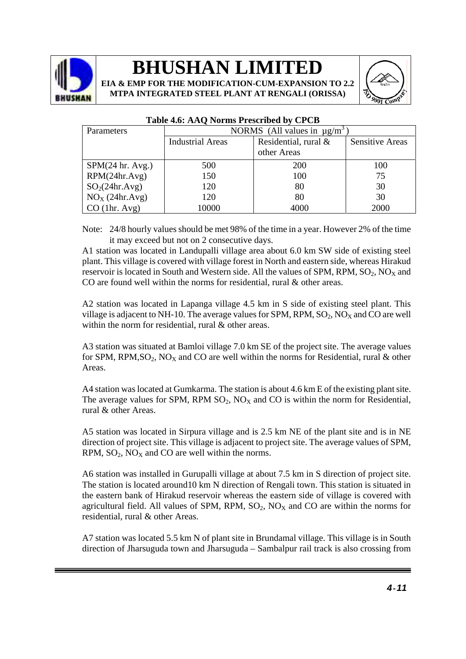

**EIA & EMP FOR THE MODIFICATION-CUM-EXPANSION TO 2.2 MTPA INTEGRATED STEEL PLANT AT RENGALI (ORISSA)**



| <b>Parameters</b>          | NORMS (All values in $\mu$ g/m <sup>3</sup> |                         |                        |  |  |  |
|----------------------------|---------------------------------------------|-------------------------|------------------------|--|--|--|
|                            | <b>Industrial Areas</b>                     | Residential, rural $\&$ | <b>Sensitive Areas</b> |  |  |  |
|                            |                                             | other Areas             |                        |  |  |  |
| SPM(24 hr. Avg.)           | 500                                         | 200                     | 100                    |  |  |  |
| RPM(24hr.Avg)              | 150                                         | 100                     | 75                     |  |  |  |
| SO <sub>2</sub> (24hr.Avg) | 120                                         | 80                      | 30                     |  |  |  |
| $NOX$ (24hr.Avg)           | 120                                         | 80                      | 30                     |  |  |  |
| $CO$ (1hr. Avg)            | 10000                                       | 4000                    | 2000                   |  |  |  |

#### **Table 4.6: AAQ Norms Prescribed by CPCB**

Note: 24/8 hourly values should be met 98% of the time in a year. However 2% of the time it may exceed but not on 2 consecutive days.

A1 station was located in Landupalli village area about 6.0 km SW side of existing steel plant. This village is covered with village forest in North and eastern side, whereas Hirakud reservoir is located in South and Western side. All the values of SPM, RPM,  $SO_2$ ,  $NO<sub>x</sub>$  and CO are found well within the norms for residential, rural & other areas.

A2 station was located in Lapanga village 4.5 km in S side of existing steel plant. This village is adjacent to NH-10. The average values for SPM, RPM,  $SO_2$ , NO<sub>X</sub> and CO are well within the norm for residential, rural & other areas.

A3 station was situated at Bamloi village 7.0 km SE of the project site. The average values for SPM, RPM, SO<sub>2</sub>, NO<sub>x</sub> and CO are well within the norms for Residential, rural & other Areas.

A4 station was located at Gumkarma. The station is about 4.6 km E of the existing plant site. The average values for SPM, RPM  $SO_2$ ,  $NO_X$  and  $CO$  is within the norm for Residential, rural & other Areas.

A5 station was located in Sirpura village and is 2.5 km NE of the plant site and is in NE direction of project site. This village is adjacent to project site. The average values of SPM,  $RPM$ ,  $SO_2$ ,  $NO<sub>X</sub>$  and  $CO$  are well within the norms.

A6 station was installed in Gurupalli village at about 7.5 km in S direction of project site. The station is located around10 km N direction of Rengali town. This station is situated in the eastern bank of Hirakud reservoir whereas the eastern side of village is covered with agricultural field. All values of SPM, RPM,  $SO_2$ ,  $NO<sub>X</sub>$  and CO are within the norms for residential, rural & other Areas.

A7 station was located 5.5 km N of plant site in Brundamal village. This village is in South direction of Jharsuguda town and Jharsuguda – Sambalpur rail track is also crossing from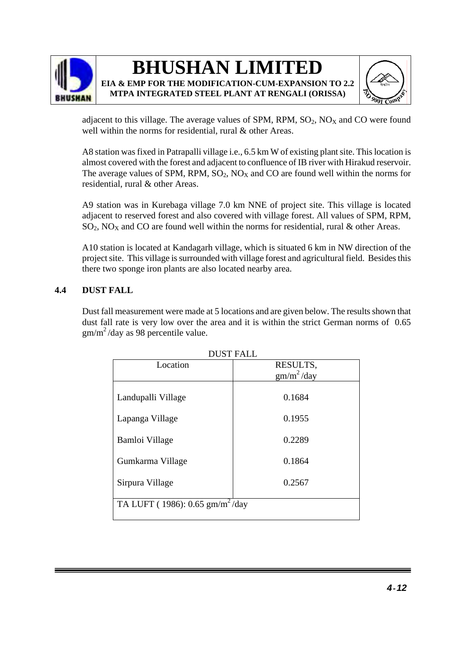



adjacent to this village. The average values of SPM, RPM,  $SO_2$ ,  $NO<sub>X</sub>$  and CO were found well within the norms for residential, rural & other Areas.

A8 station was fixed in Patrapalli village i.e., 6.5 km W of existing plant site. This location is almost covered with the forest and adjacent to confluence of IB river with Hirakud reservoir. The average values of SPM, RPM,  $SO_2$ ,  $NO<sub>X</sub>$  and CO are found well within the norms for residential, rural & other Areas.

A9 station was in Kurebaga village 7.0 km NNE of project site. This village is located adjacent to reserved forest and also covered with village forest. All values of SPM, RPM,  $SO_2$ , NO<sub>X</sub> and CO are found well within the norms for residential, rural & other Areas.

A10 station is located at Kandagarh village, which is situated 6 km in NW direction of the project site. This village is surrounded with village forest and agricultural field. Besides this there two sponge iron plants are also located nearby area.

### **4.4 DUST FALL**

Dust fall measurement were made at 5 locations and are given below. The results shown that dust fall rate is very low over the area and it is within the strict German norms of 0.65  $gm/m<sup>2</sup>/day$  as 98 percentile value.

| <b>DUST FALL</b>                            |                        |  |  |  |  |  |  |
|---------------------------------------------|------------------------|--|--|--|--|--|--|
| Location                                    | RESULTS,               |  |  |  |  |  |  |
|                                             | gm/m <sup>2</sup> /day |  |  |  |  |  |  |
|                                             |                        |  |  |  |  |  |  |
| Landupalli Village                          | 0.1684                 |  |  |  |  |  |  |
|                                             |                        |  |  |  |  |  |  |
| Lapanga Village                             | 0.1955                 |  |  |  |  |  |  |
|                                             |                        |  |  |  |  |  |  |
| Bamloi Village                              | 0.2289                 |  |  |  |  |  |  |
|                                             |                        |  |  |  |  |  |  |
| Gumkarma Village                            | 0.1864                 |  |  |  |  |  |  |
|                                             |                        |  |  |  |  |  |  |
| Sirpura Village                             | 0.2567                 |  |  |  |  |  |  |
|                                             |                        |  |  |  |  |  |  |
| TA LUFT (1986): 0.65 gm/m <sup>2</sup> /day |                        |  |  |  |  |  |  |
|                                             |                        |  |  |  |  |  |  |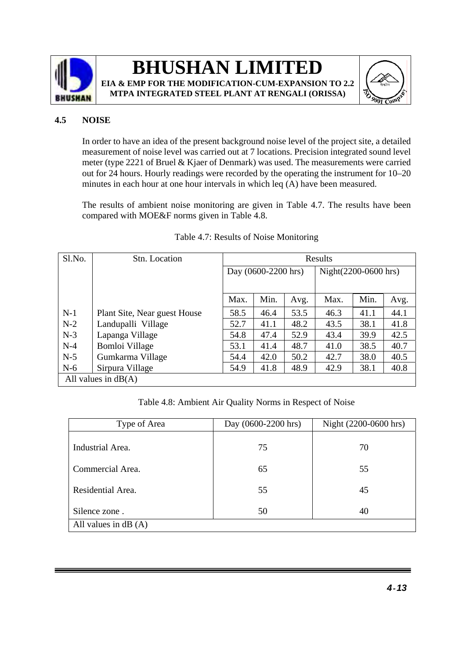

### **BHUSHAN LIMITED EIA & EMP FOR THE MODIFICATION-CUM-EXPANSION TO 2.2**





### **4.5 NOISE**

In order to have an idea of the present background noise level of the project site, a detailed measurement of noise level was carried out at 7 locations. Precision integrated sound level meter (type 2221 of Bruel & Kjaer of Denmark) was used. The measurements were carried out for 24 hours. Hourly readings were recorded by the operating the instrument for 10–20 minutes in each hour at one hour intervals in which leq (A) have been measured.

The results of ambient noise monitoring are given in Table 4.7. The results have been compared with MOE&F norms given in Table 4.8.

| Sl.No. | Stn. Location                | Results                |      |      |                      |      |      |
|--------|------------------------------|------------------------|------|------|----------------------|------|------|
|        |                              | Day $(0600-2200)$ hrs) |      |      | Night(2200-0600 hrs) |      |      |
|        |                              | Max.                   | Min. | Avg. | Max.                 | Min. | Avg. |
| $N-1$  | Plant Site, Near guest House | 58.5                   | 46.4 | 53.5 | 46.3                 | 41.1 | 44.1 |
| $N-2$  | Landupalli Village           | 52.7                   | 41.1 | 48.2 | 43.5                 | 38.1 | 41.8 |
| $N-3$  | Lapanga Village              | 54.8                   | 47.4 | 52.9 | 43.4                 | 39.9 | 42.5 |
| $N-4$  | Bomloi Village               | 53.1                   | 41.4 | 48.7 | 41.0                 | 38.5 | 40.7 |
| $N-5$  | Gumkarma Village             | 54.4                   | 42.0 | 50.2 | 42.7                 | 38.0 | 40.5 |
| $N-6$  | Sirpura Village              | 54.9                   | 41.8 | 48.9 | 42.9                 | 38.1 | 40.8 |
|        | All values in $dB(A)$        |                        |      |      |                      |      |      |

#### Table 4.7: Results of Noise Monitoring

Table 4.8: Ambient Air Quality Norms in Respect of Noise

| Type of Area          | Day (0600-2200 hrs) | Night (2200-0600 hrs) |  |
|-----------------------|---------------------|-----------------------|--|
| Industrial Area.      | 75                  | 70                    |  |
| Commercial Area.      | 65                  | 55                    |  |
| Residential Area.     | 55                  | 45                    |  |
| Silence zone.         | 50                  | 40                    |  |
| All values in $dB(A)$ |                     |                       |  |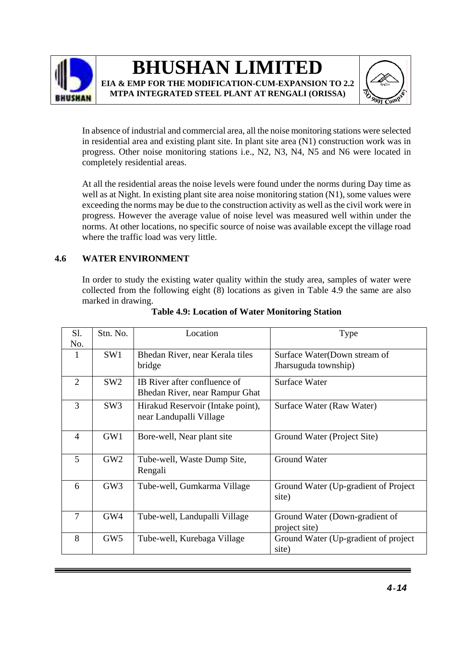



In absence of industrial and commercial area, all the noise monitoring stations were selected in residential area and existing plant site. In plant site area (N1) construction work was in progress. Other noise monitoring stations i.e., N2, N3, N4, N5 and N6 were located in completely residential areas.

At all the residential areas the noise levels were found under the norms during Day time as well as at Night. In existing plant site area noise monitoring station (N1), some values were exceeding the norms may be due to the construction activity as well as the civil work were in progress. However the average value of noise level was measured well within under the norms. At other locations, no specific source of noise was available except the village road where the traffic load was very little.

### **4.6 WATER ENVIRONMENT**

In order to study the existing water quality within the study area, samples of water were collected from the following eight (8) locations as given in Table 4.9 the same are also marked in drawing.

| S1.<br>No.     | Stn. No.        | Location                                                       | Type                                                 |
|----------------|-----------------|----------------------------------------------------------------|------------------------------------------------------|
| 1              | SW1             | Bhedan River, near Kerala tiles<br>bridge                      | Surface Water(Down stream of<br>Jharsuguda township) |
| $\overline{2}$ | SW <sub>2</sub> | IB River after confluence of<br>Bhedan River, near Rampur Ghat | <b>Surface Water</b>                                 |
| 3              | SW <sub>3</sub> | Hirakud Reservoir (Intake point),<br>near Landupalli Village   | Surface Water (Raw Water)                            |
| $\overline{4}$ | GW1             | Bore-well, Near plant site                                     | Ground Water (Project Site)                          |
| 5              | GW2             | Tube-well, Waste Dump Site,<br>Rengali                         | <b>Ground Water</b>                                  |
| 6              | GW3             | Tube-well, Gumkarma Village                                    | Ground Water (Up-gradient of Project)<br>site)       |
| $\overline{7}$ | GW4             | Tube-well, Landupalli Village                                  | Ground Water (Down-gradient of<br>project site)      |
| 8              | GW5             | Tube-well, Kurebaga Village                                    | Ground Water (Up-gradient of project<br>site)        |

### **Table 4.9: Location of Water Monitoring Station**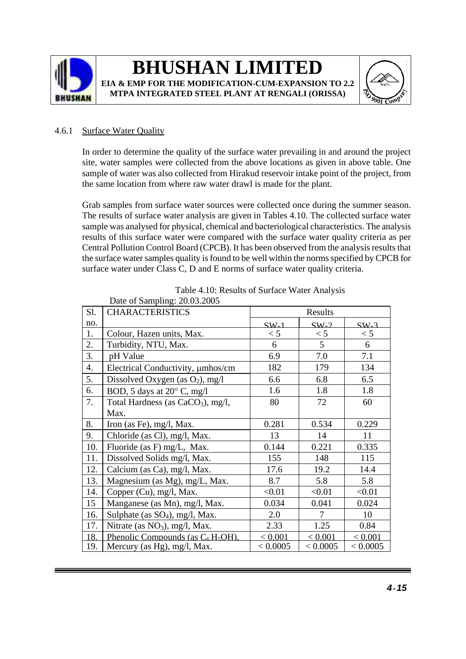



### 4.6.1 Surface Water Quality

In order to determine the quality of the surface water prevailing in and around the project site, water samples were collected from the above locations as given in above table. One sample of water was also collected from Hirakud reservoir intake point of the project, from the same location from where raw water drawl is made for the plant.

Grab samples from surface water sources were collected once during the summer season. The results of surface water analysis are given in Tables 4.10. The collected surface water sample was analysed for physical, chemical and bacteriological characteristics. The analysis results of this surface water were compared with the surface water quality criteria as per Central Pollution Control Board (CPCB). It has been observed from the analysis results that the surface water samples quality is found to be well within the norms specified by CPCB for surface water under Class C, D and E norms of surface water quality criteria.

|     | Date of Sampling. $20.03.2003$                |          |          |          |
|-----|-----------------------------------------------|----------|----------|----------|
| Sl. | <b>CHARACTERISTICS</b>                        |          | Results  |          |
| no. |                                               | $SW_1$   | $SW_2$   | $SW-3$   |
| 1.  | Colour, Hazen units, Max.                     | < 5      | < 5      | < 5      |
| 2.  | Turbidity, NTU, Max.                          | 6        | 5        | 6        |
| 3.  | pH Value                                      | 6.9      | 7.0      | 7.1      |
| 4.  | Electrical Conductivity, µmhos/cm             | 182      | 179      | 134      |
| 5.  | Dissolved Oxygen (as $O_2$ ), mg/l            | 6.6      | 6.8      | 6.5      |
| 6.  | BOD, 5 days at 20° C, mg/l                    | 1.6      | 1.8      | 1.8      |
| 7.  | Total Hardness (as CaCO <sub>3</sub> ), mg/l, | 80       | 72       | 60       |
|     | Max.                                          |          |          |          |
| 8.  | Iron (as Fe), mg/l, Max.                      | 0.281    | 0.534    | 0.229    |
| 9.  | Chloride (as Cl), mg/l, Max.                  | 13       | 14       | 11       |
| 10. | Fluoride (as F) mg/L, Max.                    | 0.144    | 0.221    | 0.335    |
| 11. | Dissolved Solids mg/l, Max.                   | 155      | 148      | 115      |
| 12. | Calcium (as Ca), mg/l, Max.                   | 17.6     | 19.2     | 14.4     |
| 13. | Magnesium (as Mg), mg/L, Max.                 | 8.7      | 5.8      | 5.8      |
| 14. | Copper (Cu), mg/l, Max.                       | < 0.01   | < 0.01   | < 0.01   |
| 15  | Manganese (as Mn), mg/l, Max.                 | 0.034    | 0.041    | 0.024    |
| 16. | Sulphate (as SO <sub>4</sub> ), mg/l, Max.    | 2.0      | 7        | 10       |
| 17. | Nitrate (as $NO3$ ), mg/l, Max.               | 2.33     | 1.25     | 0.84     |
| 18. | Phenolic Compounds (as $C_6H_5OH$ ).          | < 0.001  | < 0.001  | < 0.001  |
| 19. | Mercury (as Hg), mg/l, Max.                   | < 0.0005 | < 0.0005 | < 0.0005 |

Table 4.10: Results of Surface Water Analysis Date of Sampling: 20.03.2005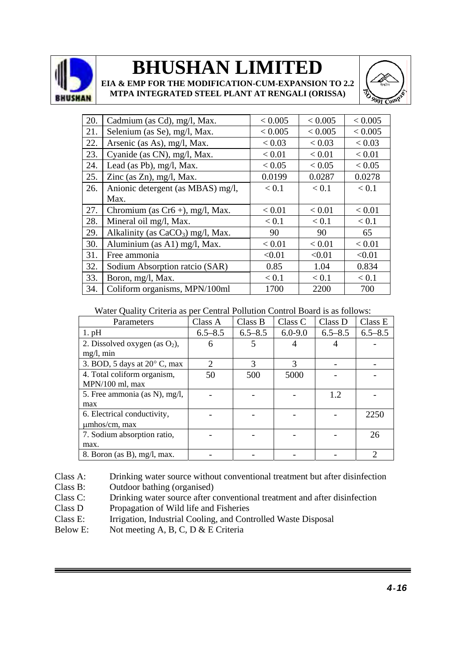

**EIA & EMP FOR THE MODIFICATION-CUM-EXPANSION TO 2.2 MTPA INTEGRATED STEEL PLANT AT RENGALI (ORISSA)**



| 20. | Cadmium (as Cd), mg/l, Max.         | < 0.005 | < 0.005 | < 0.005 |
|-----|-------------------------------------|---------|---------|---------|
| 21. | Selenium (as Se), mg/l, Max.        | < 0.005 | < 0.005 | < 0.005 |
| 22. | Arsenic (as As), mg/l, Max.         | < 0.03  | < 0.03  | < 0.03  |
| 23. | Cyanide (as CN), mg/l, Max.         | < 0.01  | < 0.01  | < 0.01  |
| 24. | Lead (as Pb), mg/l, Max.            | < 0.05  | < 0.05  | < 0.05  |
| 25. | Zinc (as Zn), mg/l, Max.            | 0.0199  | 0.0287  | 0.0278  |
| 26. | Anionic detergent (as MBAS) mg/l,   | < 0.1   | < 0.1   | < 0.1   |
|     | Max.                                |         |         |         |
| 27. | Chromium (as $Cr6 +$ ), mg/l, Max.  | < 0.01  | < 0.01  | < 0.01  |
| 28. | Mineral oil mg/l, Max.              | < 0.1   | < 0.1   | < 0.1   |
| 29. | Alkalinity (as $CaCO3$ ) mg/l, Max. | 90      | 90      | 65      |
| 30. | Aluminium (as A1) mg/l, Max.        | < 0.01  | < 0.01  | < 0.01  |
| 31. | Free ammonia                        | < 0.01  | < 0.01  | < 0.01  |
| 32. | Sodium Absorption ratcio (SAR)      | 0.85    | 1.04    | 0.834   |
| 33. | Boron, mg/l, Max.                   | < 0.1   | < 0.1   | < 0.1   |
| 34. | Coliform organisms, MPN/100ml       | 1700    | 2200    | 700     |

#### Water Quality Criteria as per Central Pollution Control Board is as follows:

| Parameters                            | Class A                     | Class B       | Class C       | Class D     | Class E     |
|---------------------------------------|-----------------------------|---------------|---------------|-------------|-------------|
| $1.$ pH                               | $6.5 - 8.5$                 | $6.5 - 8.5$   | $6.0 - 9.0$   | $6.5 - 8.5$ | $6.5 - 8.5$ |
| 2. Dissolved oxygen (as $O_2$ ),      | 6                           |               |               |             |             |
| $mg/l$ , min                          |                             |               |               |             |             |
| 3. BOD, 5 days at $20^{\circ}$ C, max | $\mathcal{D}_{\mathcal{L}}$ | $\mathcal{R}$ | $\mathcal{R}$ |             |             |
| 4. Total coliform organism,           | 50                          | 500           | 5000          |             |             |
| MPN/100 ml, max                       |                             |               |               |             |             |
| 5. Free ammonia (as N), mg/l,         |                             |               |               | 1.2         |             |
| max                                   |                             |               |               |             |             |
| 6. Electrical conductivity,           |                             |               |               |             | 2250        |
| umhos/cm, max                         |                             |               |               |             |             |
| 7. Sodium absorption ratio,           |                             |               |               |             | 26          |
| max.                                  |                             |               |               |             |             |
| 8. Boron (as B), mg/l, max.           |                             |               |               |             | 2           |

Class A: Drinking water source without conventional treatment but after disinfection

Class B: Outdoor bathing (organised)

Class C: Drinking water source after conventional treatment and after disinfection

Class D Propagation of Wild life and Fisheries<br>Class E: Irrigation. Industrial Cooling, and Con

Irrigation, Industrial Cooling, and Controlled Waste Disposal

Below E: Not meeting A, B, C, D & E Criteria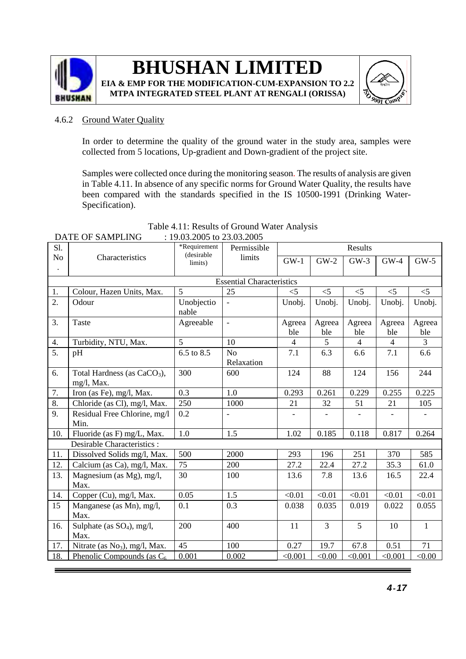



#### 4.6.2 Ground Water Quality

In order to determine the quality of the ground water in the study area, samples were collected from 5 locations, Up-gradient and Down-gradient of the project site.

Samples were collected once during the monitoring season. The results of analysis are given in Table 4.11. In absence of any specific norms for Ground Water Quality, the results have been compared with the standards specified in the IS 10500-1991 (Drinking Water-Specification).

| Sl.                  |                                         | *Requirement<br>(desirable | Permissible                      | Results                  |               |                |                          |               |  |
|----------------------|-----------------------------------------|----------------------------|----------------------------------|--------------------------|---------------|----------------|--------------------------|---------------|--|
| N <sub>o</sub>       | Characteristics                         | limits)                    | limits                           | $GW-1$                   | $GW-2$        | $GW-3$         | $GW-4$                   | $GW-5$        |  |
| $\ddot{\phantom{0}}$ |                                         |                            |                                  |                          |               |                |                          |               |  |
|                      |                                         |                            | <b>Essential Characteristics</b> |                          |               |                |                          |               |  |
| 1.                   | Colour, Hazen Units, Max.               | 5                          | 25                               | $<$ 5                    | $<$ 5         | $<$ 5          | $<$ 5                    | $<$ 5         |  |
| 2.                   | Odour                                   | Unobjectio<br>nable        | $\frac{1}{2}$                    | Unobj.                   | Unobj.        | Unobj.         | Unobj.                   | Unobj.        |  |
| 3.                   | Taste                                   | Agreeable                  | $\overline{\phantom{a}}$         | Agreea<br>ble            | Agreea<br>ble | Agreea<br>ble  | Agreea<br>ble            | Agreea<br>ble |  |
| 4.                   | Turbidity, NTU, Max.                    | 5                          | 10                               | $\overline{4}$           | 5             | $\overline{4}$ | $\overline{4}$           | 3             |  |
| 5.                   | pH                                      | 6.5 to 8.5                 | N <sub>o</sub>                   | 7.1                      | 6.3           | 6.6            | 7.1                      | 6.6           |  |
|                      |                                         |                            | Relaxation                       |                          |               |                |                          |               |  |
| 6.                   | Total Hardness (as CaCO <sub>3</sub> ), | 300                        | 600                              | 124                      | 88            | 124            | 156                      | 244           |  |
|                      | mg/l, Max.                              |                            |                                  |                          |               |                |                          |               |  |
| 7.                   | Iron (as Fe), mg/l, Max.                | 0.3                        | 1.0                              | 0.293                    | 0.261         | 0.229          | 0.255                    | 0.225         |  |
| 8.                   | Chloride (as Cl), mg/l, Max.            | 250                        | 1000                             | 21                       | 32            | 51             | 21                       | 105           |  |
| 9.                   | Residual Free Chlorine, mg/l            | 0.2                        | $\overline{\phantom{a}}$         | $\overline{\phantom{a}}$ |               |                | $\overline{\phantom{a}}$ |               |  |
|                      | Min.                                    |                            |                                  |                          |               |                |                          |               |  |
| 10.                  | Fluoride (as F) mg/L, Max.              | 1.0                        | 1.5                              | 1.02                     | 0.185         | 0.118          | 0.817                    | 0.264         |  |
|                      | Desirable Characteristics :             |                            |                                  |                          |               |                |                          |               |  |
| 11.                  | Dissolved Solids mg/l, Max.             | 500                        | 2000                             | 293                      | 196           | 251            | 370                      | 585           |  |
| 12.                  | Calcium (as Ca), mg/l, Max.             | 75                         | 200                              | 27.2                     | 22.4          | 27.2           | 35.3                     | 61.0          |  |
| 13.                  | Magnesium (as Mg), mg/l,                | 30                         | 100                              | 13.6                     | 7.8           | 13.6           | 16.5                     | 22.4          |  |
|                      | Max.                                    |                            |                                  |                          |               |                |                          |               |  |
| 14.                  | Copper (Cu), mg/l, Max.                 | 0.05                       | 1.5                              | < 0.01                   | < 0.01        | < 0.01         | < 0.01                   | < 0.01        |  |
| 15                   | Manganese (as Mn), mg/l,                | 0.1                        | 0.3                              | 0.038                    | 0.035         | 0.019          | 0.022                    | 0.055         |  |
|                      | Max.                                    |                            |                                  |                          |               |                |                          |               |  |
| 16.                  | Sulphate (as $SO_4$ ), mg/l,            | 200                        | 400                              | 11                       | 3             | 5              | 10                       | $\mathbf{1}$  |  |
|                      | Max.                                    |                            |                                  |                          |               |                |                          |               |  |
| 17.                  | Nitrate (as $No3$ ), mg/l, Max.         | 45                         | 100                              | 0.27                     | 19.7          | 67.8           | 0.51                     | 71            |  |
| 18.                  | Phenolic Compounds (as $C_6$            | 0.001                      | 0.002                            | < 0.001                  | < 0.00        | < 0.001        | < 0.001                  | < 0.00        |  |

#### Table 4.11: Results of Ground Water Analysis DATE OF SAMPLING : 19.03.2005 to 23.03.2005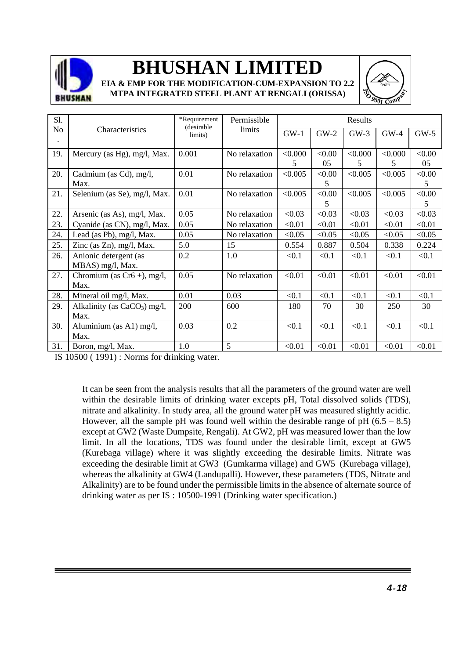

**EIA & EMP FOR THE MODIFICATION-CUM-EXPANSION TO 2.2 MTPA INTEGRATED STEEL PLANT AT RENGALI (ORISSA)**



| Sl.            |                                | *Requirement<br>(desirable | Permissible   |         |        | Results |         |        |
|----------------|--------------------------------|----------------------------|---------------|---------|--------|---------|---------|--------|
| N <sub>o</sub> | Characteristics                | limits)                    | limits        | $GW-1$  | $GW-2$ | $GW-3$  | $GW-4$  | $GW-5$ |
| $\bullet$      |                                |                            |               |         |        |         |         |        |
| 19.            | Mercury (as Hg), mg/l, Max.    | 0.001                      | No relaxation | < 0.000 | < 0.00 | < 0.000 | < 0.000 | < 0.00 |
|                |                                |                            |               | 5       | 05     | 5       | 5       | 05     |
| 20.            | Cadmium (as Cd), mg/l,         | 0.01                       | No relaxation | < 0.005 | < 0.00 | < 0.005 | < 0.005 | < 0.00 |
|                | Max.                           |                            |               |         | 5      |         |         | 5      |
| 21.            | Selenium (as Se), mg/l, Max.   | 0.01                       | No relaxation | < 0.005 | < 0.00 | < 0.005 | < 0.005 | < 0.00 |
|                |                                |                            |               |         | 5      |         |         | 5      |
| 22.            | Arsenic (as As), mg/l, Max.    | 0.05                       | No relaxation | < 0.03  | < 0.03 | < 0.03  | < 0.03  | < 0.03 |
| 23.            | Cyanide (as CN), mg/l, Max.    | 0.05                       | No relaxation | < 0.01  | < 0.01 | < 0.01  | < 0.01  | < 0.01 |
| 24.            | Lead (as Pb), mg/l, Max.       | 0.05                       | No relaxation | < 0.05  | < 0.05 | < 0.05  | < 0.05  | < 0.05 |
| 25.            | Zinc (as $Zn$ ), mg/l, Max.    | 5.0                        | 15            | 0.554   | 0.887  | 0.504   | 0.338   | 0.224  |
| 26.            | Anionic detergent (as          | 0.2                        | 1.0           | < 0.1   | < 0.1  | < 0.1   | < 0.1   | < 0.1  |
|                | MBAS) mg/l, Max.               |                            |               |         |        |         |         |        |
| 27.            | Chromium (as $Cr6 +$ ), mg/l,  | 0.05                       | No relaxation | < 0.01  | < 0.01 | < 0.01  | < 0.01  | < 0.01 |
|                | Max.                           |                            |               |         |        |         |         |        |
| 28.            | Mineral oil mg/l, Max.         | 0.01                       | 0.03          | < 0.1   | < 0.1  | < 0.1   | < 0.1   | < 0.1  |
| 29.            | Alkalinity (as $CaCO3$ ) mg/l, | 200                        | 600           | 180     | 70     | 30      | 250     | 30     |
|                | Max.                           |                            |               |         |        |         |         |        |
| 30.            | Aluminium (as A1) mg/l,        | 0.03                       | 0.2           | < 0.1   | < 0.1  | < 0.1   | < 0.1   | < 0.1  |
|                | Max.                           |                            |               |         |        |         |         |        |
| 31.            | Boron, mg/l, Max.              | 1.0                        | 5             | < 0.01  | < 0.01 | < 0.01  | < 0.01  | < 0.01 |

IS 10500 ( 1991) : Norms for drinking water.

It can be seen from the analysis results that all the parameters of the ground water are well within the desirable limits of drinking water excepts pH, Total dissolved solids (TDS), nitrate and alkalinity. In study area, all the ground water pH was measured slightly acidic. However, all the sample pH was found well within the desirable range of pH  $(6.5 - 8.5)$ except at GW2 (Waste Dumpsite, Rengali). At GW2, pH was measured lower than the low limit. In all the locations, TDS was found under the desirable limit, except at GW5 (Kurebaga village) where it was slightly exceeding the desirable limits. Nitrate was exceeding the desirable limit at GW3 (Gumkarma village) and GW5 (Kurebaga village), whereas the alkalinity at GW4 (Landupalli). However, these parameters (TDS, Nitrate and Alkalinity) are to be found under the permissible limits in the absence of alternate source of drinking water as per IS : 10500-1991 (Drinking water specification.)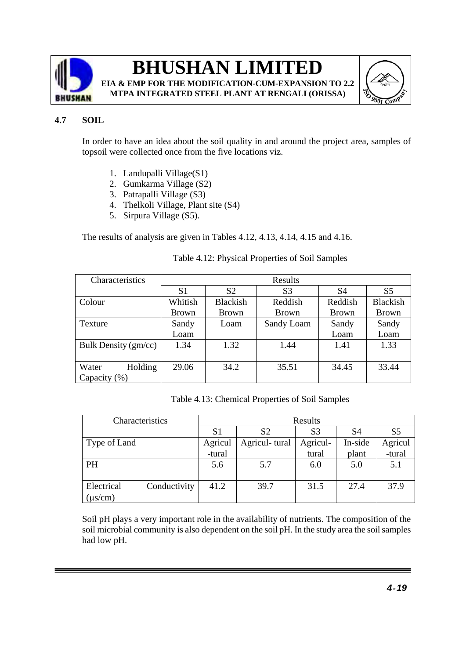

**EIA & EMP FOR THE MODIFICATION-CUM-EXPANSION TO 2.2 MTPA INTEGRATED STEEL PLANT AT RENGALI (ORISSA)**



### **4.7 SOIL**

In order to have an idea about the soil quality in and around the project area, samples of topsoil were collected once from the five locations viz.

- 1. Landupalli Village(S1)
- 2. Gumkarma Village (S2)
- 3. Patrapalli Village (S3)
- 4. Thelkoli Village, Plant site (S4)
- 5. Sirpura Village (S5).

The results of analysis are given in Tables 4.12, 4.13, 4.14, 4.15 and 4.16.

| Characteristics      |                |                 | Results        |              |                 |
|----------------------|----------------|-----------------|----------------|--------------|-----------------|
|                      | S <sub>1</sub> | S <sub>2</sub>  | S <sub>3</sub> | S4           | S <sub>5</sub>  |
| Colour               | Whitish        | <b>Blackish</b> | Reddish        | Reddish      | <b>Blackish</b> |
|                      | <b>Brown</b>   | <b>Brown</b>    | <b>Brown</b>   | <b>Brown</b> | <b>Brown</b>    |
| Texture              | Sandy          | Loam            | Sandy Loam     | Sandy        | Sandy           |
|                      | Loam           |                 |                | Loam         | Loam            |
| Bulk Density (gm/cc) | 1.34           | 1.32            | 1.44           | 1.41         | 1.33            |
|                      |                |                 |                |              |                 |
| Holding<br>Water     | 29.06          | 34.2            | 35.51          | 34.45        | 33.44           |
| Capacity (%)         |                |                 |                |              |                 |

### Table 4.12: Physical Properties of Soil Samples

Table 4.13: Chemical Properties of Soil Samples

| Characteristics |              | Results        |                |                |         |                |  |
|-----------------|--------------|----------------|----------------|----------------|---------|----------------|--|
|                 |              | S <sub>1</sub> | S <sub>2</sub> | S <sub>3</sub> | S4      | S <sub>5</sub> |  |
| Type of Land    |              | Agricul        | Agricul-tural  | Agricul-       | In-side | Agricul        |  |
|                 |              | -tural         |                | tural          | plant   | -tural         |  |
| <b>PH</b>       |              | 5.6            | 5.7            | 6.0            | 5.0     | 5.1            |  |
|                 |              |                |                |                |         |                |  |
| Electrical      | Conductivity | 41.2           | 39.7           | 31.5           | 27.4    | 37.9           |  |
| $(\mu s/cm)$    |              |                |                |                |         |                |  |

Soil pH plays a very important role in the availability of nutrients. The composition of the soil microbial community is also dependent on the soil pH. In the study area the soil samples had low pH.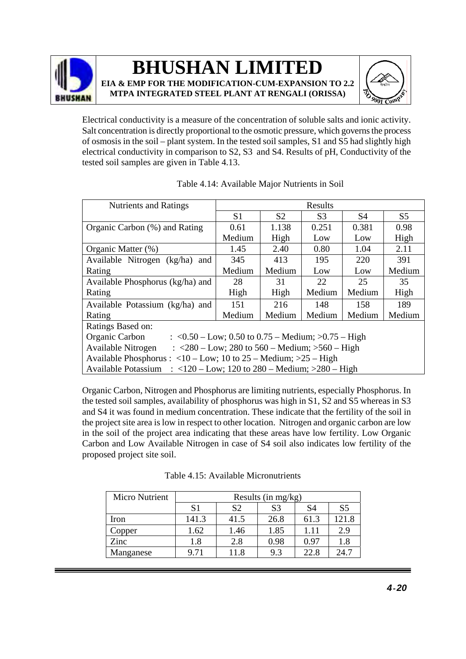



Electrical conductivity is a measure of the concentration of soluble salts and ionic activity. Salt concentration is directly proportional to the osmotic pressure, which governs the process of osmosis in the soil – plant system. In the tested soil samples, S1 and S5 had slightly high electrical conductivity in comparison to S2, S3 and S4. Results of pH, Conductivity of the tested soil samples are given in Table 4.13.

| <b>Nutrients and Ratings</b>                                                                           |        |                | Results        |           |                |  |
|--------------------------------------------------------------------------------------------------------|--------|----------------|----------------|-----------|----------------|--|
|                                                                                                        | S1     | S <sub>2</sub> | S <sub>3</sub> | <b>S4</b> | S <sub>5</sub> |  |
| Organic Carbon (%) and Rating                                                                          | 0.61   | 1.138          | 0.251          | 0.381     | 0.98           |  |
|                                                                                                        | Medium | High           | Low            | Low       | High           |  |
| Organic Matter (%)                                                                                     | 1.45   | 2.40           | 0.80           | 1.04      | 2.11           |  |
| Available Nitrogen (kg/ha)<br>and                                                                      | 345    | 413            | 195            | 220       | 391            |  |
| Rating                                                                                                 | Medium | Medium         | Low            | Low       | Medium         |  |
| Available Phosphorus (kg/ha) and                                                                       | 28     | 31             | 22             | 25        | 35             |  |
| Rating                                                                                                 | High   | High           | Medium         | Medium    | High           |  |
| Available Potassium (kg/ha) and                                                                        | 151    | 216            | 148            | 158       | 189            |  |
| Rating                                                                                                 | Medium | Medium         | Medium         | Medium    | Medium         |  |
| Ratings Based on:                                                                                      |        |                |                |           |                |  |
| Organic Carbon<br>: $< 0.50 - Low$ ; 0.50 to 0.75 – Medium; $> 0.75 - High$                            |        |                |                |           |                |  |
| Available Nitrogen<br>: $\langle 280 - \text{Low}$ ; 280 to 560 – Medium; $> 560 - \text{High}$        |        |                |                |           |                |  |
| Available Phosphorus : $\langle 10 - Low; 10 \text{ to } 25 - Medium; \rangle$ > 25 - High             |        |                |                |           |                |  |
| : $\langle 120 - \text{Low}$ ; 120 to 280 – Medium; $>280 - \text{High}$<br><b>Available Potassium</b> |        |                |                |           |                |  |

| Table 4.14: Available Major Nutrients in Soil |
|-----------------------------------------------|
|-----------------------------------------------|

Organic Carbon, Nitrogen and Phosphorus are limiting nutrients, especially Phosphorus. In the tested soil samples, availability of phosphorus was high in S1, S2 and S5 whereas in S3 and S4 it was found in medium concentration. These indicate that the fertility of the soil in the project site area is low in respect to other location. Nitrogen and organic carbon are low in the soil of the project area indicating that these areas have low fertility. Low Organic Carbon and Low Available Nitrogen in case of S4 soil also indicates low fertility of the proposed project site soil.

|  | Table 4.15: Available Micronutrients |  |
|--|--------------------------------------|--|
|  |                                      |  |

| <b>Micro Nutrient</b> | Results (in mg/kg) |                |                |      |                |
|-----------------------|--------------------|----------------|----------------|------|----------------|
|                       | S <sub>1</sub>     | S <sub>2</sub> | S <sub>3</sub> | S4   | S <sub>5</sub> |
| Iron                  | 141.3              | 41.5           | 26.8           | 61.3 | 121.8          |
| Copper                | 1.62               | 1.46           | 1.85           | 1.11 | 2.9            |
| Zinc                  | 1.8                | 2.8            | 0.98           | 0.97 | 1.8            |
| Manganese             | 9.71               | 11.8           | 9.3            | 22.8 | 24.7           |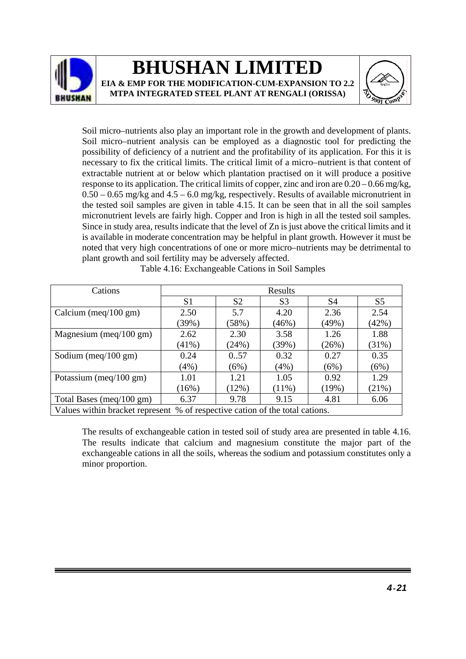



Soil micro–nutrients also play an important role in the growth and development of plants. Soil micro–nutrient analysis can be employed as a diagnostic tool for predicting the possibility of deficiency of a nutrient and the profitability of its application. For this it is necessary to fix the critical limits. The critical limit of a micro–nutrient is that content of extractable nutrient at or below which plantation practised on it will produce a positive response to its application. The critical limits of copper, zinc and iron are 0.20 – 0.66 mg/kg,  $0.50 - 0.65$  mg/kg and  $4.5 - 6.0$  mg/kg, respectively. Results of available micronutrient in the tested soil samples are given in table 4.15. It can be seen that in all the soil samples micronutrient levels are fairly high. Copper and Iron is high in all the tested soil samples. Since in study area, results indicate that the level of Zn is just above the critical limits and it is available in moderate concentration may be helpful in plant growth. However it must be noted that very high concentrations of one or more micro–nutrients may be detrimental to plant growth and soil fertility may be adversely affected.

| Cations                                                                      |                |                | Results        |       |                |
|------------------------------------------------------------------------------|----------------|----------------|----------------|-------|----------------|
|                                                                              | S <sub>1</sub> | S <sub>2</sub> | S <sub>3</sub> | S4    | S <sub>5</sub> |
| Calcium (meq/100 gm)                                                         | 2.50           | 5.7            | 4.20           | 2.36  | 2.54           |
|                                                                              | (39%)          | (58%)          | (46%)          | (49%) | (42%)          |
| Magnesium (meq/100 gm)                                                       | 2.62           | 2.30           | 3.58           | 1.26  | 1.88           |
|                                                                              | $(41\%)$       | (24%)          | (39%)          | (26%) | (31%)          |
| Sodium (meq/100 gm)                                                          | 0.24           | 0.57           | 0.32           | 0.27  | 0.35           |
|                                                                              | (4%)           | (6%)           | $(4\%)$        | (6%)  | (6%)           |
| Potassium (meq/100 gm)                                                       | 1.01           | 1.21           | 1.05           | 0.92  | 1.29           |
|                                                                              | (16%)          | (12%)          | $(11\%)$       | (19%) | (21%)          |
| Total Bases (meq/100 gm)                                                     | 6.37           | 9.78           | 9.15           | 4.81  | 6.06           |
| Values within bracket represent % of respective cation of the total cations. |                |                |                |       |                |

Table 4.16: Exchangeable Cations in Soil Samples

The results of exchangeable cation in tested soil of study area are presented in table 4.16. The results indicate that calcium and magnesium constitute the major part of the exchangeable cations in all the soils, whereas the sodium and potassium constitutes only a minor proportion.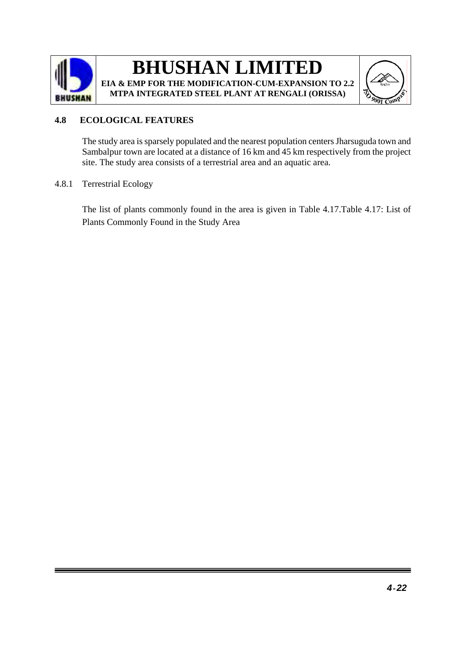

### **BHUSHAN LIMITED EIA & EMP FOR THE MODIFICATION-CUM-EXPANSION TO 2.2**

**MTPA INTEGRATED STEEL PLANT AT RENGALI (ORISSA)**



### **4.8 ECOLOGICAL FEATURES**

The study area is sparsely populated and the nearest population centers Jharsuguda town and Sambalpur town are located at a distance of 16 km and 45 km respectively from the project site. The study area consists of a terrestrial area and an aquatic area.

### 4.8.1 Terrestrial Ecology

The list of plants commonly found in the area is given in Table 4.17.Table 4.17: List of Plants Commonly Found in the Study Area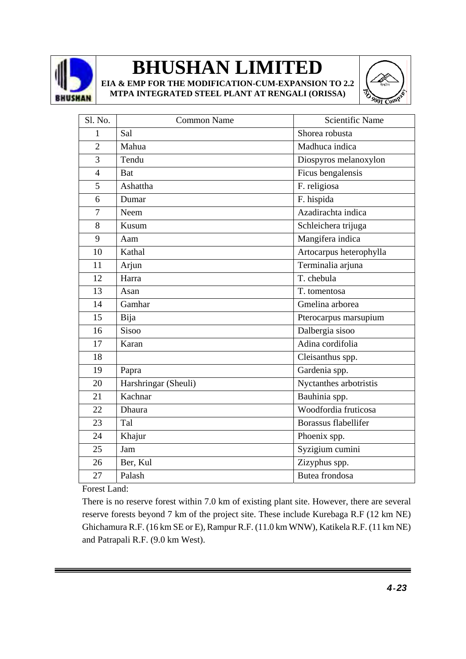

**EIA & EMP FOR THE MODIFICATION-CUM-EXPANSION TO 2.2 MTPA INTEGRATED STEEL PLANT AT RENGALI (ORISSA)**



| Sl. No.        | <b>Common Name</b>   | <b>Scientific Name</b>      |
|----------------|----------------------|-----------------------------|
| 1              | Sal                  | Shorea robusta              |
| $\overline{2}$ | Mahua                | Madhuca indica              |
| 3              | Tendu                | Diospyros melanoxylon       |
| $\overline{4}$ | <b>Bat</b>           | Ficus bengalensis           |
| 5              | Ashattha             | F. religiosa                |
| 6              | Dumar                | F. hispida                  |
| $\overline{7}$ | Neem                 | Azadirachta indica          |
| 8              | Kusum                | Schleichera trijuga         |
| 9              | Aam                  | Mangifera indica            |
| 10             | Kathal               | Artocarpus heterophylla     |
| 11             | Arjun                | Terminalia arjuna           |
| 12             | Harra                | T. chebula                  |
| 13             | Asan                 | T. tomentosa                |
| 14             | Gamhar               | Gmelina arborea             |
| 15             | Bija                 | Pterocarpus marsupium       |
| 16             | <b>Sisoo</b>         | Dalbergia sisoo             |
| 17             | Karan                | Adina cordifolia            |
| 18             |                      | Cleisanthus spp.            |
| 19             | Papra                | Gardenia spp.               |
| 20             | Harshringar (Sheuli) | Nyctanthes arbotristis      |
| 21             | Kachnar              | Bauhinia spp.               |
| 22             | Dhaura               | Woodfordia fruticosa        |
| 23             | Tal                  | <b>Borassus flabellifer</b> |
| 24             | Khajur               | Phoenix spp.                |
| 25             | Jam                  | Syzigium cumini             |
| 26             | Ber, Kul             | Zizyphus spp.               |
| 27             | Palash               | Butea frondosa              |

Forest Land:

There is no reserve forest within 7.0 km of existing plant site. However, there are several reserve forests beyond 7 km of the project site. These include Kurebaga R.F (12 km NE) Ghichamura R.F. (16 km SE or E), Rampur R.F. (11.0 km WNW), Katikela R.F. (11 km NE) and Patrapali R.F. (9.0 km West).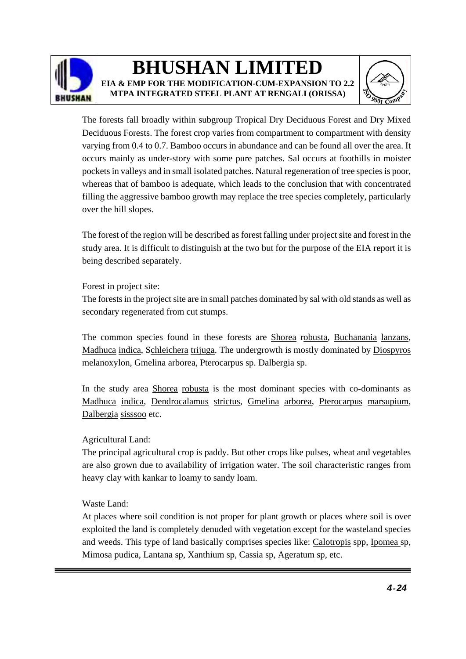

### **BHUSHAN LIMITED EIA & EMP FOR THE MODIFICATION-CUM-EXPANSION TO 2.2**

**MTPA INTEGRATED STEEL PLANT AT RENGALI (ORISSA)**



The forests fall broadly within subgroup Tropical Dry Deciduous Forest and Dry Mixed Deciduous Forests. The forest crop varies from compartment to compartment with density varying from 0.4 to 0.7. Bamboo occurs in abundance and can be found all over the area. It occurs mainly as under-story with some pure patches. Sal occurs at foothills in moister pockets in valleys and in small isolated patches. Natural regeneration of tree species is poor, whereas that of bamboo is adequate, which leads to the conclusion that with concentrated filling the aggressive bamboo growth may replace the tree species completely, particularly over the hill slopes.

The forest of the region will be described as forest falling under project site and forest in the study area. It is difficult to distinguish at the two but for the purpose of the EIA report it is being described separately.

Forest in project site:

The forests in the project site are in small patches dominated by sal with old stands as well as secondary regenerated from cut stumps.

The common species found in these forests are Shorea robusta, Buchanania lanzans, Madhuca indica, Schleichera trijuga. The undergrowth is mostly dominated by Diospyros melanoxylon, Gmelina arborea, Pterocarpus sp. Dalbergia sp.

In the study area Shorea robusta is the most dominant species with co-dominants as Madhuca indica, Dendrocalamus strictus, Gmelina arborea, Pterocarpus marsupium, Dalbergia sisssoo etc.

### Agricultural Land:

The principal agricultural crop is paddy. But other crops like pulses, wheat and vegetables are also grown due to availability of irrigation water. The soil characteristic ranges from heavy clay with kankar to loamy to sandy loam.

### Waste Land:

At places where soil condition is not proper for plant growth or places where soil is over exploited the land is completely denuded with vegetation except for the wasteland species and weeds. This type of land basically comprises species like: Calotropis spp, Ipomea sp, Mimosa pudica, Lantana sp, Xanthium sp, Cassia sp, Ageratum sp, etc.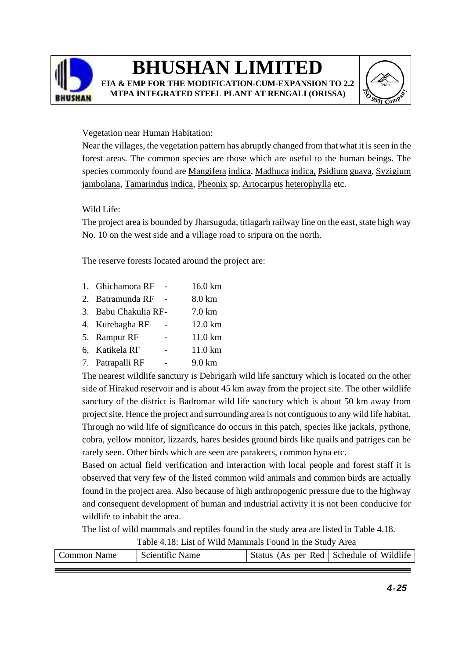

**EIA & EMP FOR THE MODIFICATION-CUM-EXPANSION TO 2.2 MTPA INTEGRATED STEEL PLANT AT RENGALI (ORISSA)**



### Vegetation near Human Habitation:

Near the villages, the vegetation pattern has abruptly changed from that what it is seen in the forest areas. The common species are those which are useful to the human beings. The species commonly found are Mangifera indica, Madhuca indica, Psidium guava, Syzigium jambolana, Tamarindus indica, Pheonix sp, Artocarpus heterophylla etc.

### Wild Life:

The project area is bounded by Jharsuguda, titlagarh railway line on the east, state high way No. 10 on the west side and a village road to sripura on the north.

The reserve forests located around the project are:

- 1. Ghichamora RF 16.0 km
- 2. Batramunda RF 8.0 km
- 3. Babu Chakulia RF- 7.0 km
- 4. Kurebagha RF 12.0 km
- 5. Rampur RF 11.0 km
- 6. Katikela RF 11.0 km
- 7. Patrapalli RF 9.0 km

The nearest wildlife sanctury is Debrigarh wild life sanctury which is located on the other side of Hirakud reservoir and is about 45 km away from the project site. The other wildlife sanctury of the district is Badromar wild life sanctury which is about 50 km away from project site. Hence the project and surrounding area is not contiguous to any wild life habitat. Through no wild life of significance do occurs in this patch, species like jackals, pythone, cobra, yellow monitor, lizzards, hares besides ground birds like quails and patriges can be rarely seen. Other birds which are seen are parakeets, common hyna etc.

Based on actual field verification and interaction with local people and forest staff it is observed that very few of the listed common wild animals and common birds are actually found in the project area. Also because of high anthropogenic pressure due to the highway and consequent development of human and industrial activity it is not been conducive for wildlife to inhabit the area.

The list of wild mammals and reptiles found in the study area are listed in Table 4.18.

Table 4.18: List of Wild Mammals Found in the Study Area Common Name Scientific Name Status (As per Red Schedule of Wildlife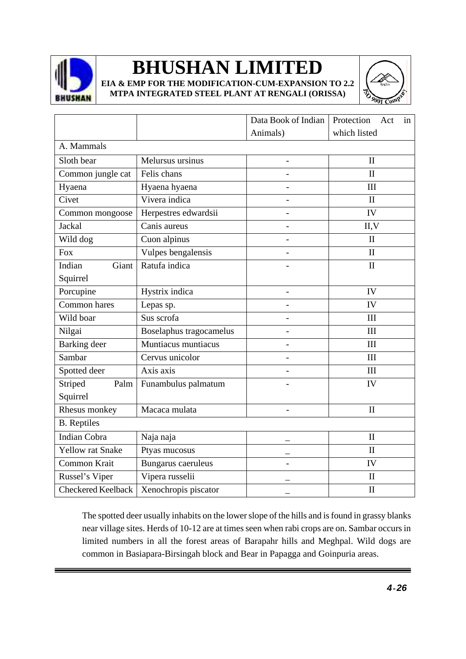

**EIA & EMP FOR THE MODIFICATION-CUM-EXPANSION TO 2.2 MTPA INTEGRATED STEEL PLANT AT RENGALI (ORISSA)**



|                           |                         |                | Data Book of Indian<br>Protection<br>Act<br>in |  |
|---------------------------|-------------------------|----------------|------------------------------------------------|--|
|                           |                         | Animals)       | which listed                                   |  |
| A. Mammals                |                         |                |                                                |  |
| Sloth bear                | Melursus ursinus        |                | $\mathbf{I}$                                   |  |
| Common jungle cat         | Felis chans             |                | $\mathbf{I}$                                   |  |
| Hyaena                    | Hyaena hyaena           |                | III                                            |  |
| Civet                     | Vivera indica           |                | $\mathbf{I}$                                   |  |
| Common mongoose           | Herpestres edwardsii    |                | IV                                             |  |
| Jackal                    | Canis aureus            | $\overline{a}$ | II, V                                          |  |
| Wild dog                  | Cuon alpinus            |                | $\mathbf{I}$                                   |  |
| <b>Fox</b>                | Vulpes bengalensis      |                | $\mathbf{I}$                                   |  |
| Giant<br>Indian           | Ratufa indica           |                | $\mathbf{I}$                                   |  |
| Squirrel                  |                         |                |                                                |  |
| Porcupine                 | Hystrix indica          |                | IV                                             |  |
| Common hares              | Lepas sp.               | $\overline{a}$ | IV                                             |  |
| Wild boar                 | Sus scrofa              |                | III                                            |  |
| Nilgai                    | Boselaphus tragocamelus |                | III                                            |  |
| <b>Barking</b> deer       | Muntiacus muntiacus     |                | III                                            |  |
| Sambar                    | Cervus unicolor         |                | III                                            |  |
| Spotted deer              | Axis axis               |                | III                                            |  |
| Striped<br>Palm           | Funambulus palmatum     |                | IV                                             |  |
| Squirrel                  |                         |                |                                                |  |
| Rhesus monkey             | Macaca mulata           | $\overline{a}$ | $\mathbf{I}$                                   |  |
| <b>B.</b> Reptiles        |                         |                |                                                |  |
| <b>Indian Cobra</b>       | Naja naja               |                | $\mathbf{I}$                                   |  |
| Yellow rat Snake          | Ptyas mucosus           |                | $\mathbf{I}$                                   |  |
| Common Krait              | Bungarus caeruleus      |                | IV                                             |  |
| Russel's Viper            | Vipera russelii         |                | $\mathbf{I}$                                   |  |
| <b>Checkered Keelback</b> | Xenochropis piscator    |                | $\mathbf{I}$                                   |  |

The spotted deer usually inhabits on the lower slope of the hills and is found in grassy blanks near village sites. Herds of 10-12 are at times seen when rabi crops are on. Sambar occurs in limited numbers in all the forest areas of Barapahr hills and Meghpal. Wild dogs are common in Basiapara-Birsingah block and Bear in Papagga and Goinpuria areas.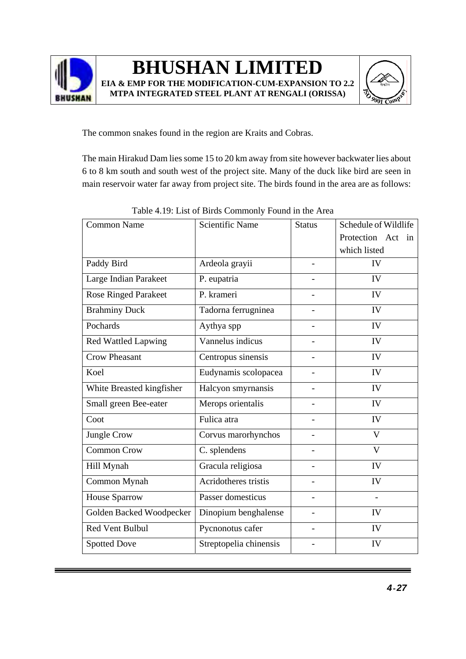



The common snakes found in the region are Kraits and Cobras.

The main Hirakud Dam lies some 15 to 20 km away from site however backwater lies about 6 to 8 km south and south west of the project site. Many of the duck like bird are seen in main reservoir water far away from project site. The birds found in the area are as follows:

| <b>Common Name</b>          | <b>Scientific Name</b> | <b>Status</b> | Schedule of Wildlife    |
|-----------------------------|------------------------|---------------|-------------------------|
|                             |                        |               | Protection Act<br>1n    |
|                             |                        |               | which listed            |
| Paddy Bird                  | Ardeola grayii         | -             | IV                      |
| Large Indian Parakeet       | P. eupatria            |               | IV                      |
| <b>Rose Ringed Parakeet</b> | P. krameri             |               | IV                      |
| <b>Brahminy Duck</b>        | Tadorna ferrugninea    |               | IV                      |
| Pochards                    | Aythya spp             |               | IV                      |
| <b>Red Wattled Lapwing</b>  | Vannelus indicus       |               | IV                      |
| <b>Crow Pheasant</b>        | Centropus sinensis     |               | IV                      |
| Koel                        | Eudynamis scolopacea   |               | IV                      |
| White Breasted kingfisher   | Halcyon smyrnansis     |               | IV                      |
| Small green Bee-eater       | Merops orientalis      |               | IV                      |
| Coot                        | Fulica atra            |               | IV                      |
| Jungle Crow                 | Corvus marorhynchos    |               | $\overline{\mathbf{V}}$ |
| <b>Common Crow</b>          | C. splendens           |               | $\mathbf{V}$            |
| Hill Mynah                  | Gracula religiosa      |               | IV                      |
| Common Mynah                | Acridotheres tristis   |               | IV                      |
| House Sparrow               | Passer domesticus      |               |                         |
| Golden Backed Woodpecker    | Dinopium benghalense   |               | IV                      |
| <b>Red Vent Bulbul</b>      | Pycnonotus cafer       | ÷,            | IV                      |
| <b>Spotted Dove</b>         | Streptopelia chinensis |               | IV                      |

Table 4.19: List of Birds Commonly Found in the Area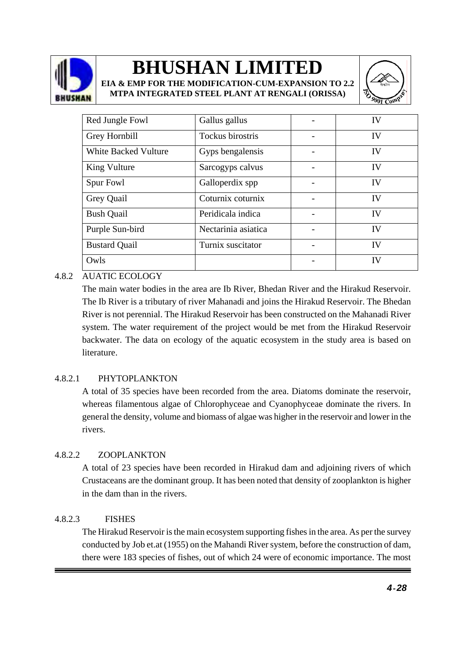

**EIA & EMP FOR THE MODIFICATION-CUM-EXPANSION TO 2.2 MTPA INTEGRATED STEEL PLANT AT RENGALI (ORISSA)**



| Red Jungle Fowl             | Gallus gallus       | IV        |
|-----------------------------|---------------------|-----------|
| Grey Hornbill               | Tockus birostris    | IV        |
| <b>White Backed Vulture</b> | Gyps bengalensis    | IV        |
| King Vulture                | Sarcogyps calvus    | IV        |
| Spur Fowl                   | Galloperdix spp     | IV        |
| Grey Quail                  | Coturnix coturnix   | <b>IV</b> |
| <b>Bush Quail</b>           | Peridicala indica   | IV        |
| Purple Sun-bird             | Nectarinia asiatica | <b>IV</b> |
| <b>Bustard Quail</b>        | Turnix suscitator   | <b>IV</b> |
| Owls                        |                     | IV        |

### 4.8.2 AUATIC ECOLOGY

The main water bodies in the area are Ib River, Bhedan River and the Hirakud Reservoir. The Ib River is a tributary of river Mahanadi and joins the Hirakud Reservoir. The Bhedan River is not perennial. The Hirakud Reservoir has been constructed on the Mahanadi River system. The water requirement of the project would be met from the Hirakud Reservoir backwater. The data on ecology of the aquatic ecosystem in the study area is based on literature.

### 4.8.2.1 PHYTOPLANKTON

A total of 35 species have been recorded from the area. Diatoms dominate the reservoir, whereas filamentous algae of Chlorophyceae and Cyanophyceae dominate the rivers. In general the density, volume and biomass of algae was higher in the reservoir and lower in the rivers.

### 4.8.2.2 ZOOPLANKTON

A total of 23 species have been recorded in Hirakud dam and adjoining rivers of which Crustaceans are the dominant group. It has been noted that density of zooplankton is higher in the dam than in the rivers.

### 4.8.2.3 FISHES

The Hirakud Reservoir is the main ecosystem supporting fishes in the area. As per the survey conducted by Job et.at (1955) on the Mahandi River system, before the construction of dam, there were 183 species of fishes, out of which 24 were of economic importance. The most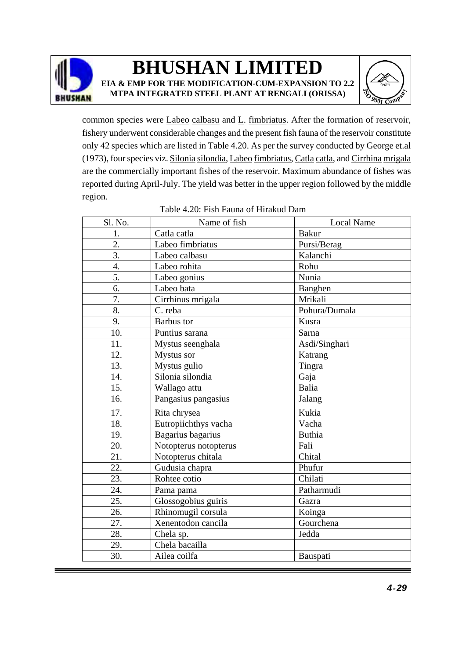

### **BHUSHAN LIMITED EIA & EMP FOR THE MODIFICATION-CUM-EXPANSION TO 2.2**

**MTPA INTEGRATED STEEL PLANT AT RENGALI (ORISSA)**



common species were Labeo calbasu and L. fimbriatus. After the formation of reservoir, fishery underwent considerable changes and the present fish fauna of the reservoir constitute only 42 species which are listed in Table 4.20. As per the survey conducted by George et.al (1973), four species viz. Silonia silondia, Labeo fimbriatus, Catla catla, and Cirrhina mrigala are the commercially important fishes of the reservoir. Maximum abundance of fishes was reported during April-July. The yield was better in the upper region followed by the middle region.

| <b>Bakur</b><br>Catla catla<br>1.<br>2.<br>Labeo fimbriatus<br>Pursi/Berag<br>$\overline{3}$ .<br>Labeo calbasu<br>Kalanchi<br>Labeo rohita<br>4.<br>Rohu<br>5.<br>Nunia<br>Labeo gonius<br>6.<br>Labeo bata<br>Banghen<br>7.<br>Mrikali<br>Cirrhinus mrigala<br>8.<br>C. reba<br>Pohura/Dumala<br>9.<br><b>Barbus</b> tor<br>Kusra<br>10.<br>Puntius sarana<br>Sarna<br>11.<br>Mystus seenghala<br>Asdi/Singhari<br>12.<br>Mystus sor<br>Katrang<br>13.<br>Mystus gulio<br>Tingra<br>Silonia silondia<br>14.<br>Gaja<br>15.<br>Wallago attu<br>Balia<br>16.<br>Pangasius pangasius<br>Jalang<br>17.<br>Kukia<br>Rita chrysea<br>18.<br>Eutropiichthys vacha<br>Vacha<br>19.<br>Bagarius bagarius<br><b>Buthia</b><br>20.<br>Fali<br>Notopterus notopterus<br>21.<br>Chital<br>Notopterus chitala<br>22.<br>Gudusia chapra<br>Phufur<br>23.<br>Chilati<br>Rohtee cotio<br>24.<br>Patharmudi<br>Pama pama<br>25.<br>Glossogobius guiris<br>Gazra<br>26.<br>Rhinomugil corsula<br>Koinga<br>27.<br>Xenentodon cancila<br>Gourchena<br>28.<br>Jedda<br>Chela sp.<br>Chela bacailla<br>29.<br>30.<br>Ailea coilfa<br>Bauspati | Sl. No. | Name of fish | <b>Local Name</b> |
|---------------------------------------------------------------------------------------------------------------------------------------------------------------------------------------------------------------------------------------------------------------------------------------------------------------------------------------------------------------------------------------------------------------------------------------------------------------------------------------------------------------------------------------------------------------------------------------------------------------------------------------------------------------------------------------------------------------------------------------------------------------------------------------------------------------------------------------------------------------------------------------------------------------------------------------------------------------------------------------------------------------------------------------------------------------------------------------------------------------------------|---------|--------------|-------------------|
|                                                                                                                                                                                                                                                                                                                                                                                                                                                                                                                                                                                                                                                                                                                                                                                                                                                                                                                                                                                                                                                                                                                           |         |              |                   |
|                                                                                                                                                                                                                                                                                                                                                                                                                                                                                                                                                                                                                                                                                                                                                                                                                                                                                                                                                                                                                                                                                                                           |         |              |                   |
|                                                                                                                                                                                                                                                                                                                                                                                                                                                                                                                                                                                                                                                                                                                                                                                                                                                                                                                                                                                                                                                                                                                           |         |              |                   |
|                                                                                                                                                                                                                                                                                                                                                                                                                                                                                                                                                                                                                                                                                                                                                                                                                                                                                                                                                                                                                                                                                                                           |         |              |                   |
|                                                                                                                                                                                                                                                                                                                                                                                                                                                                                                                                                                                                                                                                                                                                                                                                                                                                                                                                                                                                                                                                                                                           |         |              |                   |
|                                                                                                                                                                                                                                                                                                                                                                                                                                                                                                                                                                                                                                                                                                                                                                                                                                                                                                                                                                                                                                                                                                                           |         |              |                   |
|                                                                                                                                                                                                                                                                                                                                                                                                                                                                                                                                                                                                                                                                                                                                                                                                                                                                                                                                                                                                                                                                                                                           |         |              |                   |
|                                                                                                                                                                                                                                                                                                                                                                                                                                                                                                                                                                                                                                                                                                                                                                                                                                                                                                                                                                                                                                                                                                                           |         |              |                   |
|                                                                                                                                                                                                                                                                                                                                                                                                                                                                                                                                                                                                                                                                                                                                                                                                                                                                                                                                                                                                                                                                                                                           |         |              |                   |
|                                                                                                                                                                                                                                                                                                                                                                                                                                                                                                                                                                                                                                                                                                                                                                                                                                                                                                                                                                                                                                                                                                                           |         |              |                   |
|                                                                                                                                                                                                                                                                                                                                                                                                                                                                                                                                                                                                                                                                                                                                                                                                                                                                                                                                                                                                                                                                                                                           |         |              |                   |
|                                                                                                                                                                                                                                                                                                                                                                                                                                                                                                                                                                                                                                                                                                                                                                                                                                                                                                                                                                                                                                                                                                                           |         |              |                   |
|                                                                                                                                                                                                                                                                                                                                                                                                                                                                                                                                                                                                                                                                                                                                                                                                                                                                                                                                                                                                                                                                                                                           |         |              |                   |
|                                                                                                                                                                                                                                                                                                                                                                                                                                                                                                                                                                                                                                                                                                                                                                                                                                                                                                                                                                                                                                                                                                                           |         |              |                   |
|                                                                                                                                                                                                                                                                                                                                                                                                                                                                                                                                                                                                                                                                                                                                                                                                                                                                                                                                                                                                                                                                                                                           |         |              |                   |
|                                                                                                                                                                                                                                                                                                                                                                                                                                                                                                                                                                                                                                                                                                                                                                                                                                                                                                                                                                                                                                                                                                                           |         |              |                   |
|                                                                                                                                                                                                                                                                                                                                                                                                                                                                                                                                                                                                                                                                                                                                                                                                                                                                                                                                                                                                                                                                                                                           |         |              |                   |
|                                                                                                                                                                                                                                                                                                                                                                                                                                                                                                                                                                                                                                                                                                                                                                                                                                                                                                                                                                                                                                                                                                                           |         |              |                   |
|                                                                                                                                                                                                                                                                                                                                                                                                                                                                                                                                                                                                                                                                                                                                                                                                                                                                                                                                                                                                                                                                                                                           |         |              |                   |
|                                                                                                                                                                                                                                                                                                                                                                                                                                                                                                                                                                                                                                                                                                                                                                                                                                                                                                                                                                                                                                                                                                                           |         |              |                   |
|                                                                                                                                                                                                                                                                                                                                                                                                                                                                                                                                                                                                                                                                                                                                                                                                                                                                                                                                                                                                                                                                                                                           |         |              |                   |
|                                                                                                                                                                                                                                                                                                                                                                                                                                                                                                                                                                                                                                                                                                                                                                                                                                                                                                                                                                                                                                                                                                                           |         |              |                   |
|                                                                                                                                                                                                                                                                                                                                                                                                                                                                                                                                                                                                                                                                                                                                                                                                                                                                                                                                                                                                                                                                                                                           |         |              |                   |
|                                                                                                                                                                                                                                                                                                                                                                                                                                                                                                                                                                                                                                                                                                                                                                                                                                                                                                                                                                                                                                                                                                                           |         |              |                   |
|                                                                                                                                                                                                                                                                                                                                                                                                                                                                                                                                                                                                                                                                                                                                                                                                                                                                                                                                                                                                                                                                                                                           |         |              |                   |
|                                                                                                                                                                                                                                                                                                                                                                                                                                                                                                                                                                                                                                                                                                                                                                                                                                                                                                                                                                                                                                                                                                                           |         |              |                   |
|                                                                                                                                                                                                                                                                                                                                                                                                                                                                                                                                                                                                                                                                                                                                                                                                                                                                                                                                                                                                                                                                                                                           |         |              |                   |
|                                                                                                                                                                                                                                                                                                                                                                                                                                                                                                                                                                                                                                                                                                                                                                                                                                                                                                                                                                                                                                                                                                                           |         |              |                   |
|                                                                                                                                                                                                                                                                                                                                                                                                                                                                                                                                                                                                                                                                                                                                                                                                                                                                                                                                                                                                                                                                                                                           |         |              |                   |
|                                                                                                                                                                                                                                                                                                                                                                                                                                                                                                                                                                                                                                                                                                                                                                                                                                                                                                                                                                                                                                                                                                                           |         |              |                   |

#### Table 4.20: Fish Fauna of Hirakud Dam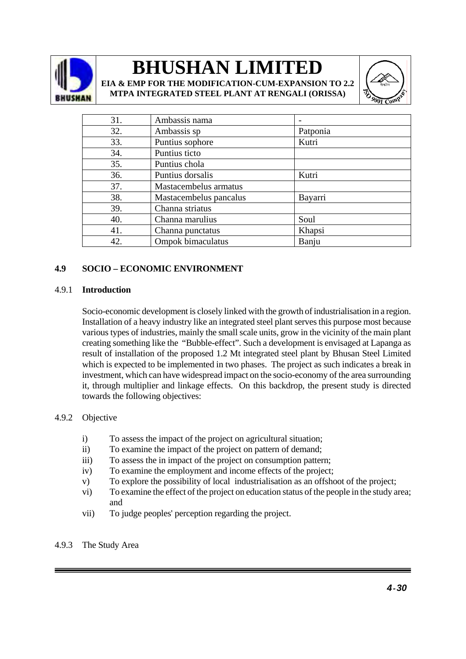

**EIA & EMP FOR THE MODIFICATION-CUM-EXPANSION TO 2.2 MTPA INTEGRATED STEEL PLANT AT RENGALI (ORISSA)**



| 31. | Ambassis nama          |          |
|-----|------------------------|----------|
| 32. | Ambassis sp            | Patponia |
| 33. | Puntius sophore        | Kutri    |
| 34. | Puntius ticto          |          |
| 35. | Puntius chola          |          |
| 36. | Puntius dorsalis       | Kutri    |
| 37. | Mastacembelus armatus  |          |
| 38. | Mastacembelus pancalus | Bayarri  |
| 39. | Channa striatus        |          |
| 40. | Channa marulius        | Soul     |
| 41. | Channa punctatus       | Khapsi   |
| 42. | Ompok bimaculatus      | Banju    |

### **4.9 SOCIO – ECONOMIC ENVIRONMENT**

#### 4.9.1 **Introduction**

Socio-economic development is closely linked with the growth of industrialisation in a region. Installation of a heavy industry like an integrated steel plant serves this purpose most because various types of industries, mainly the small scale units, grow in the vicinity of the main plant creating something like the "Bubble-effect". Such a development is envisaged at Lapanga as result of installation of the proposed 1.2 Mt integrated steel plant by Bhusan Steel Limited which is expected to be implemented in two phases. The project as such indicates a break in investment, which can have widespread impact on the socio-economy of the area surrounding it, through multiplier and linkage effects. On this backdrop, the present study is directed towards the following objectives:

#### 4.9.2 Objective

- i) To assess the impact of the project on agricultural situation;
- ii) To examine the impact of the project on pattern of demand;
- iii) To assess the in impact of the project on consumption pattern;
- iv) To examine the employment and income effects of the project;
- v) To explore the possibility of local industrialisation as an offshoot of the project;
- vi) To examine the effect of the project on education status of the people in the study area; and
- vii) To judge peoples' perception regarding the project.

#### 4.9.3 The Study Area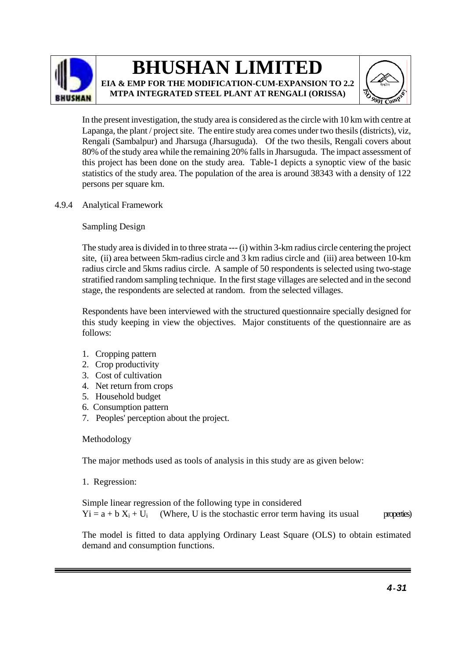

**BHUSHAN LIMITED EIA & EMP FOR THE MODIFICATION-CUM-EXPANSION TO 2.2** 

**MTPA INTEGRATED STEEL PLANT AT RENGALI (ORISSA)**



In the present investigation, the study area is considered as the circle with 10 km with centre at Lapanga, the plant / project site. The entire study area comes under two thesils (districts), viz, Rengali (Sambalpur) and Jharsuga (Jharsuguda). Of the two thesils, Rengali covers about 80% of the study area while the remaining 20% falls in Jharsuguda. The impact assessment of this project has been done on the study area. Table-1 depicts a synoptic view of the basic statistics of the study area. The population of the area is around 38343 with a density of 122 persons per square km.

4.9.4 Analytical Framework

Sampling Design

 The study area is divided in to three strata --- (i) within 3-km radius circle centering the project site, (ii) area between 5km-radius circle and 3 km radius circle and (iii) area between 10-km radius circle and 5kms radius circle. A sample of 50 respondents is selected using two-stage stratified random sampling technique. In the first stage villages are selected and in the second stage, the respondents are selected at random. from the selected villages.

 Respondents have been interviewed with the structured questionnaire specially designed for this study keeping in view the objectives. Major constituents of the questionnaire are as follows:

- 1. Cropping pattern
- 2. Crop productivity
- 3. Cost of cultivation
- 4. Net return from crops
- 5. Household budget
- 6. Consumption pattern
- 7. Peoples' perception about the project.

### Methodology

The major methods used as tools of analysis in this study are as given below:

1. Regression:

Simple linear regression of the following type in considered  $Yi = a + b X_i + U_i$  (Where, U is the stochastic error term having its usual properties)

The model is fitted to data applying Ordinary Least Square (OLS) to obtain estimated demand and consumption functions.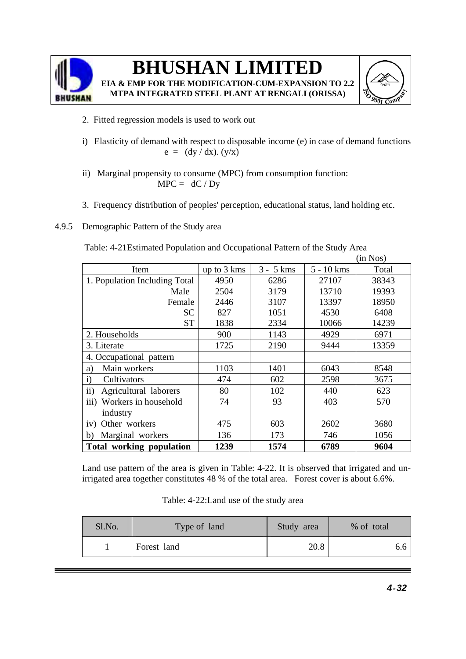

**EIA & EMP FOR THE MODIFICATION-CUM-EXPANSION TO 2.2 MTPA INTEGRATED STEEL PLANT AT RENGALI (ORISSA)**



- 2. Fitted regression models is used to work out
- i) Elasticity of demand with respect to disposable income (e) in case of demand functions  $e = (dy / dx) . (y/x)$
- ii) Marginal propensity to consume (MPC) from consumption function:  $MPC = dC/Dy$
- 3. Frequency distribution of peoples' perception, educational status, land holding etc.
- 4.9.5 Demographic Pattern of the Study area

|                                        |             |             |              | (in Nos) |
|----------------------------------------|-------------|-------------|--------------|----------|
| Item                                   | up to 3 kms | $3 - 5$ kms | $5 - 10$ kms | Total    |
| 1. Population Including Total          | 4950        | 6286        | 27107        | 38343    |
| Male                                   | 2504        | 3179        | 13710        | 19393    |
| Female                                 | 2446        | 3107        | 13397        | 18950    |
| SC                                     | 827         | 1051        | 4530         | 6408     |
| <b>ST</b>                              | 1838        | 2334        | 10066        | 14239    |
| 2. Households                          | 900         | 1143        | 4929         | 6971     |
| 3. Literate                            | 1725        | 2190        | 9444         | 13359    |
| 4. Occupational pattern                |             |             |              |          |
| Main workers<br>a)                     | 1103        | 1401        | 6043         | 8548     |
| $\mathbf{i}$<br>Cultivators            | 474         | 602         | 2598         | 3675     |
| $\mathbf{ii}$<br>Agricultural laborers | 80          | 102         | 440          | 623      |
| iii) Workers in household              | 74          | 93          | 403          | 570      |
| industry                               |             |             |              |          |
| iv) Other workers                      | 475         | 603         | 2602         | 3680     |
| b)<br>Marginal workers                 | 136         | 173         | 746          | 1056     |
| <b>Total working population</b>        | 1239        | 1574        | 6789         | 9604     |

Table: 4-21Estimated Population and Occupational Pattern of the Study Area

Land use pattern of the area is given in Table: 4-22. It is observed that irrigated and unirrigated area together constitutes 48 % of the total area. Forest cover is about 6.6%.

|  | Table: 4-22: Land use of the study area |
|--|-----------------------------------------|
|--|-----------------------------------------|

| Sl.No. | Type of land | Study area | % of total |
|--------|--------------|------------|------------|
|        | Forest land  | 20.8       |            |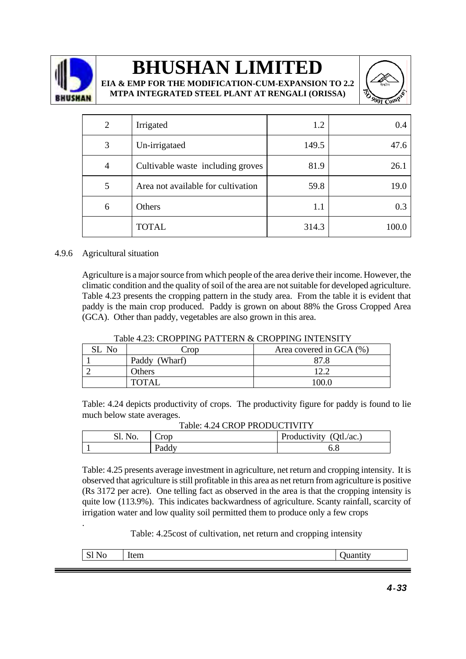

**EIA & EMP FOR THE MODIFICATION-CUM-EXPANSION TO 2.2 MTPA INTEGRATED STEEL PLANT AT RENGALI (ORISSA)**



| 2 | Irrigated                          | 1.2   | 0.4   |
|---|------------------------------------|-------|-------|
| 3 | Un-irrigataed                      | 149.5 | 47.6  |
| 4 | Cultivable waste including groves  | 81.9  | 26.1  |
| 5 | Area not available for cultivation | 59.8  | 19.0  |
| 6 | Others                             | 1.1   | 0.3   |
|   | <b>TOTAL</b>                       | 314.3 | 100.0 |

#### 4.9.6 Agricultural situation

.

 Agriculture is a major source from which people of the area derive their income. However, the climatic condition and the quality of soil of the area are not suitable for developed agriculture. Table 4.23 presents the cropping pattern in the study area. From the table it is evident that paddy is the main crop produced. Paddy is grown on about 88% the Gross Cropped Area (GCA). Other than paddy, vegetables are also grown in this area.

| SL No | Crop          | Area covered in GCA (%) |
|-------|---------------|-------------------------|
|       | Paddy (Wharf) |                         |
|       | <b>Others</b> |                         |
|       | <b>TOTAL</b>  |                         |

#### Table 4.23: CROPPING PATTERN & CROPPING INTENSITY

Table: 4.24 depicts productivity of crops. The productivity figure for paddy is found to lie much below state averages.

| Table. 4.24 CNOP PNODUCTIVITT |            |                         |  |  |  |
|-------------------------------|------------|-------------------------|--|--|--|
| SI. No.                       | $\cup$ rop | Productivity (Qtl./ac.) |  |  |  |
|                               | Paddy      |                         |  |  |  |

### Table: 4.24 CROP PRODUCTIVITY

Table: 4.25 presents average investment in agriculture, net return and cropping intensity. It is observed that agriculture is still profitable in this area as net return from agriculture is positive (Rs 3172 per acre). One telling fact as observed in the area is that the cropping intensity is quite low (113.9%). This indicates backwardness of agriculture. Scanty rainfall, scarcity of irrigation water and low quality soil permitted them to produce only a few crops

Table: 4.25cost of cultivation, net return and cropping intensity

| . |  |
|---|--|
|   |  |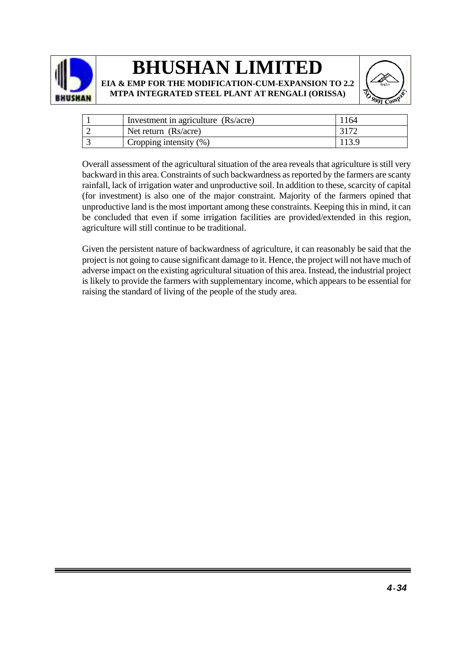





| Investment in agriculture (Rs/acre) | 164 |
|-------------------------------------|-----|
| Net return $(Rs/acre)$              |     |
| Cropping intensity $(\%)$           |     |

 Overall assessment of the agricultural situation of the area reveals that agriculture is still very backward in this area. Constraints of such backwardness as reported by the farmers are scanty rainfall, lack of irrigation water and unproductive soil. In addition to these, scarcity of capital (for investment) is also one of the major constraint. Majority of the farmers opined that unproductive land is the most important among these constraints. Keeping this in mind, it can be concluded that even if some irrigation facilities are provided/extended in this region, agriculture will still continue to be traditional.

Given the persistent nature of backwardness of agriculture, it can reasonably be said that the project is not going to cause significant damage to it. Hence, the project will not have much of adverse impact on the existing agricultural situation of this area. Instead, the industrial project is likely to provide the farmers with supplementary income, which appears to be essential for raising the standard of living of the people of the study area.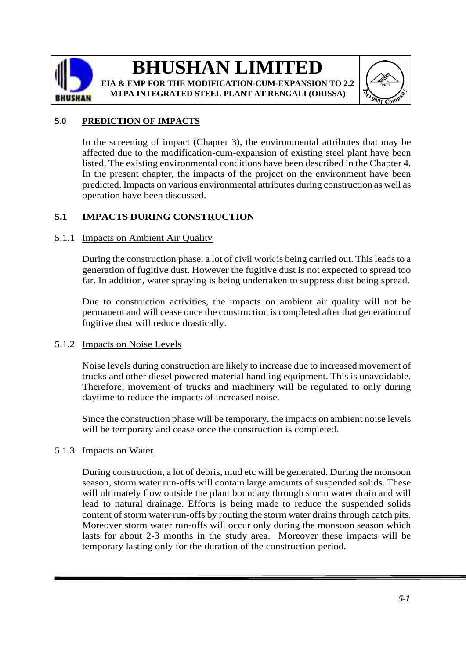

**EIA & EMP FOR THE MODIFICATION-CUM-EXPANSION TO 2.2 MTPA INTEGRATED STEEL PLANT AT RENGALI (ORISSA)**



### **5.0 PREDICTION OF IMPACTS**

In the screening of impact (Chapter 3), the environmental attributes that may be affected due to the modification-cum-expansion of existing steel plant have been listed. The existing environmental conditions have been described in the Chapter 4. In the present chapter, the impacts of the project on the environment have been predicted. Impacts on various environmental attributes during construction as well as operation have been discussed.

### **5.1 IMPACTS DURING CONSTRUCTION**

### 5.1.1 Impacts on Ambient Air Quality

During the construction phase, a lot of civil work is being carried out. This leads to a generation of fugitive dust. However the fugitive dust is not expected to spread too far. In addition, water spraying is being undertaken to suppress dust being spread.

Due to construction activities, the impacts on ambient air quality will not be permanent and will cease once the construction is completed after that generation of fugitive dust will reduce drastically.

#### 5.1.2 Impacts on Noise Levels

Noise levels during construction are likely to increase due to increased movement of trucks and other diesel powered material handling equipment. This is unavoidable. Therefore, movement of trucks and machinery will be regulated to only during daytime to reduce the impacts of increased noise.

Since the construction phase will be temporary, the impacts on ambient noise levels will be temporary and cease once the construction is completed.

### 5.1.3 Impacts on Water

During construction, a lot of debris, mud etc will be generated. During the monsoon season, storm water run-offs will contain large amounts of suspended solids. These will ultimately flow outside the plant boundary through storm water drain and will lead to natural drainage. Efforts is being made to reduce the suspended solids content of storm water run-offs by routing the storm water drains through catch pits. Moreover storm water run-offs will occur only during the monsoon season which lasts for about 2-3 months in the study area. Moreover these impacts will be temporary lasting only for the duration of the construction period.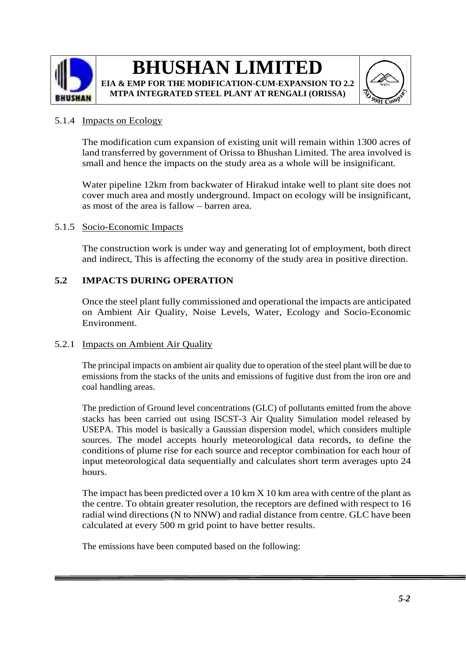

### **BHUSHAN LIMITED EIA & EMP FOR THE MODIFICATION-CUM-EXPANSION TO 2.2**

**MTPA INTEGRATED STEEL PLANT AT RENGALI (ORISSA)**



### 5.1.4 Impacts on Ecology

The modification cum expansion of existing unit will remain within 1300 acres of land transferred by government of Orissa to Bhushan Limited. The area involved is small and hence the impacts on the study area as a whole will be insignificant.

Water pipeline 12km from backwater of Hirakud intake well to plant site does not cover much area and mostly underground. Impact on ecology will be insignificant, as most of the area is fallow – barren area.

### 5.1.5 Socio-Economic Impacts

The construction work is under way and generating lot of employment, both direct and indirect, This is affecting the economy of the study area in positive direction.

### **5.2 IMPACTS DURING OPERATION**

Once the steel plant fully commissioned and operational the impacts are anticipated on Ambient Air Quality, Noise Levels, Water, Ecology and Socio-Economic Environment.

#### 5.2.1 Impacts on Ambient Air Quality

The principal impacts on ambient air quality due to operation of the steel plant will be due to emissions from the stacks of the units and emissions of fugitive dust from the iron ore and coal handling areas.

The prediction of Ground level concentrations (GLC) of pollutants emitted from the above stacks has been carried out using ISCST-3 Air Quality Simulation model released by USEPA. This model is basically a Gaussian dispersion model, which considers multiple sources. The model accepts hourly meteorological data records, to define the conditions of plume rise for each source and receptor combination for each hour of input meteorological data sequentially and calculates short term averages upto 24 hours.

The impact has been predicted over a 10 km X 10 km area with centre of the plant as the centre. To obtain greater resolution, the receptors are defined with respect to 16 radial wind directions (N to NNW) and radial distance from centre. GLC have been calculated at every 500 m grid point to have better results.

The emissions have been computed based on the following: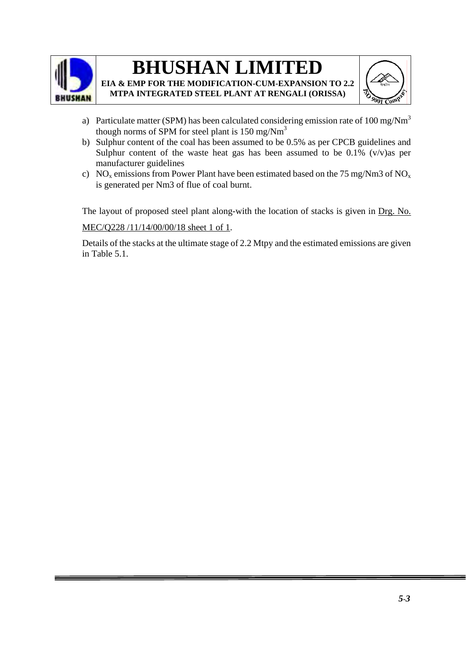

**EIA & EMP FOR THE MODIFICATION-CUM-EXPANSION TO 2.2 MTPA INTEGRATED STEEL PLANT AT RENGALI (ORISSA)**



- a) Particulate matter (SPM) has been calculated considering emission rate of  $100 \text{ mg}/\text{Nm}^3$ though norms of SPM for steel plant is  $150 \text{ mg/Nm}^3$
- b) Sulphur content of the coal has been assumed to be 0.5% as per CPCB guidelines and Sulphur content of the waste heat gas has been assumed to be  $0.1\%$  (v/v)as per manufacturer guidelines
- c) NO<sub>x</sub> emissions from Power Plant have been estimated based on the 75 mg/Nm3 of NO<sub>x</sub> is generated per Nm3 of flue of coal burnt.

The layout of proposed steel plant along-with the location of stacks is given in Drg. No. MEC/Q228 /11/14/00/00/18 sheet 1 of 1.

Details of the stacks at the ultimate stage of 2.2 Mtpy and the estimated emissions are given in Table 5.1.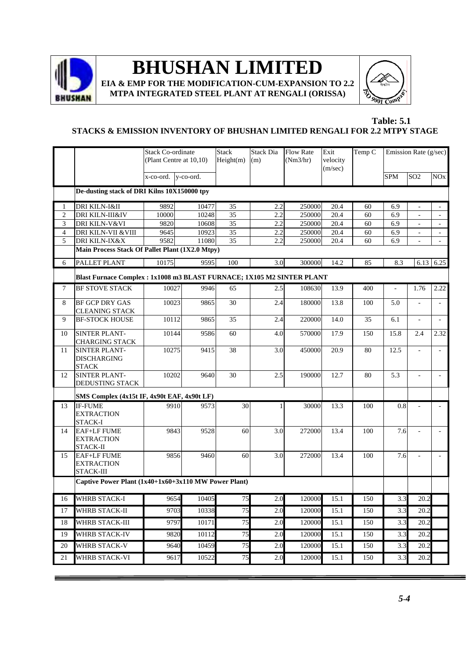

**EIA & EMP FOR THE MODIFICATION-CUM-EXPANSION TO 2.2 MTPA INTEGRATED STEEL PLANT AT RENGALI (ORISSA)**



#### **Table: 5.1 STACKS & EMISSION INVENTORY OF BHUSHAN LIMITED RENGALI FOR 2.2 MTPY STAGE**

|                |                                                                             | <b>Stack Co-ordinate</b>  | (Plant Centre at 10,10) | <b>Stack</b><br>Height(m) | <b>Stack Dia</b><br>(m) | <b>Flow Rate</b><br>(Nm3/hr) | Exit<br>velocity<br>(m/sec) | Temp C |                | Emission Rate (g/sec)        |                       |
|----------------|-----------------------------------------------------------------------------|---------------------------|-------------------------|---------------------------|-------------------------|------------------------------|-----------------------------|--------|----------------|------------------------------|-----------------------|
|                |                                                                             | $x$ -co-ord. $y$ -co-ord. |                         |                           |                         |                              |                             |        | <b>SPM</b>     | SO <sub>2</sub>              | <b>NO<sub>x</sub></b> |
|                | De-dusting stack of DRI Kilns 10X150000 tpy                                 |                           |                         |                           |                         |                              |                             |        |                |                              |                       |
| 1              | DRI KILN-I&II                                                               | 9892                      | 10477                   | 35                        | 2.2                     | 250000                       | 20.4                        | 60     | 6.9            | $\overline{a}$               |                       |
| $\overline{2}$ | DRI KILN-III&IV                                                             | 10000                     | 10248                   | 35                        | 2.2                     | 250000                       | 20.4                        | 60     | 6.9            | $\qquad \qquad \blacksquare$ | $\blacksquare$        |
| $\mathfrak 3$  | DRI KILN-V&VI                                                               | 9820                      | 10608                   | 35                        | 2.2                     | 250000                       | 20.4                        | 60     | 6.9            |                              | $\blacksquare$        |
| $\overline{4}$ | DRI KILN-VII & VIII                                                         | 9645                      | 10923                   | 35                        | 2.2                     | 250000                       | 20.4                        | 60     | 6.9            |                              |                       |
| 5              | <b>DRI KILN-IX&amp;X</b><br>Main Process Stack Of Pallet Plant (1X2.0 Mtpy) | 9582                      | 11080                   | $\overline{35}$           | 2.2                     | 250000                       | 20.4                        | 60     | 6.9            |                              | $\omega$              |
| 6              | PALLET PLANT                                                                | 10175                     | 9595                    | 100                       | 3.0                     | 300000                       | 14.2                        | 85     | 8.3            | 6.13                         | 6.25                  |
|                | Blast Furnace Complex : 1x1008 m3 BLAST FURNACE; 1X105 M2 SINTER PLANT      |                           |                         |                           |                         |                              |                             |        |                |                              |                       |
| 7              | <b>BF STOVE STACK</b>                                                       | 10027                     | 9946                    | 65                        | 2.5                     | 108630                       | 13.9                        | 400    | $\overline{a}$ | 1.76                         | 2.22                  |
| 8              | <b>BF GCP DRY GAS</b><br><b>CLEANING STACK</b>                              | 10023                     | 9865                    | 30                        | 2.4                     | 180000                       | 13.8                        | 100    | 5.0            |                              |                       |
| 9              | <b>BF-STOCK HOUSE</b>                                                       | 10112                     | 9865                    | 35                        | 2.4                     | 220000                       | 14.0                        | 35     | 6.1            | $\mathbf{r}$                 | $\sim$                |
| 10             | SINTER PLANT-<br><b>CHARGING STACK</b>                                      | 10144                     | 9586                    | 60                        | 4.0                     | 570000                       | 17.9                        | 150    | 15.8           | 2.4                          | 2.32                  |
| 11             | <b>SINTER PLANT-</b><br><b>DISCHARGING</b><br><b>STACK</b>                  | 10275                     | 9415                    | 38                        | 3.0                     | 450000                       | 20.9                        | 80     | 12.5           |                              | $\mathbf{r}$          |
| 12             | <b>SINTER PLANT-</b><br>DEDUSTING STACK                                     | 10202                     | 9640                    | 30                        | 2.5                     | 190000                       | 12.7                        | 80     | 5.3            |                              | $\sim$                |
|                | SMS Complex (4x15t IF, 4x90t EAF, 4x90t LF)                                 |                           |                         |                           |                         |                              |                             |        |                |                              |                       |
| 13             | <b>IF-FUME</b><br><b>EXTRACTION</b><br>STACK-I                              | 9910                      | 9573                    | 30                        | 1                       | 30000                        | 13.3                        | 100    | 0.8            |                              |                       |
| 14             | <b>EAF+LF FUME</b><br><b>EXTRACTION</b><br>STACK-II                         | 9843                      | 9528                    | 60                        | 3.0                     | 272000                       | 13.4                        | 100    | 7.6            | $\overline{a}$               |                       |
| 15             | <b>EAF+LF FUME</b><br><b>EXTRACTION</b><br>STACK-III                        | 9856                      | 9460                    | 60                        | 3.0                     | 272000                       | 13.4                        | 100    | 7.6            | L.                           |                       |
|                | Captive Power Plant (1x40+1x60+3x110 MW Power Plant)                        |                           |                         |                           |                         |                              |                             |        |                |                              |                       |
| 16             | WHRB STACK-I                                                                | 9654                      | 10405                   | 75                        | 2.0                     | 120000                       | 15.1                        | 150    | 3.3            | 20.2                         |                       |
| 17             | WHRB STACK-II                                                               | 9703                      | 10338                   | 75                        | 2.0                     | 120000                       | 15.1                        | 150    | 3.3            | 20.2                         |                       |
| 18             | WHRB STACK-III                                                              | 9797                      | 10171                   | 75                        | 2.0                     | 120000                       | 15.1                        | 150    | 3.3            | 20.2                         |                       |
| 19             | <b>WHRB STACK-IV</b>                                                        | 9820                      | 10112                   | 75                        | 2.0                     | 120000                       | 15.1                        | 150    | 3.3            | 20.2                         |                       |
| 20             | <b>WHRB STACK-V</b>                                                         | 9640                      | 10459                   | 75                        | 2.0                     | 120000                       | 15.1                        | 150    | 3.3            | 20.2                         |                       |
| 21             | WHRB STACK-VI                                                               | 9617                      | 10522                   | 75                        | 2.0                     | 120000                       | 15.1                        | 150    | 3.3            | 20.2                         |                       |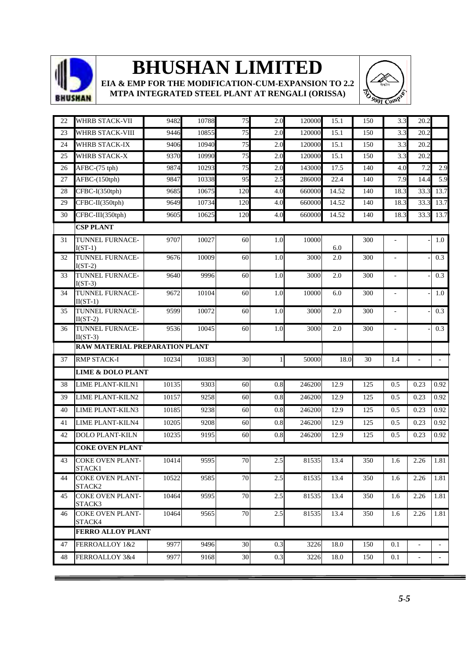

**EIA & EMP FOR THE MODIFICATION-CUM-EXPANSION TO 2.2 MTPA INTEGRATED STEEL PLANT AT RENGALI (ORISSA)**



| 22 | <b>WHRB STACK-VII</b>                       | 9482  | 10788 | $\overline{75}$ | 2.0     | 120000 | 15.1  | 150 | 3.3            | 20.2 |                     |
|----|---------------------------------------------|-------|-------|-----------------|---------|--------|-------|-----|----------------|------|---------------------|
| 23 | <b>WHRB STACK-VIII</b>                      | 9446  | 10855 | 75              | 2.0     | 120000 | 15.1  | 150 | 3.3            | 20.2 |                     |
| 24 | <b>WHRB STACK-IX</b>                        | 9406  | 10940 | 75              | 2.0     | 120000 | 15.1  | 150 | 3.3            | 20.2 |                     |
| 25 | WHRB STACK-X                                | 9370  | 10990 | 75              | 2.0     | 120000 | 15.1  | 150 | 3.3            | 20.2 |                     |
| 26 | AFBC-(75 tph)                               | 9874  | 10293 | 75              | 2.0     | 143000 | 17.5  | 140 | 4.0            | 7.2  | 2.9                 |
| 27 | AFBC-(150tph)                               | 9847  | 10338 | 95              | 2.5     | 286000 | 22.4  | 140 | 7.9            | 14.4 | 5.9                 |
| 28 | CFBC-I(350tph)                              | 9685  | 10675 | 120             | 4.0     | 660000 | 14.52 | 140 | 18.3           | 33.3 | 13.7                |
| 29 | CFBC-II(350tph)                             | 9649  | 10734 | 120             | 4.0     | 660000 | 14.52 | 140 | 18.3           | 33.3 | 13.7                |
| 30 | CFBC-III(350tph)                            | 9605  | 10625 | 120             | 4.0     | 660000 | 14.52 | 140 | 18.3           | 33.3 | 13.7                |
|    | <b>CSP PLANT</b>                            |       |       |                 |         |        |       |     |                |      |                     |
| 31 | TUNNEL FURNACE-<br>$I(ST-1)$                | 9707  | 10027 | 60              | 1.0     | 10000  | 6.0   | 300 | ÷,             |      | 1.0                 |
| 32 | TUNNEL FURNACE-<br>$I(ST-2)$                | 9676  | 10009 | 60              | 1.0     | 3000   | 2.0   | 300 |                |      | 0.3                 |
| 33 | TUNNEL FURNACE-<br>$I(ST-3)$                | 9640  | 9996  | 60              | 1.0     | 3000   | 2.0   | 300 | $\overline{a}$ |      | 0.3                 |
| 34 | <b>TUNNEL FURNACE-</b><br>$II(ST-1)$        | 9672  | 10104 | 60              | 1.0     | 10000  | 6.0   | 300 | $\frac{1}{2}$  |      | $1.0\,$             |
| 35 | TUNNEL FURNACE-<br>$II(ST-2)$               | 9599  | 10072 | 60              | 1.0     | 3000   | 2.0   | 300 | $\blacksquare$ |      | 0.3                 |
| 36 | TUNNEL FURNACE-<br>$II(ST-3)$               | 9536  | 10045 | 60              | 1.0     | 3000   | 2.0   | 300 |                |      | 0.3                 |
|    | RAW MATERIAL PREPARATION PLANT              |       |       |                 |         |        |       |     |                |      |                     |
| 37 | <b>RMP STACK-I</b>                          | 10234 | 10383 | 30              | 1       | 50000  | 18.0  | 30  | 1.4            |      | $\bar{\phantom{a}}$ |
|    | <b>LIME &amp; DOLO PLANT</b>                |       |       |                 |         |        |       |     |                |      |                     |
| 38 | LIME PLANT-KILN1                            | 10135 | 9303  | 60              | $0.8\,$ | 246200 | 12.9  | 125 | 0.5            | 0.23 | 0.92                |
| 39 | LIME PLANT-KILN2                            | 10157 |       |                 |         |        |       |     |                |      |                     |
| 40 |                                             |       | 9258  | 60              | 0.8     | 246200 | 12.9  | 125 | 0.5            | 0.23 | 0.92                |
|    | LIME PLANT-KILN3                            | 10185 | 9238  | 60              | 0.8     | 246200 | 12.9  | 125 | 0.5            | 0.23 | 0.92                |
| 41 | <b>LIME PLANT-KILN4</b>                     | 10205 | 9208  | 60              | 0.8     | 246200 | 12.9  | 125 | 0.5            | 0.23 | 0.92                |
| 42 | <b>DOLO PLANT-KILN</b>                      | 10235 | 9195  | 60              | 0.8     | 246200 | 12.9  | 125 | 0.5            | 0.23 | 0.92                |
|    | <b>COKE OVEN PLANT</b>                      |       |       |                 |         |        |       |     |                |      |                     |
| 43 | <b>COKE OVEN PLANT-</b>                     | 10414 | 9595  | 70              | 2.5     | 81535  | 13.4  | 350 | 1.6            | 2.26 | 1.81                |
| 44 | STACK1<br><b>COKE OVEN PLANT-</b><br>STACK2 | 10522 | 9585  | 70              | 2.5     | 81535  | 13.4  | 350 | 1.6            | 2.26 | 1.81                |
| 45 | <b>COKE OVEN PLANT-</b><br>STACK3           | 10464 | 9595  | 70              | 2.5     | 81535  | 13.4  | 350 | 1.6            | 2.26 | 1.81                |
| 46 | <b>COKE OVEN PLANT-</b><br>STACK4           | 10464 | 9565  | 70              | $2.5\,$ | 81535  | 13.4  | 350 | 1.6            | 2.26 |                     |
|    | <b>FERRO ALLOY PLANT</b>                    |       |       |                 |         |        |       |     |                |      |                     |
| 47 | FERROALLOY 1&2                              | 9977  | 9496  | 30              | 0.3     | 3226   | 18.0  | 150 | 0.1            |      | 1.81                |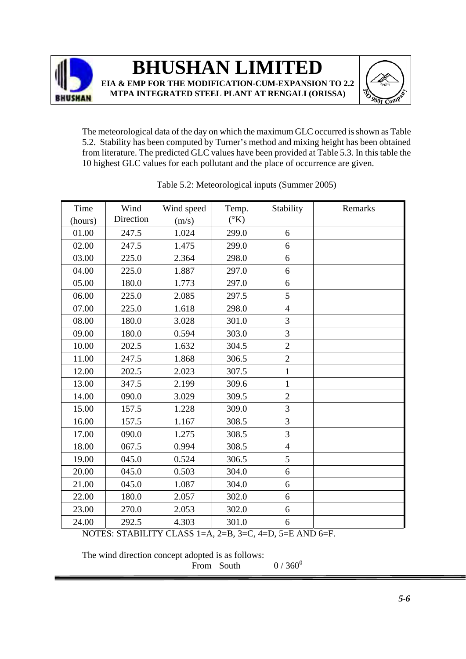



The meteorological data of the day on which the maximum GLC occurred is shown as Table 5.2. Stability has been computed by Turner's method and mixing height has been obtained from literature. The predicted GLC values have been provided at Table 5.3. In this table the 10 highest GLC values for each pollutant and the place of occurrence are given.

| Time    | Wind      | Wind speed | Temp.           | Stability      | Remarks |
|---------|-----------|------------|-----------------|----------------|---------|
| (hours) | Direction | (m/s)      | $({}^{\circ}K)$ |                |         |
| 01.00   | 247.5     | 1.024      | 299.0           | 6              |         |
| 02.00   | 247.5     | 1.475      | 299.0           | 6              |         |
| 03.00   | 225.0     | 2.364      | 298.0           | 6              |         |
| 04.00   | 225.0     | 1.887      | 297.0           | 6              |         |
| 05.00   | 180.0     | 1.773      | 297.0           | 6              |         |
| 06.00   | 225.0     | 2.085      | 297.5           | 5              |         |
| 07.00   | 225.0     | 1.618      | 298.0           | $\overline{4}$ |         |
| 08.00   | 180.0     | 3.028      | 301.0           | 3              |         |
| 09.00   | 180.0     | 0.594      | 303.0           | 3              |         |
| 10.00   | 202.5     | 1.632      | 304.5           | $\overline{2}$ |         |
| 11.00   | 247.5     | 1.868      | 306.5           | $\overline{2}$ |         |
| 12.00   | 202.5     | 2.023      | 307.5           | $\mathbf{1}$   |         |
| 13.00   | 347.5     | 2.199      | 309.6           | $\mathbf{1}$   |         |
| 14.00   | 090.0     | 3.029      | 309.5           | $\overline{2}$ |         |
| 15.00   | 157.5     | 1.228      | 309.0           | 3              |         |
| 16.00   | 157.5     | 1.167      | 308.5           | $\overline{3}$ |         |
| 17.00   | 090.0     | 1.275      | 308.5           | $\overline{3}$ |         |
| 18.00   | 067.5     | 0.994      | 308.5           | $\overline{4}$ |         |
| 19.00   | 045.0     | 0.524      | 306.5           | 5              |         |
| 20.00   | 045.0     | 0.503      | 304.0           | 6              |         |
| 21.00   | 045.0     | 1.087      | 304.0           | 6              |         |
| 22.00   | 180.0     | 2.057      | 302.0           | 6              |         |
| 23.00   | 270.0     | 2.053      | 302.0           | 6              |         |
| 24.00   | 292.5     | 4.303      | 301.0           | 6              |         |

|  |  | Table 5.2: Meteorological inputs (Summer 2005) |  |
|--|--|------------------------------------------------|--|
|  |  |                                                |  |

NOTES: STABILITY CLASS 1=A, 2=B, 3=C, 4=D, 5=E AND 6=F.

The wind direction concept adopted is as follows:

From South  $0/360^0$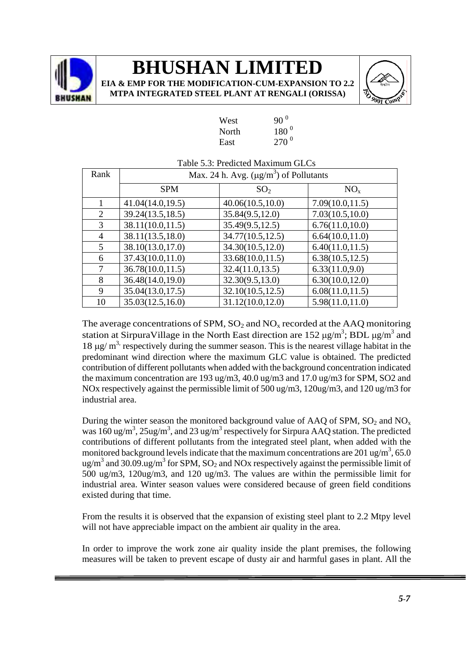

## **BHUSHAN LIMI**

**EIA & EMP FOR THE MODIFICATION-CUM-EXPANSION TO 2.2 MTPA INTEGRATED STEEL PLANT AT R** 

 $\frac{1}{270}$ <sup>0</sup>

|       | IN I EGKA I ED STEEL PLANT AT KENGALI (OKISS. |  |
|-------|-----------------------------------------------|--|
| West  | $90^{0}$                                      |  |
| North | $180^{0}$                                     |  |

 $270^{0}$ 

| Rank           | Max. 24 h. Avg. $(\mu g/m^3)$ of Pollutants |                   |                  |  |  |  |
|----------------|---------------------------------------------|-------------------|------------------|--|--|--|
|                | <b>SPM</b>                                  | SO <sub>2</sub>   | NO <sub>x</sub>  |  |  |  |
|                | 41.04(14.0,19.5)                            | 40.06(10.5,10.0)  | 7.09(10.0, 11.5) |  |  |  |
| 2              | 39.24(13.5,18.5)                            | 35.84(9.5,12.0)   | 7.03(10.5,10.0)  |  |  |  |
| 3              | 38.11(10.0, 11.5)                           | 35.49(9.5,12.5)   | 6.76(11.0,10.0)  |  |  |  |
| $\overline{4}$ | 38.11(13.5, 18.0)                           | 34.77(10.5, 12.5) | 6.64(10.0, 11.0) |  |  |  |
| 5              | 38.10(13.0,17.0)                            | 34.30(10.5,12.0)  | 6.40(11.0, 11.5) |  |  |  |
| 6              | 37.43(10.0, 11.0)                           | 33.68(10.0, 11.5) | 6.38(10.5, 12.5) |  |  |  |
| 7              | 36.78(10.0, 11.5)                           | 32.4(11.0, 13.5)  | 6.33(11.0,9.0)   |  |  |  |
| 8              | 36.48(14.0,19.0)                            | 32.30(9.5, 13.0)  | 6.30(10.0, 12.0) |  |  |  |
| 9              | 35.04(13.0, 17.5)                           | 32.10(10.5, 12.5) | 6.08(11.0, 11.5) |  |  |  |
| 10             | 35.03(12.5, 16.0)                           | 31.12(10.0, 12.0) | 5.98(11.0, 11.0) |  |  |  |

### Table 5.3: Predicted Maximum GLCs

The average concentrations of SPM,  $SO_2$  and  $NO<sub>x</sub>$  recorded at the AAQ monitoring station at SirpuraVillage in the North East direction are 152  $\mu$ g/m<sup>3</sup>; BDL  $\mu$ g/m<sup>3</sup> and  $18 \mu$ g/ m<sup>3,</sup> respectively during the summer season. This is the nearest village habitat in the predominant wind direction where the maximum GLC value is obtained. The predicted contribution of different pollutants when added with the background concentration indicated the maximum concentration are 193 ug/m3, 40.0 ug/m3 and 17.0 ug/m3 for SPM, SO2 and NOx respectively against the permissible limit of 500 ug/m3, 120ug/m3, and 120 ug/m3 for industrial area.

During the winter season the monitored background value of AAQ of SPM,  $SO_2$  and  $NO_x$ was  $160 \text{ ug/m}^3$ ,  $25 \text{ug/m}^3$ , and  $23 \text{ ug/m}^3$  respectively for Sirpura AAQ station. The predicted contributions of different pollutants from the integrated steel plant, when added with the monitored background levels indicate that the maximum concentrations are 201 ug/m<sup>3</sup>, 65.0 ug/m<sup>3</sup> and 30.09.ug/m<sup>3</sup> for SPM, SO<sub>2</sub> and NOx respectively against the permissible limit of 500 ug/m3, 120ug/m3, and 120 ug/m3. The values are within the permissible limit for industrial area. Winter season values were considered because of green field conditions existed during that time.

From the results it is observed that the expansion of existing steel plant to 2.2 Mtpy level will not have appreciable impact on the ambient air quality in the area.

In order to improve the work zone air quality inside the plant premises, the following measures will be taken to prevent escape of dusty air and harmful gases in plant. All the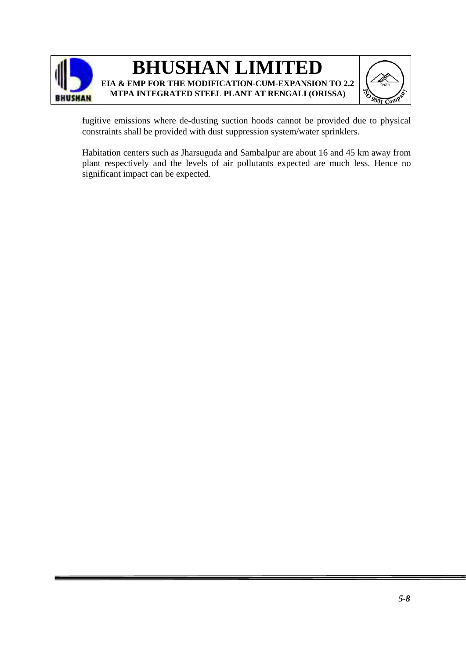



fugitive emissions where de-dusting suction hoods cannot be provided due to physical constraints shall be provided with dust suppression system/water sprinklers.

Habitation centers such as Jharsuguda and Sambalpur are about 16 and 45 km away from plant respectively and the levels of air pollutants expected are much less. Hence no significant impact can be expected.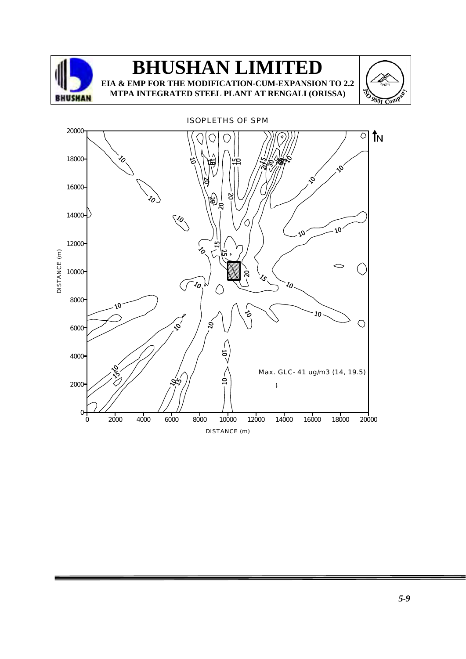

**MTPA INTEGRATED STEEL PLANT AT RENGALI (ORISSA)**



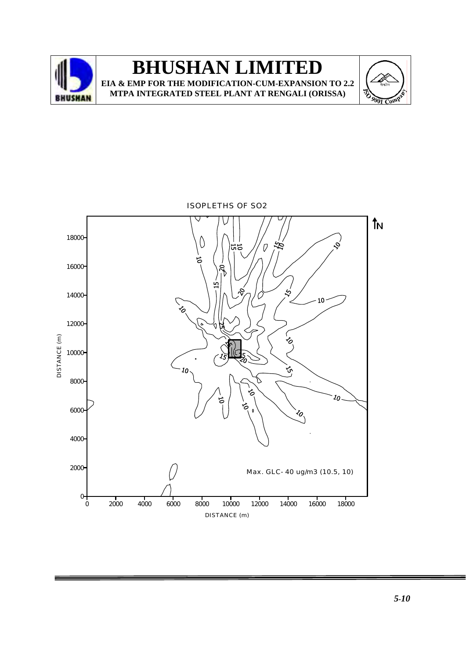



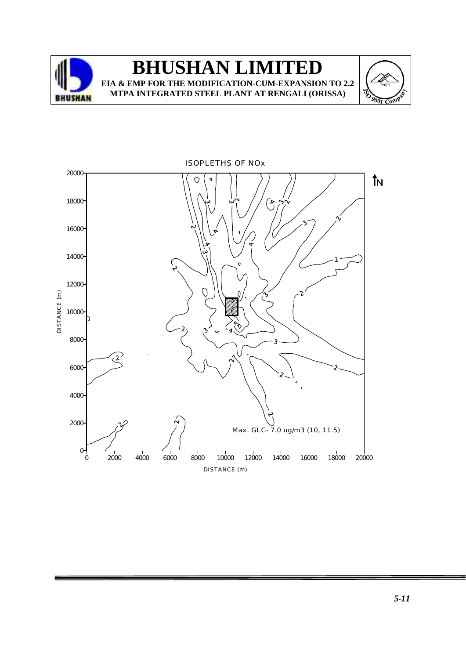





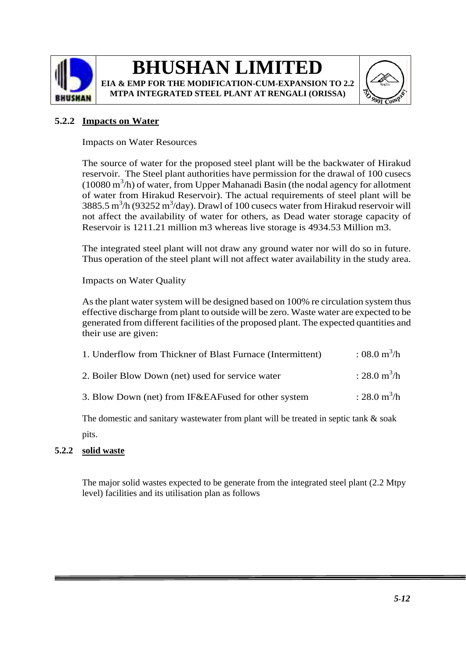

**EIA & EMP FOR THE MODIFICATION-CUM-EXPANSION TO 2.2 MTPA INTEGRATED STEEL PLANT AT RENGALI (ORISSA)**



### **5.2.2 Impacts on Water**

Impacts on Water Resources

The source of water for the proposed steel plant will be the backwater of Hirakud reservoir. The Steel plant authorities have permission for the drawal of 100 cusecs (10080 m<sup>3</sup> /h) of water, from Upper Mahanadi Basin (the nodal agency for allotment of water from Hirakud Reservoir). The actual requirements of steel plant will be 3885.5 m<sup>3</sup>/h (93252 m<sup>3</sup>/day). Drawl of 100 cusecs water from Hirakud reservoir will not affect the availability of water for others, as Dead water storage capacity of Reservoir is 1211.21 million m3 whereas live storage is 4934.53 Million m3.

The integrated steel plant will not draw any ground water nor will do so in future. Thus operation of the steel plant will not affect water availability in the study area.

Impacts on Water Quality

As the plant water system will be designed based on 100% re circulation system thus effective discharge from plant to outside will be zero. Waste water are expected to be generated from different facilities of the proposed plant. The expected quantities and their use are given:

| 1. Underflow from Thickner of Blast Furnace (Intermittent) | : 08.0 $\text{m}^3/\text{h}$ |
|------------------------------------------------------------|------------------------------|
| 2. Boiler Blow Down (net) used for service water           | : 28.0 $\text{m}^3/\text{h}$ |
| 3. Blow Down (net) from IF&EAFused for other system        | : 28.0 $\text{m}^3/\text{h}$ |

The domestic and sanitary wastewater from plant will be treated in septic tank & soak pits.

### **5.2.2 solid waste**

The major solid wastes expected to be generate from the integrated steel plant (2.2 Mtpy level) facilities and its utilisation plan as follows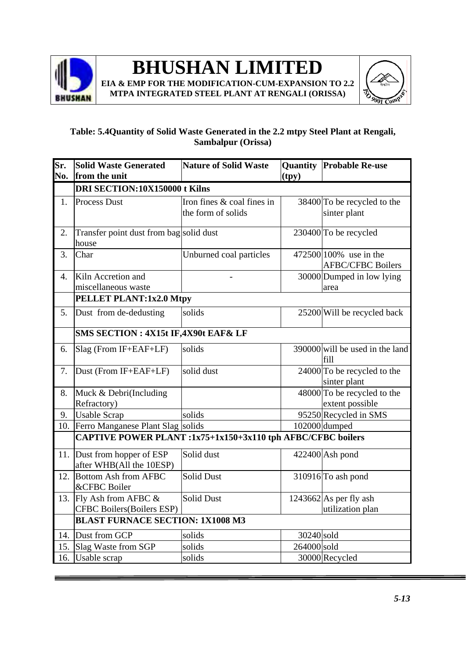

**EIA & EMP FOR THE MODIFICATION-CUM-EXPANSION TO 2.2 MTPA INTEGRATED STEEL PLANT AT RENGALI (ORISSA)**



### **Table: 5.4Quantity of Solid Waste Generated in the 2.2 mtpy Steel Plant at Rengali, Sambalpur (Orissa)**

| Sr. | <b>Solid Waste Generated</b>                                | <b>Nature of Solid Waste</b>                     |             | <b>Quantity Probable Re-use</b>             |  |  |
|-----|-------------------------------------------------------------|--------------------------------------------------|-------------|---------------------------------------------|--|--|
| No. | from the unit                                               |                                                  | (tpy)       |                                             |  |  |
|     | DRI SECTION:10X150000 t Kilns                               |                                                  |             |                                             |  |  |
| 1.  | <b>Process Dust</b>                                         | Iron fines & coal fines in<br>the form of solids |             | 38400 To be recycled to the<br>sinter plant |  |  |
|     |                                                             |                                                  |             |                                             |  |  |
| 2.  | Transfer point dust from bag solid dust<br>house            |                                                  |             | 230400 To be recycled                       |  |  |
| 3.  | Char                                                        | Unburned coal particles                          |             | 472500 100% use in the                      |  |  |
|     |                                                             |                                                  |             | <b>AFBC/CFBC Boilers</b>                    |  |  |
| 4.  | Kiln Accretion and                                          |                                                  |             | 30000 Dumped in low lying                   |  |  |
|     | miscellaneous waste                                         |                                                  |             | area                                        |  |  |
|     | PELLET PLANT:1x2.0 Mtpy                                     |                                                  |             |                                             |  |  |
| 5.  | Dust from de-dedusting                                      | solids                                           |             | 25200 Will be recycled back                 |  |  |
|     | SMS SECTION : 4X15t IF, 4X90t EAF& LF                       |                                                  |             |                                             |  |  |
| 6.  | Slag (From IF+EAF+LF)                                       | solids                                           |             | $390000$ will be used in the land<br>fill   |  |  |
| 7.  | Dust (From IF+EAF+LF)                                       | solid dust                                       |             | 24000 To be recycled to the<br>sinter plant |  |  |
| 8.  | Muck & Debri(Including                                      |                                                  |             | $48000$ To be recycled to the               |  |  |
|     | Refractory)                                                 |                                                  |             | extent possible                             |  |  |
| 9.  | <b>Usable Scrap</b>                                         | solids                                           |             | 95250 Recycled in SMS                       |  |  |
| 10. | Ferro Manganese Plant Slag solids                           |                                                  |             | 102000 dumped                               |  |  |
|     | CAPTIVE POWER PLANT :1x75+1x150+3x110 tph AFBC/CFBC boilers |                                                  |             |                                             |  |  |
| 11. | Dust from hopper of ESP                                     | Solid dust                                       |             | 422400 Ash pond                             |  |  |
|     | after WHB(All the 10ESP)                                    |                                                  |             |                                             |  |  |
| 12. | <b>Bottom Ash from AFBC</b><br>&CFBC Boiler                 | <b>Solid Dust</b>                                |             | 310916 To ash pond                          |  |  |
| 13. | Fly Ash from AFBC &                                         | <b>Solid Dust</b>                                |             | $1243662$ As per fly ash                    |  |  |
|     | <b>CFBC Boilers</b> (Boilers ESP)                           |                                                  |             | utilization plan                            |  |  |
|     | <b>BLAST FURNACE SECTION: 1X1008 M3</b>                     |                                                  |             |                                             |  |  |
|     | 14. Dust from GCP                                           | solids                                           | 30240 sold  |                                             |  |  |
| 15. | Slag Waste from SGP                                         | solids                                           | 264000 sold |                                             |  |  |
| 16. | Usable scrap                                                | solids                                           |             | 30000 Recycled                              |  |  |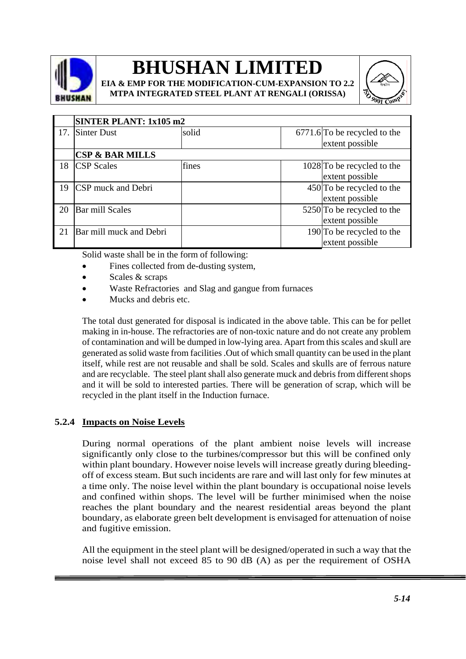

**EIA & EMP FOR THE MODIFICATION-CUM-EXPANSION TO 2.2 MTPA INTEGRATED STEEL PLANT AT RENGALI (ORISSA)**



|     | SINTER PLANT: 1x105 m2     |       |  |                              |
|-----|----------------------------|-------|--|------------------------------|
| 17. | Sinter Dust                | solid |  | 6771.6 To be recycled to the |
|     |                            |       |  | extent possible              |
|     | <b>CSP &amp; BAR MILLS</b> |       |  |                              |
| 18  | <b>CSP</b> Scales          | fines |  | 1028 To be recycled to the   |
|     |                            |       |  | extent possible              |
| 19  | CSP muck and Debri         |       |  | 450 To be recycled to the    |
|     |                            |       |  | extent possible              |
| 20  | <b>Bar mill Scales</b>     |       |  | 5250 To be recycled to the   |
|     |                            |       |  | extent possible              |
| 21  | Bar mill muck and Debri    |       |  | $190$ To be recycled to the  |
|     |                            |       |  | extent possible              |

Solid waste shall be in the form of following:

- Fines collected from de-dusting system.
- Scales & scraps
- Waste Refractories and Slag and gangue from furnaces
- Mucks and debris etc.

The total dust generated for disposal is indicated in the above table. This can be for pellet making in in-house. The refractories are of non-toxic nature and do not create any problem of contamination and will be dumped in low-lying area. Apart from this scales and skull are generated as solid waste from facilities .Out of which small quantity can be used in the plant itself, while rest are not reusable and shall be sold. Scales and skulls are of ferrous nature and are recyclable. The steel plant shall also generate muck and debris from different shops and it will be sold to interested parties. There will be generation of scrap, which will be recycled in the plant itself in the Induction furnace.

### **5.2.4 Impacts on Noise Levels**

During normal operations of the plant ambient noise levels will increase significantly only close to the turbines/compressor but this will be confined only within plant boundary. However noise levels will increase greatly during bleedingoff of excess steam. But such incidents are rare and will last only for few minutes at a time only. The noise level within the plant boundary is occupational noise levels and confined within shops. The level will be further minimised when the noise reaches the plant boundary and the nearest residential areas beyond the plant boundary, as elaborate green belt development is envisaged for attenuation of noise and fugitive emission.

All the equipment in the steel plant will be designed/operated in such a way that the noise level shall not exceed 85 to 90 dB (A) as per the requirement of OSHA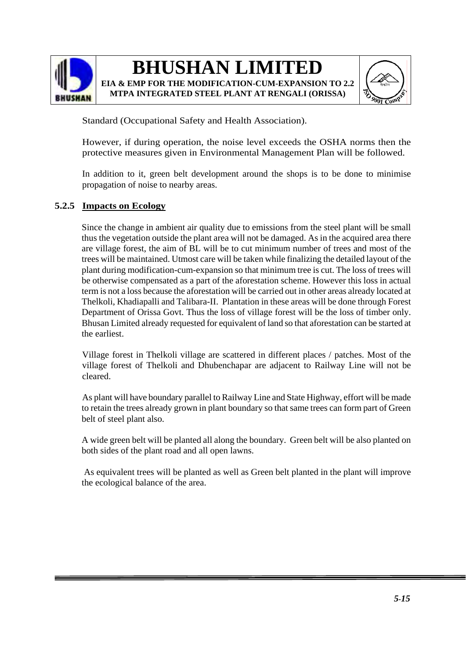



Standard (Occupational Safety and Health Association).

However, if during operation, the noise level exceeds the OSHA norms then the protective measures given in Environmental Management Plan will be followed.

In addition to it, green belt development around the shops is to be done to minimise propagation of noise to nearby areas.

### **5.2.5 Impacts on Ecology**

Since the change in ambient air quality due to emissions from the steel plant will be small thus the vegetation outside the plant area will not be damaged. As in the acquired area there are village forest, the aim of BL will be to cut minimum number of trees and most of the trees will be maintained. Utmost care will be taken while finalizing the detailed layout of the plant during modification-cum-expansion so that minimum tree is cut. The loss of trees will be otherwise compensated as a part of the aforestation scheme. However this loss in actual term is not a loss because the aforestation will be carried out in other areas already located at Thelkoli, Khadiapalli and Talibara-II. Plantation in these areas will be done through Forest Department of Orissa Govt. Thus the loss of village forest will be the loss of timber only. Bhusan Limited already requested for equivalent of land so that aforestation can be started at the earliest.

 Village forest in Thelkoli village are scattered in different places / patches. Most of the village forest of Thelkoli and Dhubenchapar are adjacent to Railway Line will not be cleared.

 As plant will have boundary parallel to Railway Line and State Highway, effort will be made to retain the trees already grown in plant boundary so that same trees can form part of Green belt of steel plant also.

A wide green belt will be planted all along the boundary. Green belt will be also planted on both sides of the plant road and all open lawns.

 As equivalent trees will be planted as well as Green belt planted in the plant will improve the ecological balance of the area.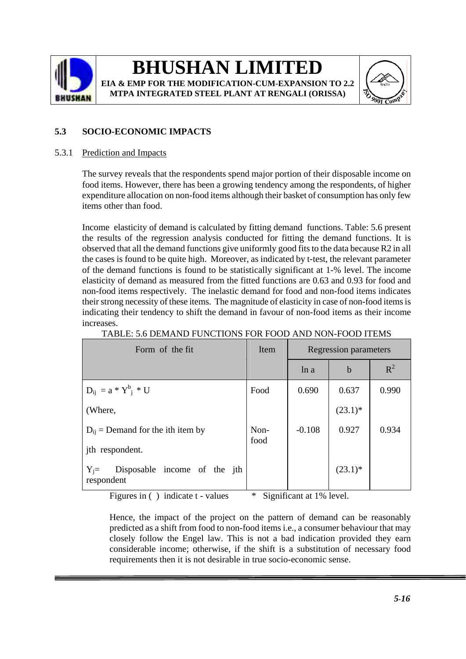

**MTPA INTEGRATED STEEL PLANT AT RENGALI (ORISSA)**



### **5.3 SOCIO-ECONOMIC IMPACTS**

### 5.3.1 Prediction and Impacts

The survey reveals that the respondents spend major portion of their disposable income on food items. However, there has been a growing tendency among the respondents, of higher expenditure allocation on non-food items although their basket of consumption has only few items other than food.

Income elasticity of demand is calculated by fitting demand functions. Table: 5.6 present the results of the regression analysis conducted for fitting the demand functions. It is observed that all the demand functions give uniformly good fits to the data because R2 in all the cases is found to be quite high. Moreover, as indicated by t-test, the relevant parameter of the demand functions is found to be statistically significant at 1-% level. The income elasticity of demand as measured from the fitted functions are 0.63 and 0.93 for food and non-food items respectively. The inelastic demand for food and non-food items indicates their strong necessity of these items. The magnitude of elasticity in case of non-food items is indicating their tendency to shift the demand in favour of non-food items as their income increases.

| TABLE: 5.6 DEMAND FUNCTIONS FOR FOOD AND NON-FOOD ITEMS |  |  |
|---------------------------------------------------------|--|--|
|                                                         |  |  |

| Form of the fit                                       | Item         |          | Regression parameters |       |
|-------------------------------------------------------|--------------|----------|-----------------------|-------|
|                                                       |              | ln a     | $\mathbf b$           | $R^2$ |
| $D_{ij} = a * Y^b_i * U$                              | Food         | 0.690    | 0.637                 | 0.990 |
| (Where,                                               |              |          | $(23.1)^*$            |       |
| $D_{ii}$ = Demand for the ith item by                 | Non-<br>food | $-0.108$ | 0.927                 | 0.934 |
| jth respondent.                                       |              |          |                       |       |
| Disposable income of the jth<br>$Y_i =$<br>respondent |              |          | $(23.1)^*$            |       |

Figures in ( ) indicate t - values \* Significant at 1% level.

Hence, the impact of the project on the pattern of demand can be reasonably predicted as a shift from food to non-food items i.e., a consumer behaviour that may closely follow the Engel law. This is not a bad indication provided they earn considerable income; otherwise, if the shift is a substitution of necessary food requirements then it is not desirable in true socio-economic sense.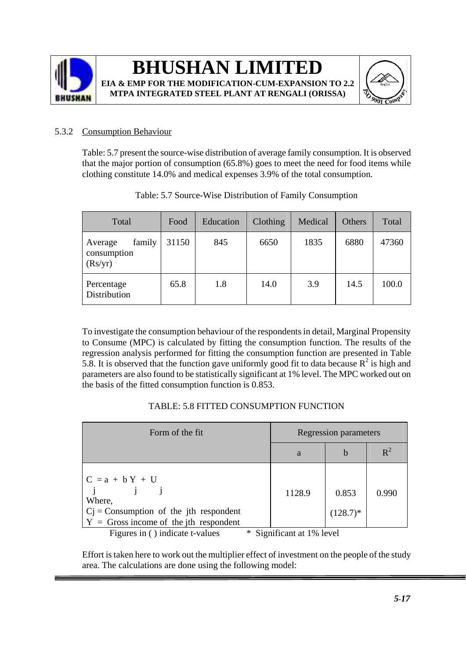



### 5.3.2 Consumption Behaviour

Table: 5.7 present the source-wise distribution of average family consumption. It is observed that the major portion of consumption (65.8%) goes to meet the need for food items while clothing constitute 14.0% and medical expenses 3.9% of the total consumption.

| Total                                       | Food  | Education | Clothing | Medical | Others | Total |
|---------------------------------------------|-------|-----------|----------|---------|--------|-------|
| family<br>Average<br>consumption<br>(Rs/yr) | 31150 | 845       | 6650     | 1835    | 6880   | 47360 |
| Percentage<br>Distribution                  | 65.8  | 1.8       | 14.0     | 3.9     | 14.5   | 100.0 |

| Table: 5.7 Source-Wise Distribution of Family Consumption |  |  |
|-----------------------------------------------------------|--|--|
|-----------------------------------------------------------|--|--|

To investigate the consumption behaviour of the respondents in detail, Marginal Propensity to Consume (MPC) is calculated by fitting the consumption function. The results of the regression analysis performed for fitting the consumption function are presented in Table 5.8. It is observed that the function gave uniformly good fit to data because  $R^2$  is high and parameters are also found to be statistically significant at 1% level. The MPC worked out on the basis of the fitted consumption function is 0.853.

### TABLE: 5.8 FITTED CONSUMPTION FUNCTION

| Form of the fit                                                                                                    |                           | <b>Regression parameters</b> |       |
|--------------------------------------------------------------------------------------------------------------------|---------------------------|------------------------------|-------|
|                                                                                                                    | a                         | b                            | $R^2$ |
| $C = a + bY + U$<br>Where,<br>$Cj$ = Consumption of the jth respondent<br>$Y =$ Gross income of the jth respondent | 1128.9                    | 0.853<br>$(128.7)^*$         | 0.990 |
| Figures in () indicate t-values                                                                                    | * Significant at 1% level |                              |       |

Effort is taken here to work out the multiplier effect of investment on the people of the study area. The calculations are done using the following model: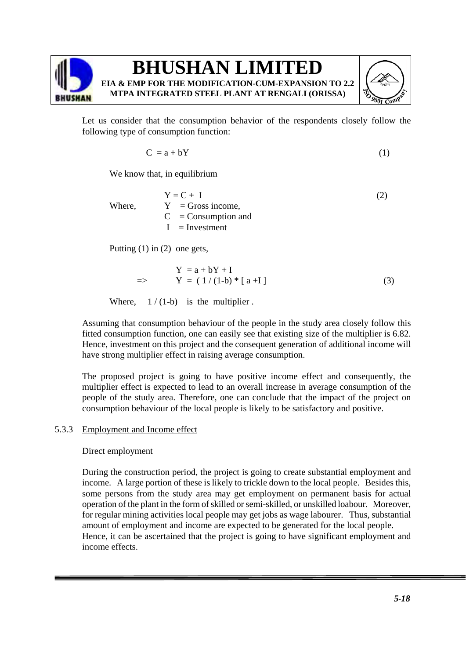

Let us consider that the consumption behavior of the respondents closely follow the following type of consumption function:

$$
C = a + bY \tag{1}
$$

We know that, in equilibrium

 $Y = C + I$  (2) Where,  $Y = Gross$  income,  $C =$ Consumption and  $I =$  Investment

Putting (1) in (2) one gets,

$$
Y = a + bY + I
$$
  
= 
$$
Y = (1/(1-b) * [a+I])
$$
 (3)

Where,  $1/(1-b)$  is the multiplier.

Assuming that consumption behaviour of the people in the study area closely follow this fitted consumption function, one can easily see that existing size of the multiplier is 6.82. Hence, investment on this project and the consequent generation of additional income will have strong multiplier effect in raising average consumption.

The proposed project is going to have positive income effect and consequently, the multiplier effect is expected to lead to an overall increase in average consumption of the people of the study area. Therefore, one can conclude that the impact of the project on consumption behaviour of the local people is likely to be satisfactory and positive.

### 5.3.3 Employment and Income effect

Direct employment

During the construction period, the project is going to create substantial employment and income. A large portion of these is likely to trickle down to the local people. Besides this, some persons from the study area may get employment on permanent basis for actual operation of the plant in the form of skilled or semi-skilled, or unskilled loabour. Moreover, for regular mining activities local people may get jobs as wage labourer. Thus, substantial amount of employment and income are expected to be generated for the local people. Hence, it can be ascertained that the project is going to have significant employment and income effects.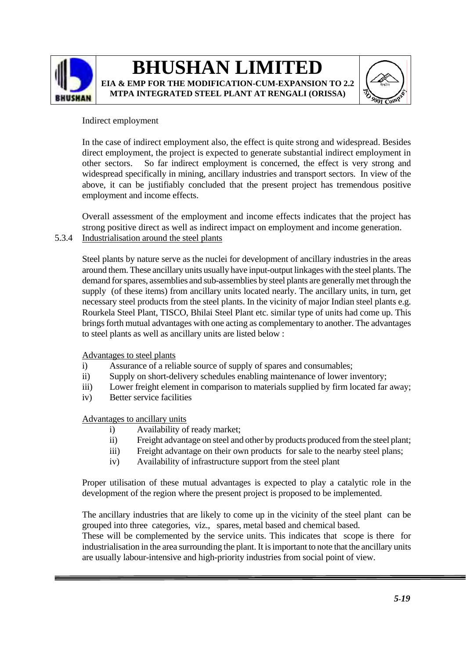



### Indirect employment

In the case of indirect employment also, the effect is quite strong and widespread. Besides direct employment, the project is expected to generate substantial indirect employment in other sectors. So far indirect employment is concerned, the effect is very strong and widespread specifically in mining, ancillary industries and transport sectors. In view of the above, it can be justifiably concluded that the present project has tremendous positive employment and income effects.

Overall assessment of the employment and income effects indicates that the project has strong positive direct as well as indirect impact on employment and income generation. 5.3.4 Industrialisation around the steel plants

Steel plants by nature serve as the nuclei for development of ancillary industries in the areas around them. These ancillary units usually have input-output linkages with the steel plants. The demand for spares, assemblies and sub-assemblies by steel plants are generally met through the supply (of these items) from ancillary units located nearly. The ancillary units, in turn, get necessary steel products from the steel plants. In the vicinity of major Indian steel plants e.g. Rourkela Steel Plant, TISCO, Bhilai Steel Plant etc. similar type of units had come up. This brings forth mutual advantages with one acting as complementary to another. The advantages to steel plants as well as ancillary units are listed below :

Advantages to steel plants

- i) Assurance of a reliable source of supply of spares and consumables;
- ii) Supply on short-delivery schedules enabling maintenance of lower inventory;
- iii) Lower freight element in comparison to materials supplied by firm located far away;
- iv) Better service facilities

Advantages to ancillary units

- i) Availability of ready market;
- ii) Freight advantage on steel and other by products produced from the steel plant;
- iii) Freight advantage on their own products for sale to the nearby steel plans;
- iv) Availability of infrastructure support from the steel plant

Proper utilisation of these mutual advantages is expected to play a catalytic role in the development of the region where the present project is proposed to be implemented.

The ancillary industries that are likely to come up in the vicinity of the steel plant can be grouped into three categories, viz., spares, metal based and chemical based.

These will be complemented by the service units. This indicates that scope is there for industrialisation in the area surrounding the plant. It is important to note that the ancillary units are usually labour-intensive and high-priority industries from social point of view.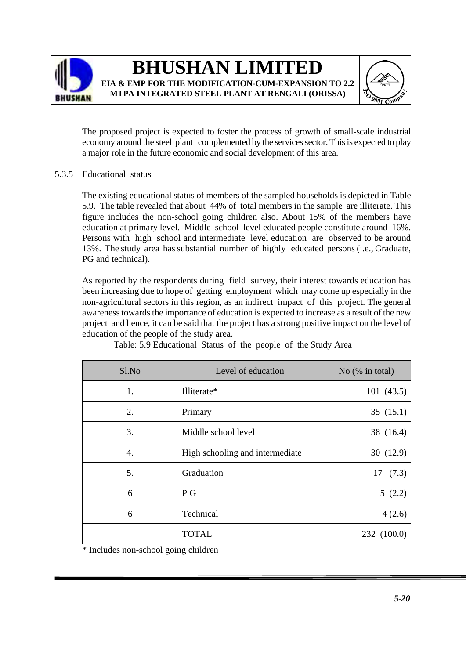



The proposed project is expected to foster the process of growth of small-scale industrial economy around the steel plant complemented by the services sector. This is expected to play a major role in the future economic and social development of this area.

### 5.3.5 Educational status

The existing educational status of members of the sampled households is depicted in Table 5.9. The table revealed that about 44% of total members in the sample are illiterate. This figure includes the non-school going children also. About 15% of the members have education at primary level. Middle school level educated people constitute around 16%. Persons with high school and intermediate level education are observed to be around 13%. The study area has substantial number of highly educated persons (i.e., Graduate, PG and technical).

As reported by the respondents during field survey, their interest towards education has been increasing due to hope of getting employment which may come up especially in the non-agricultural sectors in this region, as an indirect impact of this project. The general awareness towards the importance of education is expected to increase as a result of the new project and hence, it can be said that the project has a strong positive impact on the level of education of the people of the study area.

| Sl.No                       | Level of education              | No $(\%$ in total) |
|-----------------------------|---------------------------------|--------------------|
| 1.                          | Illiterate*                     | 101(43.5)          |
| 2.                          | Primary                         | 35(15.1)           |
| 3.                          | Middle school level             | 38 (16.4)          |
| 4.                          | High schooling and intermediate | 30(12.9)           |
| 5.                          | Graduation                      | 17(7.3)            |
| 6                           | P G                             | 5(2.2)             |
| 6                           | Technical                       | 4(2.6)             |
| $+ 1 1 1 1 1 1 1 1 1 1 1 1$ | <b>TOTAL</b>                    | 232 (100.0)        |

Table: 5.9 Educational Status of the people of the Study Area

\* Includes non-school going children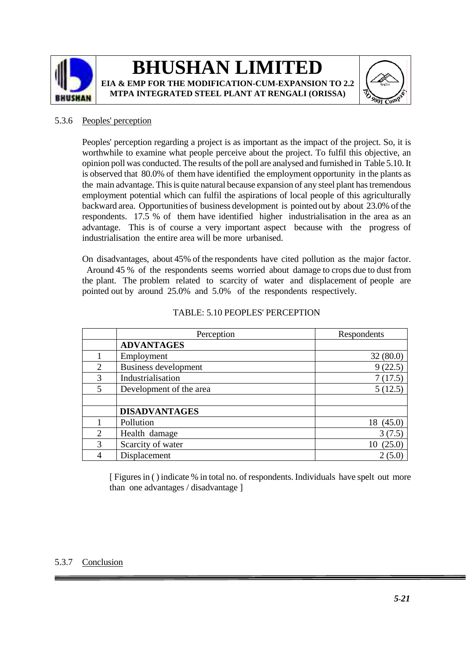



### 5.3.6 Peoples' perception

Peoples' perception regarding a project is as important as the impact of the project. So, it is worthwhile to examine what people perceive about the project. To fulfil this objective, an opinion poll was conducted. The results of the poll are analysed and furnished in Table 5.10. It is observed that 80.0% of them have identified the employment opportunity in the plants as the main advantage. This is quite natural because expansion of any steel plant has tremendous employment potential which can fulfil the aspirations of local people of this agriculturally backward area. Opportunities of business development is pointed out by about 23.0% of the respondents. 17.5 % of them have identified higher industrialisation in the area as an advantage. This is of course a very important aspect because with the progress of industrialisation the entire area will be more urbanised.

On disadvantages, about 45% of the respondents have cited pollution as the major factor. Around 45 % of the respondents seems worried about damage to crops due to dust from the plant. The problem related to scarcity of water and displacement of people are pointed out by around 25.0% and 5.0% of the respondents respectively.

|                | Perception              | Respondents  |
|----------------|-------------------------|--------------|
|                | <b>ADVANTAGES</b>       |              |
|                | Employment              | 32(80.0)     |
| 2              | Business development    | 9(22.5)      |
| 3              | Industrialisation       | 7(17.5)      |
| $\overline{5}$ | Development of the area | 5(12.5)      |
|                |                         |              |
|                | <b>DISADVANTAGES</b>    |              |
|                | Pollution               | 18 (45.0)    |
| $\overline{2}$ | Health damage           | 3(7.5)       |
| 3              | Scarcity of water       | (25.0)<br>10 |
|                | Displacement            |              |

#### TABLE: 5.10 PEOPLES' PERCEPTION

[ Figures in ( ) indicate % in total no. of respondents. Individuals have spelt out more than one advantages / disadvantage ]

### 5.3.7 Conclusion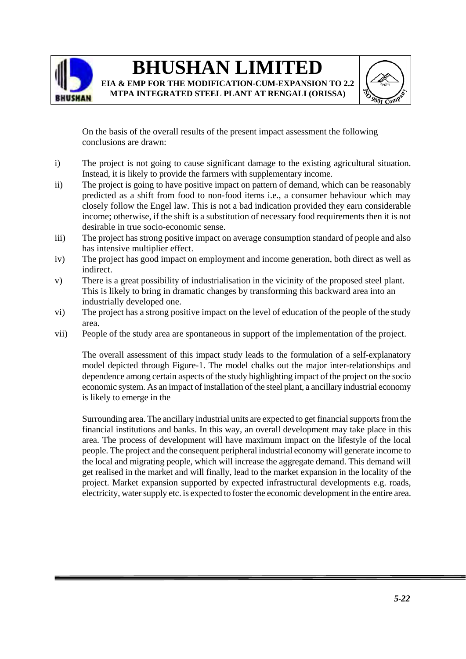

**EIA & EMP FOR THE MODIFICATION-CUM-EXPANSION TO 2.2 MTPA INTEGRATED STEEL PLANT AT RENGALI (ORISSA)**



On the basis of the overall results of the present impact assessment the following conclusions are drawn:

- i) The project is not going to cause significant damage to the existing agricultural situation. Instead, it is likely to provide the farmers with supplementary income.
- ii) The project is going to have positive impact on pattern of demand, which can be reasonably predicted as a shift from food to non-food items i.e., a consumer behaviour which may closely follow the Engel law. This is not a bad indication provided they earn considerable income; otherwise, if the shift is a substitution of necessary food requirements then it is not desirable in true socio-economic sense.
- iii) The project has strong positive impact on average consumption standard of people and also has intensive multiplier effect.
- iv) The project has good impact on employment and income generation, both direct as well as indirect.
- v) There is a great possibility of industrialisation in the vicinity of the proposed steel plant. This is likely to bring in dramatic changes by transforming this backward area into an industrially developed one.
- vi) The project has a strong positive impact on the level of education of the people of the study area.
- vii) People of the study area are spontaneous in support of the implementation of the project.

The overall assessment of this impact study leads to the formulation of a self-explanatory model depicted through Figure-1. The model chalks out the major inter-relationships and dependence among certain aspects of the study highlighting impact of the project on the socio economic system. As an impact of installation of the steel plant, a ancillary industrial economy is likely to emerge in the

Surrounding area. The ancillary industrial units are expected to get financial supports from the financial institutions and banks. In this way, an overall development may take place in this area. The process of development will have maximum impact on the lifestyle of the local people. The project and the consequent peripheral industrial economy will generate income to the local and migrating people, which will increase the aggregate demand. This demand will get realised in the market and will finally, lead to the market expansion in the locality of the project. Market expansion supported by expected infrastructural developments e.g. roads, electricity, water supply etc. is expected to foster the economic development in the entire area.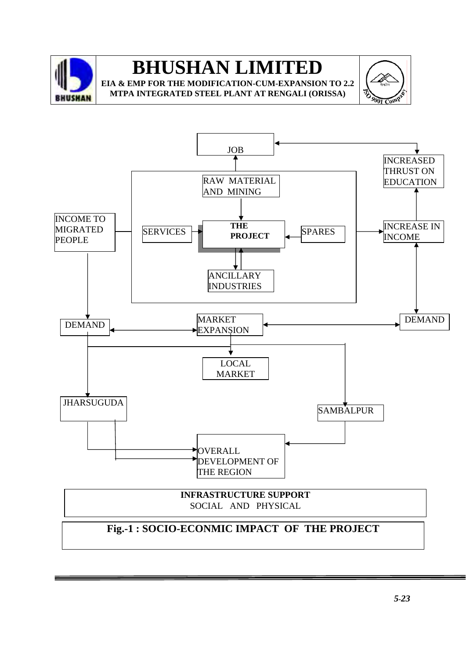

**EIA & EMP FOR THE MODIFICATION-CUM-EXPANSION TO 2.2 MTPA INTEGRATED STEEL PLANT AT RENGALI (ORISSA)**



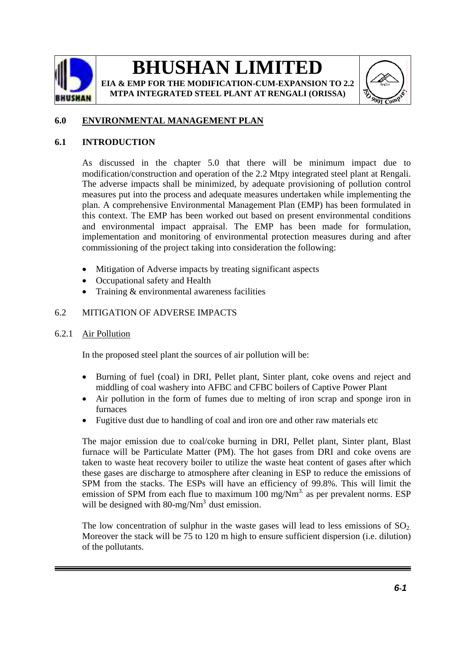

**EIA & EMP FOR THE MODIFICATION-CUM-EXPANSION TO 2.2 MTPA INTEGRATED STEEL PLANT AT RENGALI (ORISSA)**



### **6.0 ENVIRONMENTAL MANAGEMENT PLAN**

### **6.1 INTRODUCTION**

As discussed in the chapter 5.0 that there will be minimum impact due to modification/construction and operation of the 2.2 Mtpy integrated steel plant at Rengali. The adverse impacts shall be minimized, by adequate provisioning of pollution control measures put into the process and adequate measures undertaken while implementing the plan. A comprehensive Environmental Management Plan (EMP) has been formulated in this context. The EMP has been worked out based on present environmental conditions and environmental impact appraisal. The EMP has been made for formulation, implementation and monitoring of environmental protection measures during and after commissioning of the project taking into consideration the following:

- Mitigation of Adverse impacts by treating significant aspects
- Occupational safety and Health
- Training & environmental awareness facilities

### 6.2 MITIGATION OF ADVERSE IMPACTS

6.2.1 Air Pollution

In the proposed steel plant the sources of air pollution will be:

- Burning of fuel (coal) in DRI, Pellet plant, Sinter plant, coke ovens and reject and middling of coal washery into AFBC and CFBC boilers of Captive Power Plant
- Air pollution in the form of fumes due to melting of iron scrap and sponge iron in furnaces
- Fugitive dust due to handling of coal and iron ore and other raw materials etc

The major emission due to coal/coke burning in DRI, Pellet plant, Sinter plant, Blast furnace will be Particulate Matter (PM). The hot gases from DRI and coke ovens are taken to waste heat recovery boiler to utilize the waste heat content of gases after which these gases are discharge to atmosphere after cleaning in ESP to reduce the emissions of SPM from the stacks. The ESPs will have an efficiency of 99.8%. This will limit the emission of SPM from each flue to maximum  $100 \text{ mg/Nm}^3$  as per prevalent norms. ESP will be designed with  $80$ -mg/Nm<sup>3</sup> dust emission.

The low concentration of sulphur in the waste gases will lead to less emissions of  $SO_2$ . Moreover the stack will be 75 to 120 m high to ensure sufficient dispersion (i.e. dilution) of the pollutants.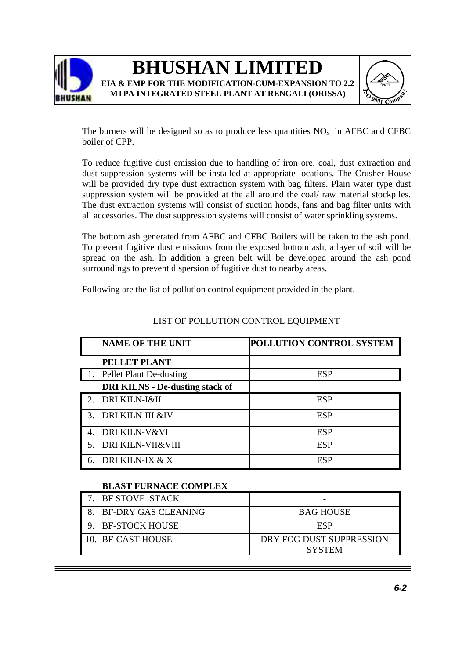



The burners will be designed so as to produce less quantities  $NO<sub>x</sub>$  in AFBC and CFBC boiler of CPP.

To reduce fugitive dust emission due to handling of iron ore, coal, dust extraction and dust suppression systems will be installed at appropriate locations. The Crusher House will be provided dry type dust extraction system with bag filters. Plain water type dust suppression system will be provided at the all around the coal/ raw material stockpiles. The dust extraction systems will consist of suction hoods, fans and bag filter units with all accessories. The dust suppression systems will consist of water sprinkling systems.

The bottom ash generated from AFBC and CFBC Boilers will be taken to the ash pond. To prevent fugitive dust emissions from the exposed bottom ash, a layer of soil will be spread on the ash. In addition a green belt will be developed around the ash pond surroundings to prevent dispersion of fugitive dust to nearby areas.

Following are the list of pollution control equipment provided in the plant.

|     | <b>NAME OF THE UNIT</b>                | POLLUTION CONTROL SYSTEM                  |
|-----|----------------------------------------|-------------------------------------------|
|     | PELLET PLANT                           |                                           |
| 1.  | Pellet Plant De-dusting                | <b>ESP</b>                                |
|     | <b>DRI KILNS - De-dusting stack of</b> |                                           |
| 2.  | <b>DRI KILN-I&amp;II</b>               | <b>ESP</b>                                |
| 3.  | <b>DRI KILN-III &amp;IV</b>            | <b>ESP</b>                                |
| 4.  | <b>DRI KILN-V&amp;VI</b>               | <b>ESP</b>                                |
| 5.  | <b>DRI KILN-VII&amp;VIII</b>           | <b>ESP</b>                                |
| 6.  | DRI KILN-IX & X                        | <b>ESP</b>                                |
|     | <b>BLAST FURNACE COMPLEX</b>           |                                           |
| 7.  | <b>BF STOVE STACK</b>                  |                                           |
| 8.  | <b>BF-DRY GAS CLEANING</b>             | <b>BAG HOUSE</b>                          |
| 9.  | <b>BF-STOCK HOUSE</b>                  | <b>ESP</b>                                |
| 10. | <b>BF-CAST HOUSE</b>                   | DRY FOG DUST SUPPRESSION<br><b>SYSTEM</b> |

### LIST OF POLLUTION CONTROL EQUIPMENT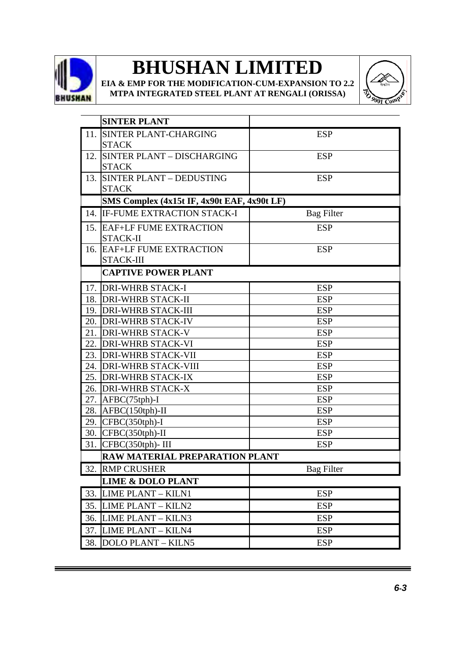

**EIA & EMP FOR THE MODIFICATION-CUM-EXPANSION TO 2.2 MTPA INTEGRATED STEEL PLANT AT RENGALI (ORISSA)**



|     | <b>SINTER PLANT</b>                         |                   |
|-----|---------------------------------------------|-------------------|
| 11. | <b>SINTER PLANT-CHARGING</b>                | <b>ESP</b>        |
|     | <b>STACK</b>                                |                   |
| 12. | <b>SINTER PLANT - DISCHARGING</b>           | <b>ESP</b>        |
|     | <b>STACK</b>                                |                   |
| 13. | <b>SINTER PLANT - DEDUSTING</b>             | <b>ESP</b>        |
|     | <b>STACK</b>                                |                   |
|     | SMS Complex (4x15t IF, 4x90t EAF, 4x90t LF) |                   |
| 14. | <b>IF-FUME EXTRACTION STACK-I</b>           | <b>Bag Filter</b> |
|     | 15. EAF+LF FUME EXTRACTION                  | <b>ESP</b>        |
|     | STACK-II                                    |                   |
| 16. | <b>EAF+LF FUME EXTRACTION</b>               | <b>ESP</b>        |
|     | STACK-III                                   |                   |
|     | <b>CAPTIVE POWER PLANT</b>                  |                   |
| 17. | <b>DRI-WHRB STACK-I</b>                     | <b>ESP</b>        |
| 18. | <b>DRI-WHRB STACK-II</b>                    | <b>ESP</b>        |
|     | 19. DRI-WHRB STACK-III                      | <b>ESP</b>        |
| 20. | <b>DRI-WHRB STACK-IV</b>                    | <b>ESP</b>        |
| 21. | <b>DRI-WHRB STACK-V</b>                     | <b>ESP</b>        |
| 22. | <b>DRI-WHRB STACK-VI</b>                    | <b>ESP</b>        |
|     | 23. DRI-WHRB STACK-VII                      | <b>ESP</b>        |
|     | 24. DRI-WHRB STACK-VIII                     | <b>ESP</b>        |
| 25. | <b>DRI-WHRB STACK-IX</b>                    | <b>ESP</b>        |
| 26. | <b>DRI-WHRB STACK-X</b>                     | <b>ESP</b>        |
| 27. | $AFBC(75tph) - I$                           | <b>ESP</b>        |
| 28. | $AFBC(150th)$ -II                           | <b>ESP</b>        |
| 29. | $CFBC(350th)-I$                             | <b>ESP</b>        |
|     | 30. CFBC(350tph)-II                         | <b>ESP</b>        |
| 31. | CFBC(350tph)-III                            | <b>ESP</b>        |
|     | RAW MATERIAL PREPARATION PLANT              |                   |
| 32. | <b>RMP CRUSHER</b>                          | <b>Bag Filter</b> |
|     | <b>LIME &amp; DOLO PLANT</b>                |                   |
| 33. | LIME PLANT - KILN1                          | <b>ESP</b>        |
| 35. | LIME PLANT - KILN2                          | <b>ESP</b>        |
| 36. | <b>LIME PLANT - KILN3</b>                   | <b>ESP</b>        |
| 37. | <b>LIME PLANT - KILN4</b>                   | <b>ESP</b>        |
| 38. | <b>DOLO PLANT - KILN5</b>                   | <b>ESP</b>        |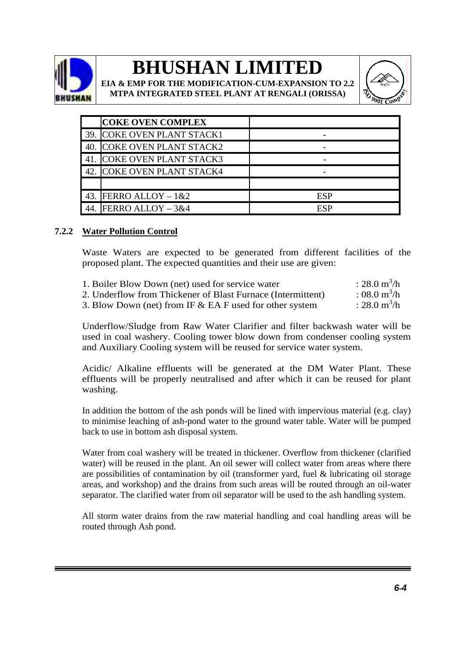

**EIA & EMP FOR THE MODIFICATION-CUM-EXPANSION TO 2.2 MTPA INTEGRATED STEEL PLANT AT RENGALI (ORISSA)**



|     | <b>COKE OVEN COMPLEX</b>      |     |
|-----|-------------------------------|-----|
|     | 39. COKE OVEN PLANT STACK1    |     |
| 40. | <b>COKE OVEN PLANT STACK2</b> |     |
|     | <b>COKE OVEN PLANT STACK3</b> |     |
|     | 42. COKE OVEN PLANT STACK4    |     |
|     |                               |     |
|     | 43. FERRO ALLOY $-1&2$        | ESP |
|     | FERRO ALLOY $-3&4$            | ESP |

### **7.2.2 Water Pollution Control**

Waste Waters are expected to be generated from different facilities of the proposed plant. The expected quantities and their use are given:

| 1. Boiler Blow Down (net) used for service water            | : 28.0 $m^3/h$ |
|-------------------------------------------------------------|----------------|
| 2. Underflow from Thickener of Blast Furnace (Intermittent) | : 08.0 $m^3/h$ |
| 3. Blow Down (net) from IF & EA F used for other system     | : 28.0 $m^3/h$ |

Underflow/Sludge from Raw Water Clarifier and filter backwash water will be used in coal washery. Cooling tower blow down from condenser cooling system and Auxiliary Cooling system will be reused for service water system.

Acidic/ Alkaline effluents will be generated at the DM Water Plant. These effluents will be properly neutralised and after which it can be reused for plant washing.

In addition the bottom of the ash ponds will be lined with impervious material (e.g. clay) to minimise leaching of ash-pond water to the ground water table. Water will be pumped back to use in bottom ash disposal system.

Water from coal washery will be treated in thickener. Overflow from thickener (clarified water) will be reused in the plant. An oil sewer will collect water from areas where there are possibilities of contamination by oil (transformer yard, fuel & lubricating oil storage areas, and workshop) and the drains from such areas will be routed through an oil-water separator. The clarified water from oil separator will be used to the ash handling system.

All storm water drains from the raw material handling and coal handling areas will be routed through Ash pond.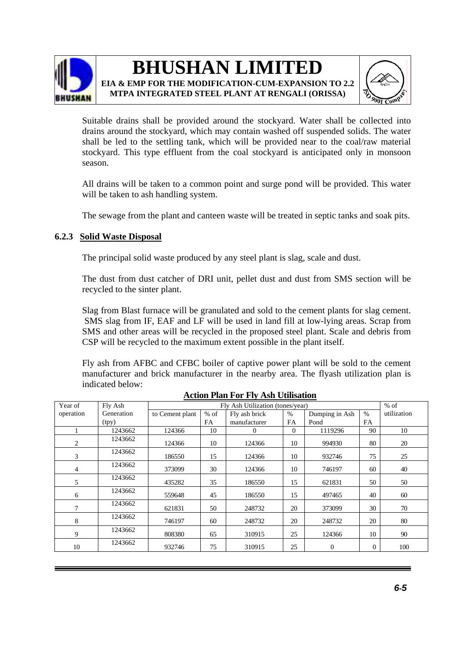

**MTPA INTEGRATED STEEL PLANT AT RENGALI (ORISSA)**



Suitable drains shall be provided around the stockyard. Water shall be collected into drains around the stockyard, which may contain washed off suspended solids. The water shall be led to the settling tank, which will be provided near to the coal/raw material stockyard. This type effluent from the coal stockyard is anticipated only in monsoon season.

All drains will be taken to a common point and surge pond will be provided. This water will be taken to ash handling system.

The sewage from the plant and canteen waste will be treated in septic tanks and soak pits.

### **6.2.3 Solid Waste Disposal**

The principal solid waste produced by any steel plant is slag, scale and dust.

The dust from dust catcher of DRI unit, pellet dust and dust from SMS section will be recycled to the sinter plant.

Slag from Blast furnace will be granulated and sold to the cement plants for slag cement. SMS slag from IF, EAF and LF will be used in land fill at low-lying areas. Scrap from SMS and other areas will be recycled in the proposed steel plant. Scale and debris from CSP will be recycled to the maximum extent possible in the plant itself.

Fly ash from AFBC and CFBC boiler of captive power plant will be sold to the cement manufacturer and brick manufacturer in the nearby area. The flyash utilization plan is indicated below:

| Year of   | Fly Ash    | Fly Ash Utilization (tones/year) |        |               |          | $%$ of         |                |             |
|-----------|------------|----------------------------------|--------|---------------|----------|----------------|----------------|-------------|
| operation | Generation | to Cement plant                  | $%$ of | Fly ash brick | $\%$     | Dumping in Ash | $\%$           | utilization |
|           | (tpy)      |                                  | FA     | manufacturer  | FA       | Pond           | <b>FA</b>      |             |
|           | 1243662    | 124366                           | 10     | $\Omega$      | $\theta$ | 1119296        | 90             | 10          |
| 2         | 1243662    | 124366                           | 10     | 124366        | 10       | 994930         | 80             | 20          |
| 3         | 1243662    | 186550                           | 15     | 124366        | 10       | 932746         | 75             | 25          |
| 4         | 1243662    | 373099                           | 30     | 124366        | 10       | 746197         | 60             | 40          |
| 5         | 1243662    | 435282                           | 35     | 186550        | 15       | 621831         | 50             | 50          |
| 6         | 1243662    | 559648                           | 45     | 186550        | 15       | 497465         | 40             | 60          |
| 7         | 1243662    | 621831                           | 50     | 248732        | 20       | 373099         | 30             | 70          |
| 8         | 1243662    | 746197                           | 60     | 248732        | 20       | 248732         | 20             | 80          |
| 9         | 1243662    | 808380                           | 65     | 310915        | 25       | 124366         | 10             | 90          |
| 10        | 1243662    | 932746                           | 75     | 310915        | 25       | $\mathbf{0}$   | $\overline{0}$ | 100         |

**Action Plan For Fly Ash Utilisation**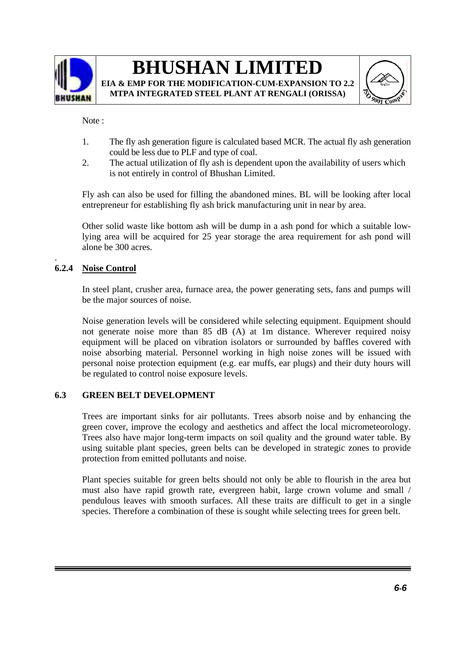





Note :

- 1. The fly ash generation figure is calculated based MCR. The actual fly ash generation could be less due to PLF and type of coal.
- 2. The actual utilization of fly ash is dependent upon the availability of users which is not entirely in control of Bhushan Limited.

Fly ash can also be used for filling the abandoned mines. BL will be looking after local entrepreneur for establishing fly ash brick manufacturing unit in near by area.

Other solid waste like bottom ash will be dump in a ash pond for which a suitable lowlying area will be acquired for 25 year storage the area requirement for ash pond will alone be 300 acres.

### **6.2.4 Noise Control**

.

In steel plant, crusher area, furnace area, the power generating sets, fans and pumps will be the major sources of noise.

Noise generation levels will be considered while selecting equipment. Equipment should not generate noise more than 85 dB (A) at 1m distance. Wherever required noisy equipment will be placed on vibration isolators or surrounded by baffles covered with noise absorbing material. Personnel working in high noise zones will be issued with personal noise protection equipment (e.g. ear muffs, ear plugs) and their duty hours will be regulated to control noise exposure levels.

### **6.3 GREEN BELT DEVELOPMENT**

Trees are important sinks for air pollutants. Trees absorb noise and by enhancing the green cover, improve the ecology and aesthetics and affect the local micrometeorology. Trees also have major long-term impacts on soil quality and the ground water table. By using suitable plant species, green belts can be developed in strategic zones to provide protection from emitted pollutants and noise.

Plant species suitable for green belts should not only be able to flourish in the area but must also have rapid growth rate, evergreen habit, large crown volume and small / pendulous leaves with smooth surfaces. All these traits are difficult to get in a single species. Therefore a combination of these is sought while selecting trees for green belt.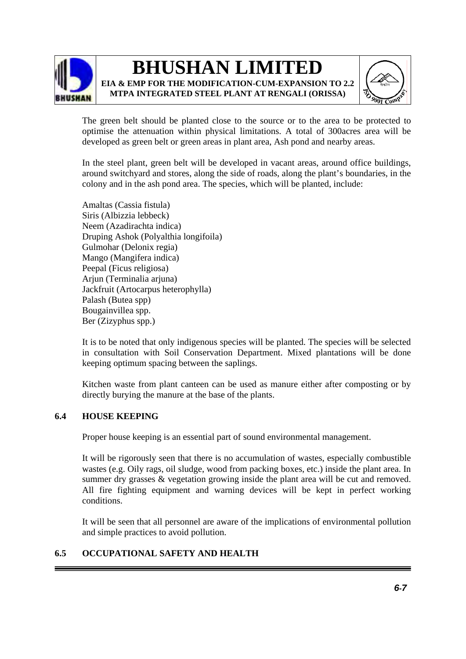

**EIA & EMP FOR THE MODIFICATION-CUM-EXPANSION TO 2.2 MTPA INTEGRATED STEEL PLANT AT RENGALI (ORISSA)**



The green belt should be planted close to the source or to the area to be protected to optimise the attenuation within physical limitations. A total of 300acres area will be developed as green belt or green areas in plant area, Ash pond and nearby areas.

In the steel plant, green belt will be developed in vacant areas, around office buildings, around switchyard and stores, along the side of roads, along the plant's boundaries, in the colony and in the ash pond area. The species, which will be planted, include:

Amaltas (Cassia fistula) Siris (Albizzia lebbeck) Neem (Azadirachta indica) Druping Ashok (Polyalthia longifoila) Gulmohar (Delonix regia) Mango (Mangifera indica) Peepal (Ficus religiosa) Arjun (Terminalia ariuna) Jackfruit (Artocarpus heterophylla) Palash (Butea spp) Bougainvillea spp. Ber (Zizyphus spp.)

It is to be noted that only indigenous species will be planted. The species will be selected in consultation with Soil Conservation Department. Mixed plantations will be done keeping optimum spacing between the saplings.

Kitchen waste from plant canteen can be used as manure either after composting or by directly burying the manure at the base of the plants.

### **6.4 HOUSE KEEPING**

Proper house keeping is an essential part of sound environmental management.

It will be rigorously seen that there is no accumulation of wastes, especially combustible wastes (e.g. Oily rags, oil sludge, wood from packing boxes, etc.) inside the plant area. In summer dry grasses & vegetation growing inside the plant area will be cut and removed. All fire fighting equipment and warning devices will be kept in perfect working conditions.

It will be seen that all personnel are aware of the implications of environmental pollution and simple practices to avoid pollution.

### **6.5 OCCUPATIONAL SAFETY AND HEALTH**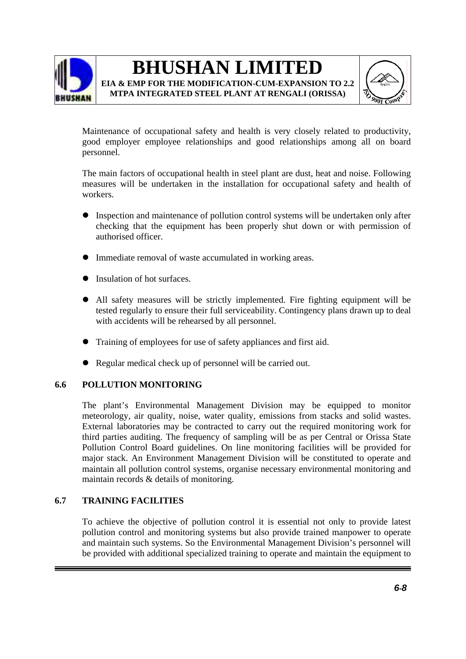

**MTPA INTEGRATED STEEL PLANT AT RENGALI (ORISSA)**



Maintenance of occupational safety and health is very closely related to productivity, good employer employee relationships and good relationships among all on board personnel.

The main factors of occupational health in steel plant are dust, heat and noise. Following measures will be undertaken in the installation for occupational safety and health of workers.

- Inspection and maintenance of pollution control systems will be undertaken only after checking that the equipment has been properly shut down or with permission of authorised officer.
- Immediate removal of waste accumulated in working areas.
- Insulation of hot surfaces.
- All safety measures will be strictly implemented. Fire fighting equipment will be tested regularly to ensure their full serviceability. Contingency plans drawn up to deal with accidents will be rehearsed by all personnel.
- Training of employees for use of safety appliances and first aid.
- Regular medical check up of personnel will be carried out.

### **6.6 POLLUTION MONITORING**

The plant's Environmental Management Division may be equipped to monitor meteorology, air quality, noise, water quality, emissions from stacks and solid wastes. External laboratories may be contracted to carry out the required monitoring work for third parties auditing. The frequency of sampling will be as per Central or Orissa State Pollution Control Board guidelines. On line monitoring facilities will be provided for major stack. An Environment Management Division will be constituted to operate and maintain all pollution control systems, organise necessary environmental monitoring and maintain records & details of monitoring.

### **6.7 TRAINING FACILITIES**

To achieve the objective of pollution control it is essential not only to provide latest pollution control and monitoring systems but also provide trained manpower to operate and maintain such systems. So the Environmental Management Division's personnel will be provided with additional specialized training to operate and maintain the equipment to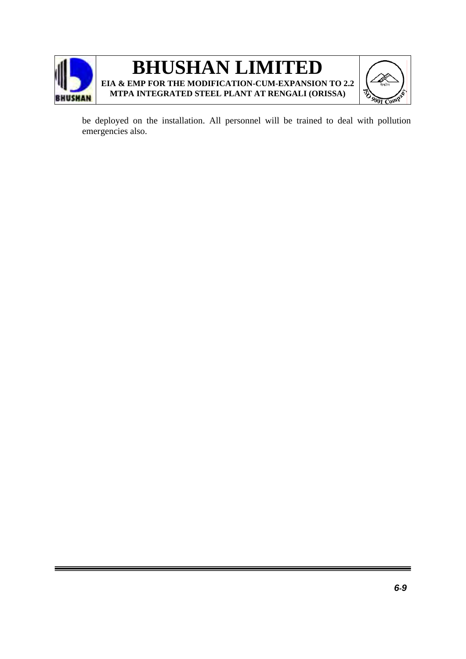

be deployed on the installation. All personnel will be trained to deal with pollution emergencies also.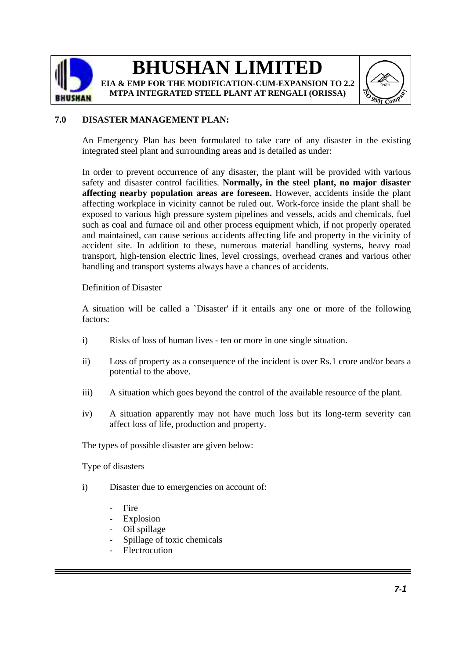



### **7.0 DISASTER MANAGEMENT PLAN:**

An Emergency Plan has been formulated to take care of any disaster in the existing integrated steel plant and surrounding areas and is detailed as under:

In order to prevent occurrence of any disaster, the plant will be provided with various safety and disaster control facilities. **Normally, in the steel plant, no major disaster affecting nearby population areas are foreseen.** However, accidents inside the plant affecting workplace in vicinity cannot be ruled out. Work-force inside the plant shall be exposed to various high pressure system pipelines and vessels, acids and chemicals, fuel such as coal and furnace oil and other process equipment which, if not properly operated and maintained, can cause serious accidents affecting life and property in the vicinity of accident site. In addition to these, numerous material handling systems, heavy road transport, high-tension electric lines, level crossings, overhead cranes and various other handling and transport systems always have a chances of accidents.

### Definition of Disaster

A situation will be called a `Disaster' if it entails any one or more of the following factors:

- i) Risks of loss of human lives ten or more in one single situation.
- ii) Loss of property as a consequence of the incident is over Rs.1 crore and/or bears a potential to the above.
- iii) A situation which goes beyond the control of the available resource of the plant.
- iv) A situation apparently may not have much loss but its long-term severity can affect loss of life, production and property.

The types of possible disaster are given below:

Type of disasters

- i) Disaster due to emergencies on account of:
	- Fire
	- **Explosion**
	- Oil spillage
	- Spillage of toxic chemicals
	- **Electrocution**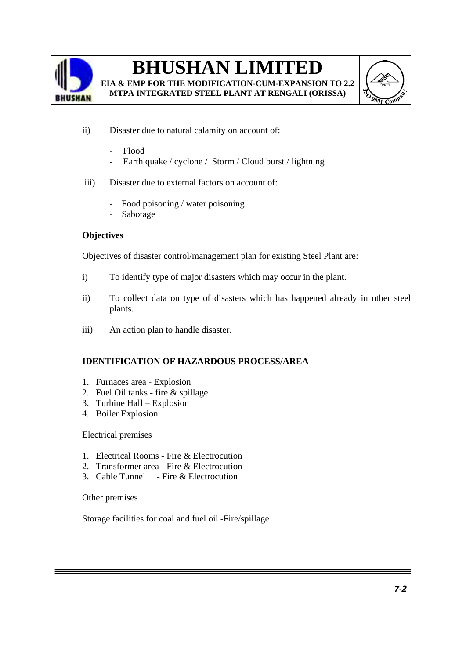

**EIA & EMP FOR THE MODIFICATION-CUM-EXPANSION TO 2.2 MTPA INTEGRATED STEEL PLANT AT RENGALI (ORISSA)** 



- ii) Disaster due to natural calamity on account of:
	- Flood
	- Earth quake / cyclone / Storm / Cloud burst / lightning
- iii) Disaster due to external factors on account of:
	- Food poisoning / water poisoning
	- **Sabotage**

### **Objectives**

Objectives of disaster control/management plan for existing Steel Plant are:

- i) To identify type of major disasters which may occur in the plant.
- ii) To collect data on type of disasters which has happened already in other steel plants.
- iii) An action plan to handle disaster.

### **IDENTIFICATION OF HAZARDOUS PROCESS/AREA**

- 1. Furnaces area Explosion
- 2. Fuel Oil tanks fire & spillage
- 3. Turbine Hall Explosion
- 4. Boiler Explosion

Electrical premises

- 1. Electrical Rooms Fire & Electrocution
- 2. Transformer area Fire & Electrocution
- 3. Cable Tunnel Fire & Electrocution

Other premises

Storage facilities for coal and fuel oil -Fire/spillage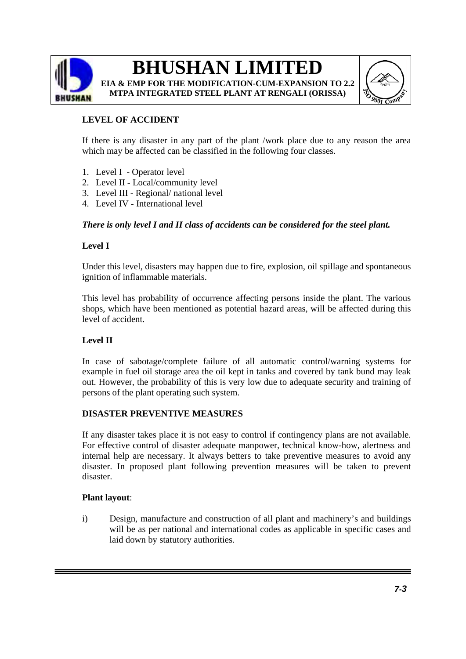

**EIA & EMP FOR THE MODIFICATION-CUM-EXPANSION TO 2.2 MTPA INTEGRATED STEEL PLANT AT RENGALI (ORISSA)** 



### **LEVEL OF ACCIDENT**

If there is any disaster in any part of the plant /work place due to any reason the area which may be affected can be classified in the following four classes.

- 1. Level I Operator level
- 2. Level II Local/community level
- 3. Level III Regional/ national level
- 4. Level IV International level

### *There is only level I and II class of accidents can be considered for the steel plant.*

### **Level I**

Under this level, disasters may happen due to fire, explosion, oil spillage and spontaneous ignition of inflammable materials.

This level has probability of occurrence affecting persons inside the plant. The various shops, which have been mentioned as potential hazard areas, will be affected during this level of accident.

### **Level II**

In case of sabotage/complete failure of all automatic control/warning systems for example in fuel oil storage area the oil kept in tanks and covered by tank bund may leak out. However, the probability of this is very low due to adequate security and training of persons of the plant operating such system.

### **DISASTER PREVENTIVE MEASURES**

If any disaster takes place it is not easy to control if contingency plans are not available. For effective control of disaster adequate manpower, technical know-how, alertness and internal help are necessary. It always betters to take preventive measures to avoid any disaster. In proposed plant following prevention measures will be taken to prevent disaster.

### **Plant layout**:

i) Design, manufacture and construction of all plant and machinery's and buildings will be as per national and international codes as applicable in specific cases and laid down by statutory authorities.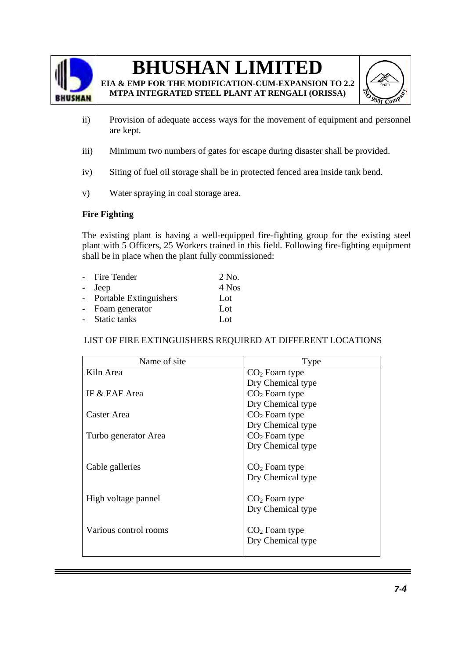

**EIA & EMP FOR THE MODIFICATION-CUM-EXPANSION TO 2.2 MTPA INTEGRATED STEEL PLANT AT RENGALI (ORISSA)** 



- ii) Provision of adequate access ways for the movement of equipment and personnel are kept.
- iii) Minimum two numbers of gates for escape during disaster shall be provided.
- iv) Siting of fuel oil storage shall be in protected fenced area inside tank bend.
- v) Water spraying in coal storage area.

### **Fire Fighting**

The existing plant is having a well-equipped fire-fighting group for the existing steel plant with 5 Officers, 25 Workers trained in this field. Following fire-fighting equipment shall be in place when the plant fully commissioned:

| - Fire Tender            | 2 No.           |
|--------------------------|-----------------|
| - Jeep                   | 4 Nos           |
| - Portable Extinguishers | Lot             |
| - Foam generator         | Lot             |
| - Static tanks           | Lo <sub>t</sub> |

### LIST OF FIRE EXTINGUISHERS REQUIRED AT DIFFERENT LOCATIONS

| Name of site          | Type              |  |  |
|-----------------------|-------------------|--|--|
| Kiln Area             | $CO2$ Foam type   |  |  |
|                       | Dry Chemical type |  |  |
| IF & EAF Area         | $CO2$ Foam type   |  |  |
|                       | Dry Chemical type |  |  |
| Caster Area           | $CO2$ Foam type   |  |  |
|                       | Dry Chemical type |  |  |
| Turbo generator Area  | $CO2$ Foam type   |  |  |
|                       | Dry Chemical type |  |  |
|                       |                   |  |  |
| Cable galleries       | $CO2$ Foam type   |  |  |
|                       | Dry Chemical type |  |  |
|                       |                   |  |  |
| High voltage pannel   | $CO2$ Foam type   |  |  |
|                       | Dry Chemical type |  |  |
|                       |                   |  |  |
| Various control rooms | $CO2$ Foam type   |  |  |
|                       | Dry Chemical type |  |  |
|                       |                   |  |  |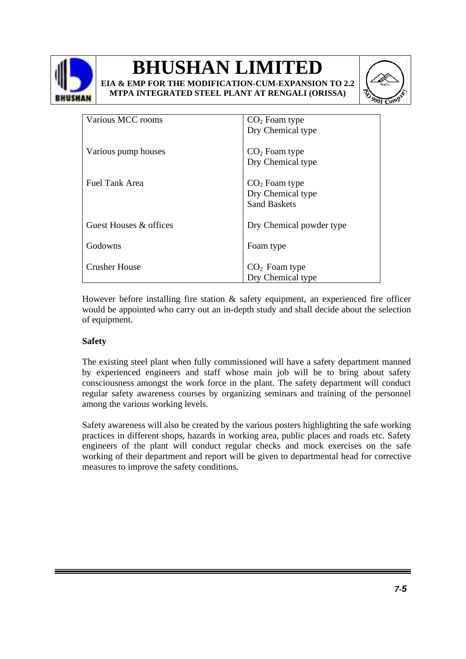





| Various MCC rooms      | $CO2$ Foam type          |
|------------------------|--------------------------|
|                        | Dry Chemical type        |
|                        |                          |
| Various pump houses    | $CO2$ Foam type          |
|                        | Dry Chemical type        |
|                        |                          |
| Fuel Tank Area         | $CO2$ Foam type          |
|                        | Dry Chemical type        |
|                        | <b>Sand Baskets</b>      |
|                        |                          |
| Guest Houses & offices | Dry Chemical powder type |
|                        |                          |
| Godowns                | Foam type                |
|                        |                          |
| <b>Crusher House</b>   | $CO2$ Foam type          |
|                        | Dry Chemical type        |
|                        |                          |

However before installing fire station & safety equipment, an experienced fire officer would be appointed who carry out an in-depth study and shall decide about the selection of equipment.

### **Safety**

The existing steel plant when fully commissioned will have a safety department manned by experienced engineers and staff whose main job will be to bring about safety consciousness amongst the work force in the plant. The safety department will conduct regular safety awareness courses by organizing seminars and training of the personnel among the various working levels.

Safety awareness will also be created by the various posters highlighting the safe working practices in different shops, hazards in working area, public places and roads etc. Safety engineers of the plant will conduct regular checks and mock exercises on the safe working of their department and report will be given to departmental head for corrective measures to improve the safety conditions.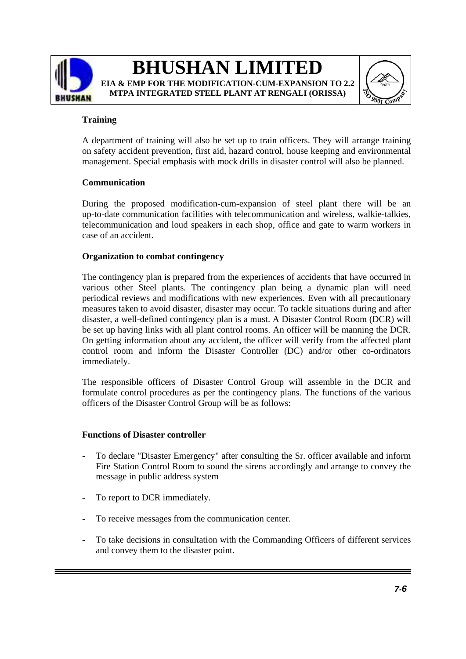



### **Training**

A department of training will also be set up to train officers. They will arrange training on safety accident prevention, first aid, hazard control, house keeping and environmental management. Special emphasis with mock drills in disaster control will also be planned.

### **Communication**

During the proposed modification-cum-expansion of steel plant there will be an up-to-date communication facilities with telecommunication and wireless, walkie-talkies, telecommunication and loud speakers in each shop, office and gate to warm workers in case of an accident.

### **Organization to combat contingency**

The contingency plan is prepared from the experiences of accidents that have occurred in various other Steel plants. The contingency plan being a dynamic plan will need periodical reviews and modifications with new experiences. Even with all precautionary measures taken to avoid disaster, disaster may occur. To tackle situations during and after disaster, a well-defined contingency plan is a must. A Disaster Control Room (DCR) will be set up having links with all plant control rooms. An officer will be manning the DCR. On getting information about any accident, the officer will verify from the affected plant control room and inform the Disaster Controller (DC) and/or other co-ordinators immediately.

The responsible officers of Disaster Control Group will assemble in the DCR and formulate control procedures as per the contingency plans. The functions of the various officers of the Disaster Control Group will be as follows:

### **Functions of Disaster controller**

- To declare "Disaster Emergency" after consulting the Sr. officer available and inform Fire Station Control Room to sound the sirens accordingly and arrange to convey the message in public address system
- To report to DCR immediately.
- To receive messages from the communication center.
- To take decisions in consultation with the Commanding Officers of different services and convey them to the disaster point.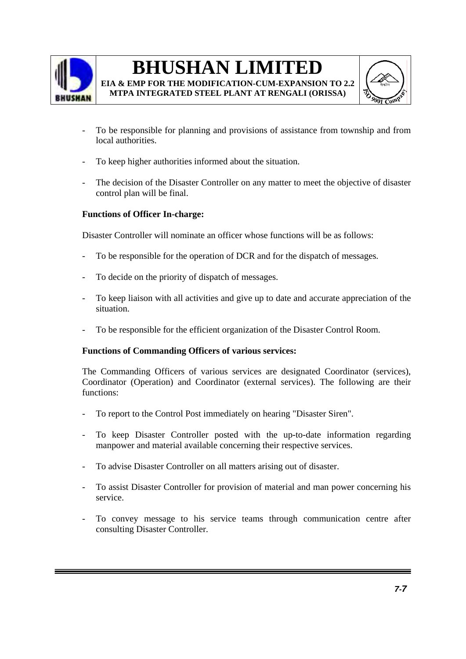

**MTPA INTEGRATED STEEL PLANT AT RENGALI (ORISSA)** 



- To be responsible for planning and provisions of assistance from township and from local authorities.
- To keep higher authorities informed about the situation.
- The decision of the Disaster Controller on any matter to meet the objective of disaster control plan will be final.

### **Functions of Officer In-charge:**

Disaster Controller will nominate an officer whose functions will be as follows:

- To be responsible for the operation of DCR and for the dispatch of messages.
- To decide on the priority of dispatch of messages.
- To keep liaison with all activities and give up to date and accurate appreciation of the situation.
- To be responsible for the efficient organization of the Disaster Control Room.

### **Functions of Commanding Officers of various services:**

The Commanding Officers of various services are designated Coordinator (services), Coordinator (Operation) and Coordinator (external services). The following are their functions:

- To report to the Control Post immediately on hearing "Disaster Siren".
- To keep Disaster Controller posted with the up-to-date information regarding manpower and material available concerning their respective services.
- To advise Disaster Controller on all matters arising out of disaster.
- To assist Disaster Controller for provision of material and man power concerning his service.
- To convey message to his service teams through communication centre after consulting Disaster Controller.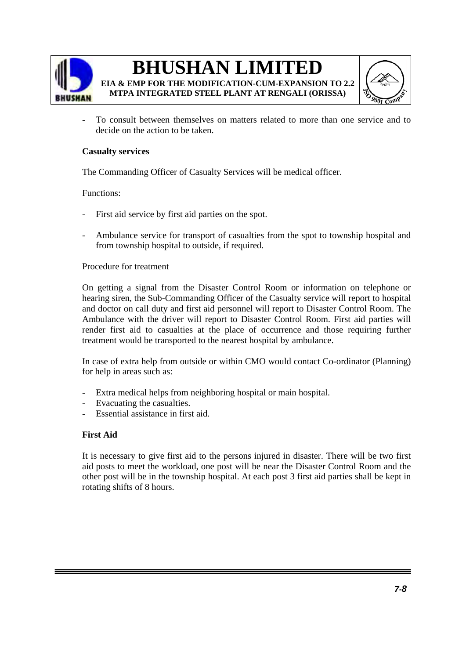

**MTPA INTEGRATED STEEL PLANT AT RENGALI (ORISSA)** 



To consult between themselves on matters related to more than one service and to decide on the action to be taken.

### **Casualty services**

The Commanding Officer of Casualty Services will be medical officer.

### Functions:

- First aid service by first aid parties on the spot.
- Ambulance service for transport of casualties from the spot to township hospital and from township hospital to outside, if required.

### Procedure for treatment

On getting a signal from the Disaster Control Room or information on telephone or hearing siren, the Sub-Commanding Officer of the Casualty service will report to hospital and doctor on call duty and first aid personnel will report to Disaster Control Room. The Ambulance with the driver will report to Disaster Control Room. First aid parties will render first aid to casualties at the place of occurrence and those requiring further treatment would be transported to the nearest hospital by ambulance.

In case of extra help from outside or within CMO would contact Co-ordinator (Planning) for help in areas such as:

- Extra medical helps from neighboring hospital or main hospital.
- Evacuating the casualties.
- Essential assistance in first aid.

### **First Aid**

It is necessary to give first aid to the persons injured in disaster. There will be two first aid posts to meet the workload, one post will be near the Disaster Control Room and the other post will be in the township hospital. At each post 3 first aid parties shall be kept in rotating shifts of 8 hours.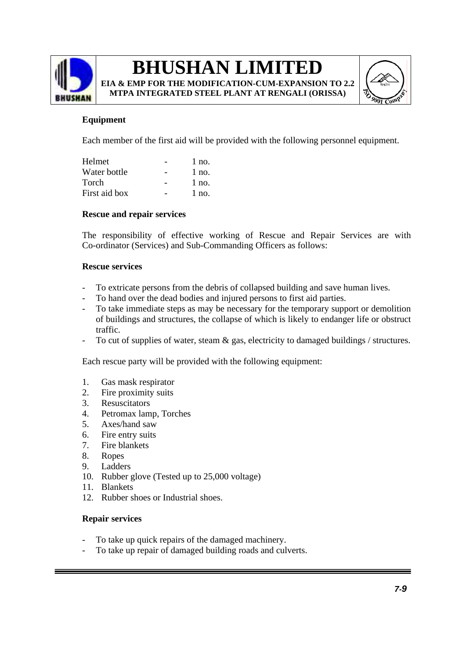

**EIA & EMP FOR THE MODIFICATION-CUM-EXPANSION TO 2.2 MTPA INTEGRATED STEEL PLANT AT RENGALI (ORISSA)** 



### **Equipment**

Each member of the first aid will be provided with the following personnel equipment.

| Helmet        | $1$ no. |
|---------------|---------|
| Water bottle  | $1$ no. |
| Torch         | $1$ no. |
| First aid box | $1$ no. |

### **Rescue and repair services**

The responsibility of effective working of Rescue and Repair Services are with Co-ordinator (Services) and Sub-Commanding Officers as follows:

### **Rescue services**

- To extricate persons from the debris of collapsed building and save human lives.
- To hand over the dead bodies and injured persons to first aid parties.
- To take immediate steps as may be necessary for the temporary support or demolition of buildings and structures, the collapse of which is likely to endanger life or obstruct traffic.
- To cut of supplies of water, steam & gas, electricity to damaged buildings / structures.

Each rescue party will be provided with the following equipment:

- 1. Gas mask respirator
- 2. Fire proximity suits
- 3. Resuscitators
- 4. Petromax lamp, Torches
- 5. Axes/hand saw
- 6. Fire entry suits
- 7. Fire blankets
- 8. Ropes
- 9. Ladders
- 10. Rubber glove (Tested up to 25,000 voltage)
- 11. Blankets
- 12. Rubber shoes or Industrial shoes.

### **Repair services**

- To take up quick repairs of the damaged machinery.
- To take up repair of damaged building roads and culverts.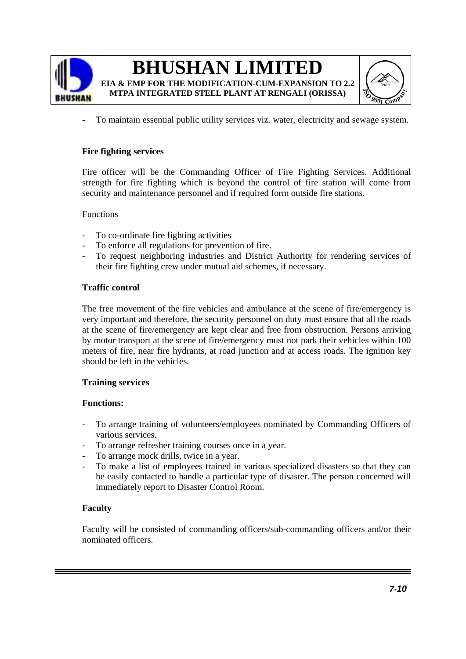



To maintain essential public utility services viz. water, electricity and sewage system.

### **Fire fighting services**

Fire officer will be the Commanding Officer of Fire Fighting Services. Additional strength for fire fighting which is beyond the control of fire station will come from security and maintenance personnel and if required form outside fire stations.

### Functions

- To co-ordinate fire fighting activities
- To enforce all regulations for prevention of fire.
- To request neighboring industries and District Authority for rendering services of their fire fighting crew under mutual aid schemes, if necessary.

### **Traffic control**

The free movement of the fire vehicles and ambulance at the scene of fire/emergency is very important and therefore, the security personnel on duty must ensure that all the roads at the scene of fire/emergency are kept clear and free from obstruction. Persons arriving by motor transport at the scene of fire/emergency must not park their vehicles within 100 meters of fire, near fire hydrants, at road junction and at access roads. The ignition key should be left in the vehicles.

### **Training services**

### **Functions:**

- To arrange training of volunteers/employees nominated by Commanding Officers of various services.
- To arrange refresher training courses once in a year.
- To arrange mock drills, twice in a year.
- To make a list of employees trained in various specialized disasters so that they can be easily contacted to handle a particular type of disaster. The person concerned will immediately report to Disaster Control Room.

### **Faculty**

Faculty will be consisted of commanding officers/sub-commanding officers and/or their nominated officers.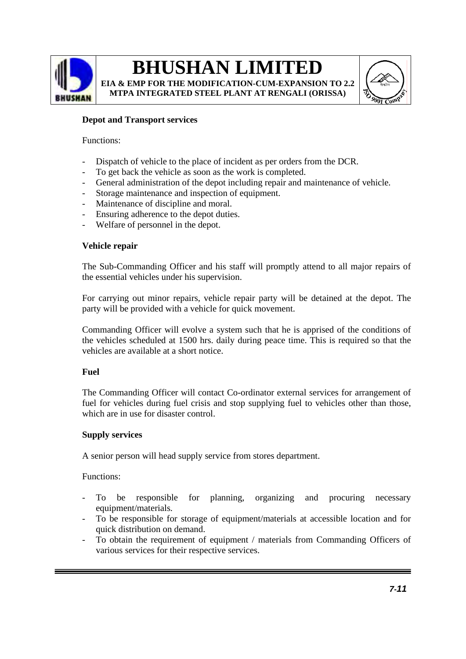

**EIA & EMP FOR THE MODIFICATION-CUM-EXPANSION TO 2.2 MTPA INTEGRATED STEEL PLANT AT RENGALI (ORISSA)** 



### **Depot and Transport services**

#### Functions:

- Dispatch of vehicle to the place of incident as per orders from the DCR.
- To get back the vehicle as soon as the work is completed.
- General administration of the depot including repair and maintenance of vehicle.
- Storage maintenance and inspection of equipment.
- Maintenance of discipline and moral.
- Ensuring adherence to the depot duties.
- Welfare of personnel in the depot.

### **Vehicle repair**

The Sub-Commanding Officer and his staff will promptly attend to all major repairs of the essential vehicles under his supervision.

For carrying out minor repairs, vehicle repair party will be detained at the depot. The party will be provided with a vehicle for quick movement.

Commanding Officer will evolve a system such that he is apprised of the conditions of the vehicles scheduled at 1500 hrs. daily during peace time. This is required so that the vehicles are available at a short notice.

### **Fuel**

The Commanding Officer will contact Co-ordinator external services for arrangement of fuel for vehicles during fuel crisis and stop supplying fuel to vehicles other than those, which are in use for disaster control.

### **Supply services**

A senior person will head supply service from stores department.

Functions:

- To be responsible for planning, organizing and procuring necessary equipment/materials.
- To be responsible for storage of equipment/materials at accessible location and for quick distribution on demand.
- To obtain the requirement of equipment / materials from Commanding Officers of various services for their respective services.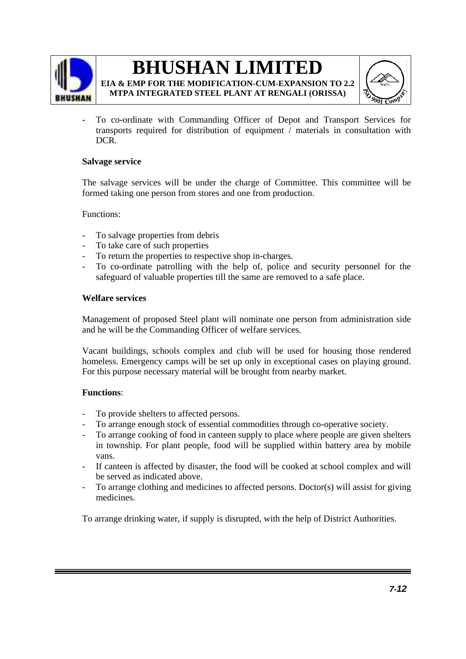

**EIA & EMP FOR THE MODIFICATION-CUM-EXPANSION TO 2.2 MTPA INTEGRATED STEEL PLANT AT RENGALI (ORISSA)** 



To co-ordinate with Commanding Officer of Depot and Transport Services for transports required for distribution of equipment / materials in consultation with DCR.

### **Salvage service**

The salvage services will be under the charge of Committee. This committee will be formed taking one person from stores and one from production.

Functions:

- To salvage properties from debris
- To take care of such properties
- To return the properties to respective shop in-charges.
- To co-ordinate patrolling with the help of, police and security personnel for the safeguard of valuable properties till the same are removed to a safe place.

### **Welfare services**

Management of proposed Steel plant will nominate one person from administration side and he will be the Commanding Officer of welfare services.

Vacant buildings, schools complex and club will be used for housing those rendered homeless. Emergency camps will be set up only in exceptional cases on playing ground. For this purpose necessary material will be brought from nearby market.

### **Functions**:

- To provide shelters to affected persons.
- To arrange enough stock of essential commodities through co-operative society.
- To arrange cooking of food in canteen supply to place where people are given shelters in township. For plant people, food will be supplied within battery area by mobile vans.
- If canteen is affected by disaster, the food will be cooked at school complex and will be served as indicated above.
- To arrange clothing and medicines to affected persons. Doctor(s) will assist for giving medicines.

To arrange drinking water, if supply is disrupted, with the help of District Authorities.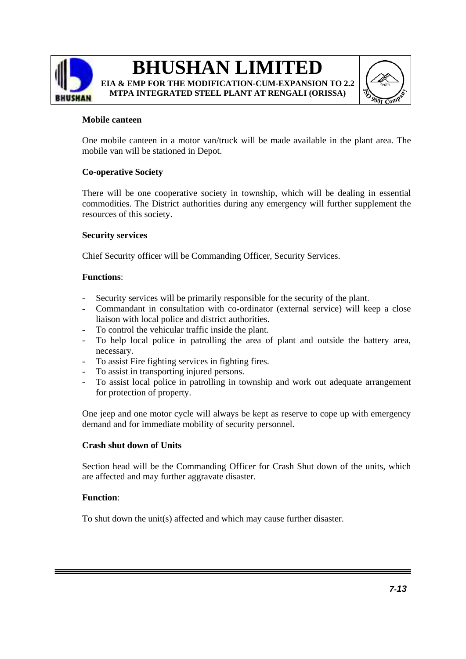

# **BHUSHAN LIMITED EIA & EMP FOR THE MODIFICATION-CUM-EXPANSION TO 2.2 MTPA INTEGRATED STEEL PLANT AT RENGALI (ORISSA)**



### **Mobile canteen**

One mobile canteen in a motor van/truck will be made available in the plant area. The mobile van will be stationed in Depot.

### **Co-operative Society**

There will be one cooperative society in township, which will be dealing in essential commodities. The District authorities during any emergency will further supplement the resources of this society.

### **Security services**

Chief Security officer will be Commanding Officer, Security Services.

### **Functions**:

- Security services will be primarily responsible for the security of the plant.
- Commandant in consultation with co-ordinator (external service) will keep a close liaison with local police and district authorities.
- To control the vehicular traffic inside the plant.
- To help local police in patrolling the area of plant and outside the battery area, necessary.
- To assist Fire fighting services in fighting fires.
- To assist in transporting injured persons.
- To assist local police in patrolling in township and work out adequate arrangement for protection of property.

One jeep and one motor cycle will always be kept as reserve to cope up with emergency demand and for immediate mobility of security personnel.

### **Crash shut down of Units**

Section head will be the Commanding Officer for Crash Shut down of the units, which are affected and may further aggravate disaster.

### **Function**:

To shut down the unit(s) affected and which may cause further disaster.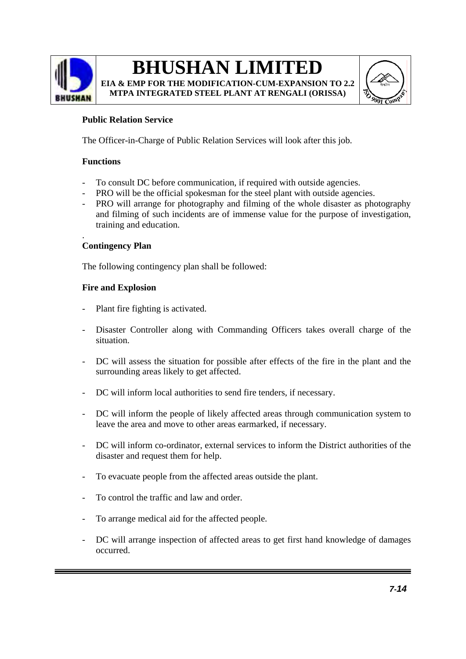

# **BHUSHAN LIMITED EIA & EMP FOR THE MODIFICATION-CUM-EXPANSION TO 2.2**

**MTPA INTEGRATED STEEL PLANT AT RENGALI (ORISSA)** 



### **Public Relation Service**

The Officer-in-Charge of Public Relation Services will look after this job.

### **Functions**

- To consult DC before communication, if required with outside agencies.
- PRO will be the official spokesman for the steel plant with outside agencies.
- PRO will arrange for photography and filming of the whole disaster as photography and filming of such incidents are of immense value for the purpose of investigation, training and education.

#### . **Contingency Plan**

The following contingency plan shall be followed:

### **Fire and Explosion**

- Plant fire fighting is activated.
- Disaster Controller along with Commanding Officers takes overall charge of the situation.
- DC will assess the situation for possible after effects of the fire in the plant and the surrounding areas likely to get affected.
- DC will inform local authorities to send fire tenders, if necessary.
- DC will inform the people of likely affected areas through communication system to leave the area and move to other areas earmarked, if necessary.
- DC will inform co-ordinator, external services to inform the District authorities of the disaster and request them for help.
- To evacuate people from the affected areas outside the plant.
- To control the traffic and law and order.
- To arrange medical aid for the affected people.
- DC will arrange inspection of affected areas to get first hand knowledge of damages occurred.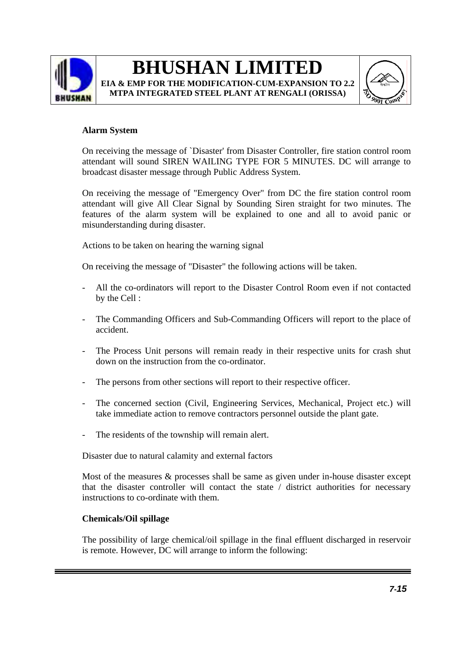

# **BHUSHAN LIMITED EIA & EMP FOR THE MODIFICATION-CUM-EXPANSION TO 2.2 MTPA INTEGRATED STEEL PLANT AT RENGALI (ORISSA)**



### **Alarm System**

On receiving the message of `Disaster' from Disaster Controller, fire station control room attendant will sound SIREN WAILING TYPE FOR 5 MINUTES. DC will arrange to broadcast disaster message through Public Address System.

On receiving the message of "Emergency Over" from DC the fire station control room attendant will give All Clear Signal by Sounding Siren straight for two minutes. The features of the alarm system will be explained to one and all to avoid panic or misunderstanding during disaster.

Actions to be taken on hearing the warning signal

On receiving the message of "Disaster" the following actions will be taken.

- All the co-ordinators will report to the Disaster Control Room even if not contacted by the Cell :
- The Commanding Officers and Sub-Commanding Officers will report to the place of accident.
- The Process Unit persons will remain ready in their respective units for crash shut down on the instruction from the co-ordinator.
- The persons from other sections will report to their respective officer.
- The concerned section (Civil, Engineering Services, Mechanical, Project etc.) will take immediate action to remove contractors personnel outside the plant gate.
- The residents of the township will remain alert.

Disaster due to natural calamity and external factors

Most of the measures & processes shall be same as given under in-house disaster except that the disaster controller will contact the state / district authorities for necessary instructions to co-ordinate with them.

### **Chemicals/Oil spillage**

The possibility of large chemical/oil spillage in the final effluent discharged in reservoir is remote. However, DC will arrange to inform the following: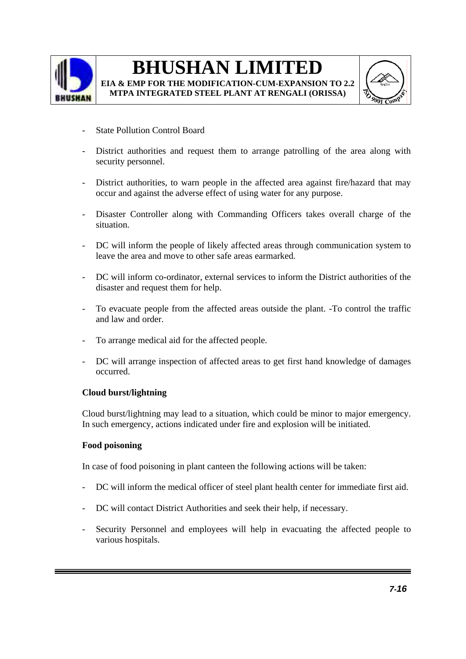

# **BHUSHAN LIMITED EIA & EMP FOR THE MODIFICATION-CUM-EXPANSION TO 2.2**

**MTPA INTEGRATED STEEL PLANT AT RENGALI (ORISSA)** 



- State Pollution Control Board
- District authorities and request them to arrange patrolling of the area along with security personnel.
- District authorities, to warn people in the affected area against fire/hazard that may occur and against the adverse effect of using water for any purpose.
- Disaster Controller along with Commanding Officers takes overall charge of the situation.
- DC will inform the people of likely affected areas through communication system to leave the area and move to other safe areas earmarked.
- DC will inform co-ordinator, external services to inform the District authorities of the disaster and request them for help.
- To evacuate people from the affected areas outside the plant. -To control the traffic and law and order.
- To arrange medical aid for the affected people.
- DC will arrange inspection of affected areas to get first hand knowledge of damages occurred.

### **Cloud burst/lightning**

Cloud burst/lightning may lead to a situation, which could be minor to major emergency. In such emergency, actions indicated under fire and explosion will be initiated.

### **Food poisoning**

In case of food poisoning in plant canteen the following actions will be taken:

- DC will inform the medical officer of steel plant health center for immediate first aid.
- DC will contact District Authorities and seek their help, if necessary.
- Security Personnel and employees will help in evacuating the affected people to various hospitals.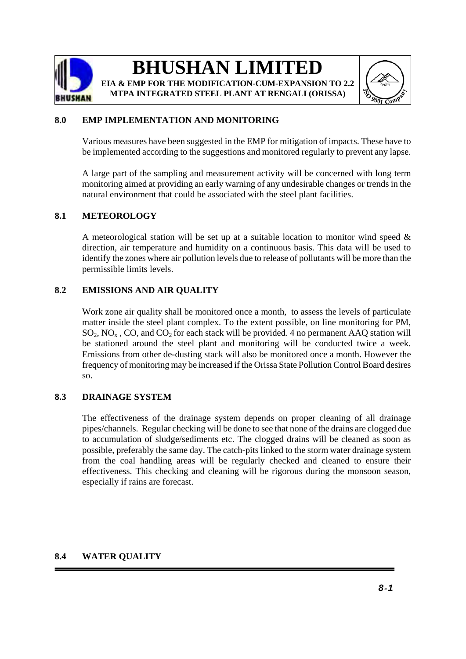

# **BHUSHAN LIMITED EIA & EMP FOR THE MODIFICATION-CUM-EXPANSION TO 2.2**

**MTPA INTEGRATED STEEL PLANT AT RENGALI (ORISSA)**



### **8.0 EMP IMPLEMENTATION AND MONITORING**

Various measures have been suggested in the EMP for mitigation of impacts. These have to be implemented according to the suggestions and monitored regularly to prevent any lapse.

A large part of the sampling and measurement activity will be concerned with long term monitoring aimed at providing an early warning of any undesirable changes or trends in the natural environment that could be associated with the steel plant facilities.

### **8.1 METEOROLOGY**

A meteorological station will be set up at a suitable location to monitor wind speed  $\&$ direction, air temperature and humidity on a continuous basis. This data will be used to identify the zones where air pollution levels due to release of pollutants will be more than the permissible limits levels.

### **8.2 EMISSIONS AND AIR QUALITY**

Work zone air quality shall be monitored once a month, to assess the levels of particulate matter inside the steel plant complex. To the extent possible, on line monitoring for PM,  $SO_2$ , NO<sub>x</sub>, CO, and CO<sub>2</sub> for each stack will be provided. 4 no permanent AAQ station will be stationed around the steel plant and monitoring will be conducted twice a week. Emissions from other de-dusting stack will also be monitored once a month. However the frequency of monitoring may be increased if the Orissa State Pollution Control Board desires so.

### **8.3 DRAINAGE SYSTEM**

The effectiveness of the drainage system depends on proper cleaning of all drainage pipes/channels. Regular checking will be done to see that none of the drains are clogged due to accumulation of sludge/sediments etc. The clogged drains will be cleaned as soon as possible, preferably the same day. The catch-pits linked to the storm water drainage system from the coal handling areas will be regularly checked and cleaned to ensure their effectiveness. This checking and cleaning will be rigorous during the monsoon season, especially if rains are forecast.

### **8.4 WATER QUALITY**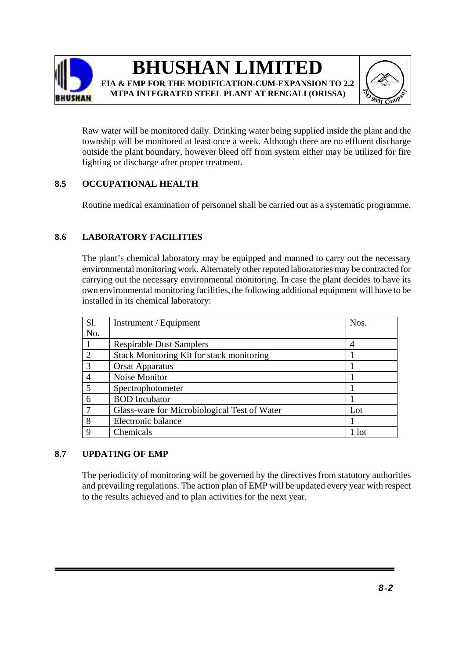

# **BHUSHAN LIMITED EIA & EMP FOR THE MODIFICATION-CUM-EXPANSION TO 2.2 MTPA INTEGRATED STEEL PLANT AT RENGALI (ORISSA)**



Raw water will be monitored daily. Drinking water being supplied inside the plant and the township will be monitored at least once a week. Although there are no effluent discharge outside the plant boundary, however bleed off from system either may be utilized for fire fighting or discharge after proper treatment.

### **8.5 OCCUPATIONAL HEALTH**

Routine medical examination of personnel shall be carried out as a systematic programme.

### **8.6 LABORATORY FACILITIES**

The plant's chemical laboratory may be equipped and manned to carry out the necessary environmental monitoring work. Alternately other reputed laboratories may be contracted for carrying out the necessary environmental monitoring. In case the plant decides to have its own environmental monitoring facilities, the following additional equipment will have to be installed in its chemical laboratory:

| Sl.            | Instrument / Equipment                       | Nos.    |
|----------------|----------------------------------------------|---------|
| No.            |                                              |         |
|                | <b>Respirable Dust Samplers</b>              | 4       |
| 2              | Stack Monitoring Kit for stack monitoring    |         |
| 3              | <b>Orsat Apparatus</b>                       |         |
| $\overline{4}$ | Noise Monitor                                |         |
| 5              | Spectrophotometer                            |         |
| 6              | <b>BOD</b> Incubator                         |         |
| $\mathcal{I}$  | Glass-ware for Microbiological Test of Water | Lot     |
| 8              | Electronic balance                           |         |
| $\mathbf Q$    | Chemicals                                    | $1$ lot |

### **8.7 UPDATING OF EMP**

The periodicity of monitoring will be governed by the directives from statutory authorities and prevailing regulations. The action plan of EMP will be updated every year with respect to the results achieved and to plan activities for the next year.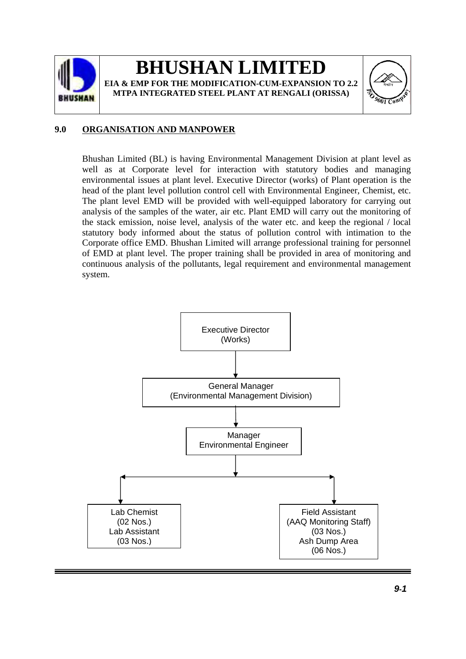

# **BHUSHAN LIMITE EIA & EMP FOR THE MODIFICATION-CUM-EXPANSION TO 2.2 MTPA INTEGRATED STEEL PLANT AT RENGALI (ORISSA)**



### **9.0 ORGANISATION AND MANPOWER**

Bhushan Limited (BL) is having Environmental Management Division at plant level as well as at Corporate level for interaction with statutory bodies and managing environmental issues at plant level. Executive Director (works) of Plant operation is the head of the plant level pollution control cell with Environmental Engineer, Chemist, etc. The plant level EMD will be provided with well-equipped laboratory for carrying out analysis of the samples of the water, air etc. Plant EMD will carry out the monitoring of the stack emission, noise level, analysis of the water etc. and keep the regional / local statutory body informed about the status of pollution control with intimation to the Corporate office EMD. Bhushan Limited will arrange professional training for personnel of EMD at plant level. The proper training shall be provided in area of monitoring and continuous analysis of the pollutants, legal requirement and environmental management system.

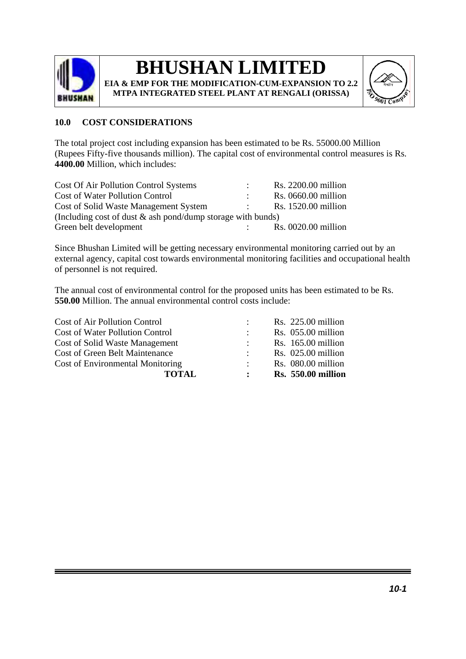

# **BHUSHAN LIMITED**

**EIA & EMP FOR THE MODIFICATION-CUM-EXPANSION TO 2.2 MTPA INTEGRATED STEEL PLANT AT RENGALI (ORISSA)** 



### **10.0 COST CONSIDERATIONS**

The total project cost including expansion has been estimated to be Rs. 55000.00 Million (Rupees Fifty-five thousands million). The capital cost of environmental control measures is Rs. **4400.00** Million, which includes:

| Cost Of Air Pollution Control Systems                          |  | Rs. 2200.00 million |  |  |
|----------------------------------------------------------------|--|---------------------|--|--|
| <b>Cost of Water Pollution Control</b>                         |  | Rs. 0660.00 million |  |  |
| Cost of Solid Waste Management System                          |  | Rs. 1520.00 million |  |  |
| (Including cost of dust $\&$ ash pond/dump storage with bunds) |  |                     |  |  |
| Green belt development                                         |  | Rs. 0020.00 million |  |  |

Since Bhushan Limited will be getting necessary environmental monitoring carried out by an external agency, capital cost towards environmental monitoring facilities and occupational health of personnel is not required.

The annual cost of environmental control for the proposed units has been estimated to be Rs. **550.00** Million. The annual environmental control costs include:

| <b>TOTAL</b>                            | $\mathbf{L}$ | <b>Rs.</b> 550.00 million |
|-----------------------------------------|--------------|---------------------------|
| <b>Cost of Environmental Monitoring</b> |              | Rs. 080.00 million        |
| <b>Cost of Green Belt Maintenance</b>   |              | $Rs. 025.00$ million      |
| Cost of Solid Waste Management          |              | $Rs. 165.00$ million      |
| <b>Cost of Water Pollution Control</b>  |              | $Rs. 055.00$ million      |
| Cost of Air Pollution Control           |              | $Rs. 225.00$ million      |
|                                         |              |                           |